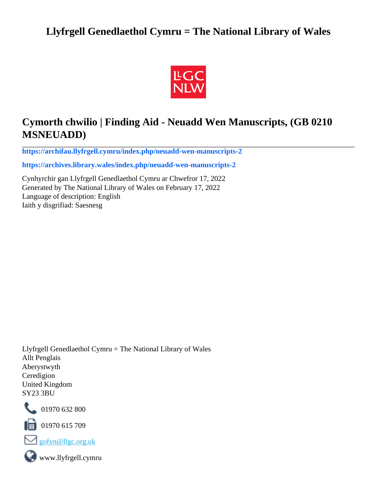# **Llyfrgell Genedlaethol Cymru = The National Library of Wales**



# **Cymorth chwilio | Finding Aid - Neuadd Wen Manuscripts, (GB 0210 MSNEUADD)**

**[https://archifau.llyfrgell.cymru/index.php/neuadd-wen-manuscripts-2](https://archifau.llyfrgell.cymru/index.php/neuadd-wen-manuscripts-2;isad?sf_culture=cy)**

**[https://archives.library.wales/index.php/neuadd-wen-manuscripts-2](https://archives.library.wales/index.php/neuadd-wen-manuscripts-2;isad?sf_culture=en)**

Cynhyrchir gan Llyfrgell Genedlaethol Cymru ar Chwefror 17, 2022 Generated by The National Library of Wales on February 17, 2022 Language of description: English Iaith y disgrifiad: Saesnesg

Llyfrgell Genedlaethol Cymru = The National Library of Wales Allt Penglais Aberystwyth Ceredigion United Kingdom SY23 3BU



101970 632 800

 $\blacksquare$  01970 615 709



www.llyfrgell.cymru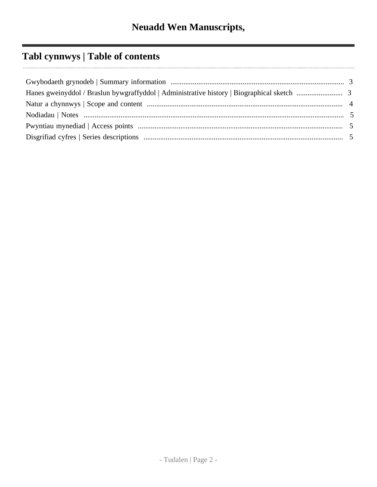# **Tabl cynnwys | Table of contents**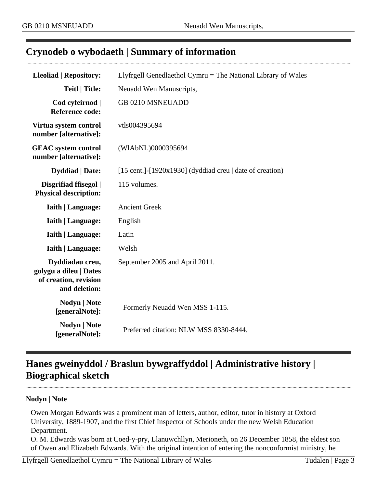## <span id="page-2-0"></span>**Crynodeb o wybodaeth | Summary of information**

| <b>Lleoliad   Repository:</b>                                                       | Llyfrgell Genedlaethol Cymru = The National Library of Wales              |
|-------------------------------------------------------------------------------------|---------------------------------------------------------------------------|
| <b>Teitl   Title:</b>                                                               | Neuadd Wen Manuscripts,                                                   |
| Cod cyfeirnod  <br><b>Reference code:</b>                                           | GB 0210 MSNEUADD                                                          |
| Virtua system control<br>number [alternative]:                                      | vtls004395694                                                             |
| <b>GEAC</b> system control<br>number [alternative]:                                 | (WIAbNL)0000395694                                                        |
| <b>Dyddiad</b>   Date:                                                              | $[15 \text{ cent.}]\text{-}[1920x1930]$ (dyddiad creu   date of creation) |
| Disgrifiad ffisegol  <br><b>Physical description:</b>                               | 115 volumes.                                                              |
| <b>Iaith   Language:</b>                                                            | <b>Ancient Greek</b>                                                      |
| <b>Iaith   Language:</b>                                                            | English                                                                   |
| <b>Iaith   Language:</b>                                                            | Latin                                                                     |
| <b>Iaith   Language:</b>                                                            | Welsh                                                                     |
| Dyddiadau creu,<br>golygu a dileu   Dates<br>of creation, revision<br>and deletion: | September 2005 and April 2011.                                            |
| Nodyn   Note<br>[generalNote]:                                                      | Formerly Neuadd Wen MSS 1-115.                                            |
| <b>Nodyn   Note</b><br>[generalNote]:                                               | Preferred citation: NLW MSS 8330-8444.                                    |

# <span id="page-2-1"></span>**Hanes gweinyddol / Braslun bywgraffyddol | Administrative history | Biographical sketch**

#### **Nodyn | Note**

Owen Morgan Edwards was a prominent man of letters, author, editor, tutor in history at Oxford University, 1889-1907, and the first Chief Inspector of Schools under the new Welsh Education Department.

O. M. Edwards was born at Coed-y-pry, Llanuwchllyn, Merioneth, on 26 December 1858, the eldest son of Owen and Elizabeth Edwards. With the original intention of entering the nonconformist ministry, he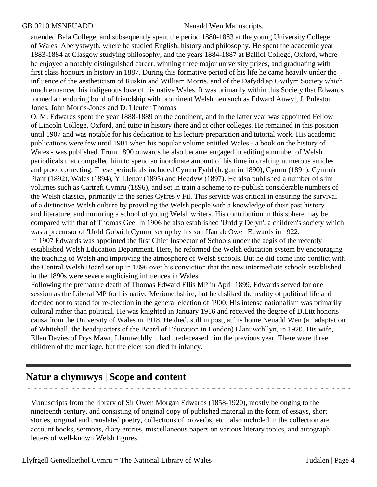attended Bala College, and subsequently spent the period 1880-1883 at the young University College of Wales, Aberystwyth, where he studied English, history and philosophy. He spent the academic year 1883-1884 at Glasgow studying philosophy, and the years 1884-1887 at Balliol College, Oxford, where he enjoyed a notably distinguished career, winning three major university prizes, and graduating with first class honours in history in 1887. During this formative period of his life he came heavily under the influence of the aestheticism of Ruskin and William Morris, and of the Dafydd ap Gwilym Society which much enhanced his indigenous love of his native Wales. It was primarily within this Society that Edwards formed an enduring bond of friendship with prominent Welshmen such as Edward Anwyl, J. Puleston Jones, John Morris-Jones and D. Lleufer Thomas

O. M. Edwards spent the year 1888-1889 on the continent, and in the latter year was appointed Fellow of Lincoln College, Oxford, and tutor in history there and at other colleges. He remained in this position until 1907 and was notable for his dedication to his lecture preparation and tutorial work. His academic publications were few until 1901 when his popular volume entitled Wales - a book on the history of Wales - was published. From 1890 onwards he also became engaged in editing a number of Welsh periodicals that compelled him to spend an inordinate amount of his time in drafting numerous articles and proof correcting. These periodicals included Cymru Fydd (begun in 1890), Cymru (1891), Cymru'r Plant (1892), Wales (1894), Y Llenor (1895) and Heddyw (1897). He also published a number of slim volumes such as Cartrefi Cymru (1896), and set in train a scheme to re-publish considerable numbers of the Welsh classics, primarily in the series Cyfres y Fil. This service was critical in ensuring the survival of a distinctive Welsh culture by providing the Welsh people with a knowledge of their past history and literature, and nurturing a school of young Welsh writers. His contribution in this sphere may be compared with that of Thomas Gee. In 1906 he also established 'Urdd y Delyn', a children's society which was a precursor of 'Urdd Gobaith Cymru' set up by his son Ifan ab Owen Edwards in 1922. In 1907 Edwards was appointed the first Chief Inspector of Schools under the aegis of the recently established Welsh Education Department. Here, he reformed the Welsh education system by encouraging the teaching of Welsh and improving the atmosphere of Welsh schools. But he did come into conflict with the Central Welsh Board set up in 1896 over his conviction that the new intermediate schools established in the 1890s were severe anglicising influences in Wales.

Following the premature death of Thomas Edward Ellis MP in April 1899, Edwards served for one session as the Liberal MP for his native Merionethshire, but he disliked the reality of political life and decided not to stand for re-election in the general election of 1900. His intense nationalism was primarily cultural rather than political. He was knighted in January 1916 and received the degree of D.Litt honoris causa from the University of Wales in 1918. He died, still in post, at his home Neuadd Wen (an adaptation of Whitehall, the headquarters of the Board of Education in London) Llanuwchllyn, in 1920. His wife, Ellen Davies of Prys Mawr, Llanuwchllyn, had predeceased him the previous year. There were three children of the marriage, but the elder son died in infancy.

# <span id="page-3-0"></span>**Natur a chynnwys | Scope and content**

Manuscripts from the library of Sir Owen Morgan Edwards (1858-1920), mostly belonging to the nineteenth century, and consisting of original copy of published material in the form of essays, short stories, original and translated poetry, collections of proverbs, etc.; also included in the collection are account books, sermons, diary entries, miscellaneous papers on various literary topics, and autograph letters of well-known Welsh figures.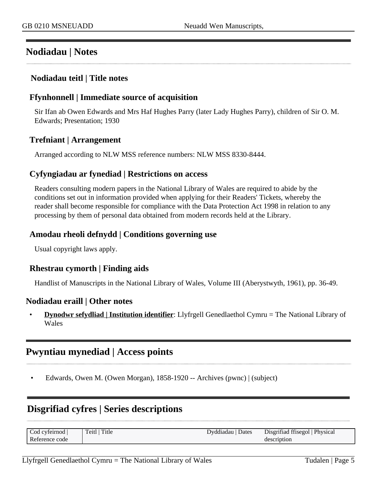## <span id="page-4-0"></span>**Nodiadau | Notes**

#### **Nodiadau teitl | Title notes**

#### **Ffynhonnell | Immediate source of acquisition**

Sir Ifan ab Owen Edwards and Mrs Haf Hughes Parry (later Lady Hughes Parry), children of Sir O. M. Edwards; Presentation; 1930

### **Trefniant | Arrangement**

Arranged according to NLW MSS reference numbers: NLW MSS 8330-8444.

### **Cyfyngiadau ar fynediad | Restrictions on access**

Readers consulting modern papers in the National Library of Wales are required to abide by the conditions set out in information provided when applying for their Readers' Tickets, whereby the reader shall become responsible for compliance with the Data Protection Act 1998 in relation to any processing by them of personal data obtained from modern records held at the Library.

### **Amodau rheoli defnydd | Conditions governing use**

Usual copyright laws apply.

#### **Rhestrau cymorth | Finding aids**

Handlist of Manuscripts in the National Library of Wales, Volume III (Aberystwyth, 1961), pp. 36-49.

#### **Nodiadau eraill | Other notes**

• **Dynodwr sefydliad | Institution identifier**: Llyfrgell Genedlaethol Cymru = The National Library of Wales

## <span id="page-4-1"></span>**Pwyntiau mynediad | Access points**

• Edwards, Owen M. (Owen Morgan), 1858-1920 -- Archives (pwnc) | (subject)

## <span id="page-4-2"></span>**Disgrifiad cyfres | Series descriptions**

| Cod cyfeirnod  | Title<br>Teitl i | Dates<br>Dyddiadau | Disgrifiad ffisegol   Physical |
|----------------|------------------|--------------------|--------------------------------|
| Reference code |                  |                    | description                    |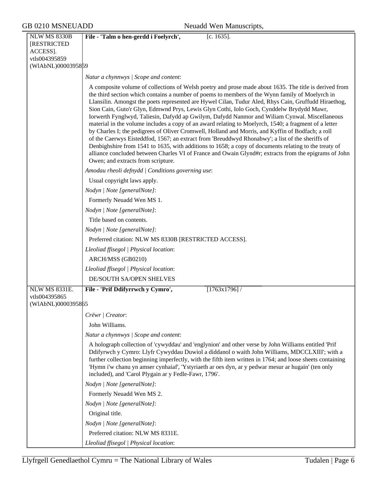| GB 0210 MSNEUADD                                                                             | Neuadd Wen Manuscripts,                                                                                                                                                                                                                                                                                                                                                                                                                                                                                                                                                                                                                                                                                                                                                                                                                                                                                                                                                                                                                                                                  |
|----------------------------------------------------------------------------------------------|------------------------------------------------------------------------------------------------------------------------------------------------------------------------------------------------------------------------------------------------------------------------------------------------------------------------------------------------------------------------------------------------------------------------------------------------------------------------------------------------------------------------------------------------------------------------------------------------------------------------------------------------------------------------------------------------------------------------------------------------------------------------------------------------------------------------------------------------------------------------------------------------------------------------------------------------------------------------------------------------------------------------------------------------------------------------------------------|
| <b>NLW MS 8330B</b><br><b>[RESTRICTED</b><br>ACCESS].<br>vtls004395859<br>(WIAbNL)0000395859 | File - 'Talm o hen-gerdd i Foelyrch',<br>[c. $1635$ ].                                                                                                                                                                                                                                                                                                                                                                                                                                                                                                                                                                                                                                                                                                                                                                                                                                                                                                                                                                                                                                   |
|                                                                                              | Natur a chynnwys / Scope and content:                                                                                                                                                                                                                                                                                                                                                                                                                                                                                                                                                                                                                                                                                                                                                                                                                                                                                                                                                                                                                                                    |
|                                                                                              | A composite volume of collections of Welsh poetry and prose made about 1635. The title is derived from<br>the third section which contains a number of poems to members of the Wynn family of Moelyrch in<br>Llansilin. Amongst the poets represented are Hywel Cilan, Tudur Aled, Rhys Cain, Gruffudd Hiraethog,<br>Sion Cain, Guto'r Glyn, Edmwnd Prys, Lewis Glyn Cothi, Iolo Goch, Cynddelw Brydydd Mawr,<br>Iorwerth Fynglwyd, Taliesin, Dafydd ap Gwilym, Dafydd Nanmor and Wiliam Cynwal. Miscellaneous<br>material in the volume includes a copy of an award relating to Moelyrch, 1540; a fragment of a letter<br>by Charles I; the pedigrees of Oliver Cromwell, Holland and Morris, and Kyffin of Bodfach; a roll<br>of the Caerwys Eisteddfod, 1567; an extract from 'Breuddwyd Rhonabwy'; a list of the sheriffs of<br>Denbighshire from 1541 to 1635, with additions to 1658; a copy of documents relating to the treaty of<br>alliance concluded between Charles VI of France and Owain Glynd#r; extracts from the epigrams of John<br>Owen; and extracts from scripture. |
|                                                                                              | Amodau rheoli defnydd   Conditions governing use:                                                                                                                                                                                                                                                                                                                                                                                                                                                                                                                                                                                                                                                                                                                                                                                                                                                                                                                                                                                                                                        |
|                                                                                              | Usual copyright laws apply.                                                                                                                                                                                                                                                                                                                                                                                                                                                                                                                                                                                                                                                                                                                                                                                                                                                                                                                                                                                                                                                              |
|                                                                                              | Nodyn   Note [generalNote]:                                                                                                                                                                                                                                                                                                                                                                                                                                                                                                                                                                                                                                                                                                                                                                                                                                                                                                                                                                                                                                                              |
|                                                                                              | Formerly Neuadd Wen MS 1.                                                                                                                                                                                                                                                                                                                                                                                                                                                                                                                                                                                                                                                                                                                                                                                                                                                                                                                                                                                                                                                                |
|                                                                                              | Nodyn   Note [generalNote]:                                                                                                                                                                                                                                                                                                                                                                                                                                                                                                                                                                                                                                                                                                                                                                                                                                                                                                                                                                                                                                                              |
|                                                                                              | Title based on contents.                                                                                                                                                                                                                                                                                                                                                                                                                                                                                                                                                                                                                                                                                                                                                                                                                                                                                                                                                                                                                                                                 |
|                                                                                              | Nodyn   Note [generalNote]:                                                                                                                                                                                                                                                                                                                                                                                                                                                                                                                                                                                                                                                                                                                                                                                                                                                                                                                                                                                                                                                              |
|                                                                                              | Preferred citation: NLW MS 8330B [RESTRICTED ACCESS].                                                                                                                                                                                                                                                                                                                                                                                                                                                                                                                                                                                                                                                                                                                                                                                                                                                                                                                                                                                                                                    |
|                                                                                              | Lleoliad ffisegol   Physical location:                                                                                                                                                                                                                                                                                                                                                                                                                                                                                                                                                                                                                                                                                                                                                                                                                                                                                                                                                                                                                                                   |
|                                                                                              | ARCH/MSS (GB0210)<br>Lleoliad ffisegol   Physical location:                                                                                                                                                                                                                                                                                                                                                                                                                                                                                                                                                                                                                                                                                                                                                                                                                                                                                                                                                                                                                              |
|                                                                                              | DE/SOUTH SA/OPEN SHELVES                                                                                                                                                                                                                                                                                                                                                                                                                                                                                                                                                                                                                                                                                                                                                                                                                                                                                                                                                                                                                                                                 |
| <b>NLW MS 8331E.</b>                                                                         | File - 'Prif Ddifyrrwch y Cymro',<br>$[1763x1796]$ /                                                                                                                                                                                                                                                                                                                                                                                                                                                                                                                                                                                                                                                                                                                                                                                                                                                                                                                                                                                                                                     |
| vtls004395865<br>(WIAbNL)0000395865                                                          |                                                                                                                                                                                                                                                                                                                                                                                                                                                                                                                                                                                                                                                                                                                                                                                                                                                                                                                                                                                                                                                                                          |
|                                                                                              | Crëwr   Creator:                                                                                                                                                                                                                                                                                                                                                                                                                                                                                                                                                                                                                                                                                                                                                                                                                                                                                                                                                                                                                                                                         |
|                                                                                              | John Williams.                                                                                                                                                                                                                                                                                                                                                                                                                                                                                                                                                                                                                                                                                                                                                                                                                                                                                                                                                                                                                                                                           |
|                                                                                              | Natur a chynnwys / Scope and content:                                                                                                                                                                                                                                                                                                                                                                                                                                                                                                                                                                                                                                                                                                                                                                                                                                                                                                                                                                                                                                                    |
|                                                                                              | A holograph collection of 'cywyddau' and 'englynion' and other verse by John Williams entitled 'Prif<br>Ddifyrwch y Cymro: Llyfr Cywyddau Duwiol a diddanol o waith John Williams, MDCCLXIII'; with a<br>further collection beginning imperfectly, with the fifth item written in 1764; and loose sheets containing<br>'Hymn i'w chanu yn amser cynhaiaf', 'Ystyriaeth ar oes dyn, ar y pedwar mesur ar hugain' (ten only<br>included), and 'Carol Plygain ar y Fedle-Fawr, 1796'.                                                                                                                                                                                                                                                                                                                                                                                                                                                                                                                                                                                                       |
|                                                                                              | Nodyn   Note [generalNote]:                                                                                                                                                                                                                                                                                                                                                                                                                                                                                                                                                                                                                                                                                                                                                                                                                                                                                                                                                                                                                                                              |
|                                                                                              | Formerly Neuadd Wen MS 2.                                                                                                                                                                                                                                                                                                                                                                                                                                                                                                                                                                                                                                                                                                                                                                                                                                                                                                                                                                                                                                                                |
|                                                                                              | Nodyn   Note [generalNote]:                                                                                                                                                                                                                                                                                                                                                                                                                                                                                                                                                                                                                                                                                                                                                                                                                                                                                                                                                                                                                                                              |
|                                                                                              | Original title.                                                                                                                                                                                                                                                                                                                                                                                                                                                                                                                                                                                                                                                                                                                                                                                                                                                                                                                                                                                                                                                                          |
|                                                                                              | Nodyn   Note [generalNote]:                                                                                                                                                                                                                                                                                                                                                                                                                                                                                                                                                                                                                                                                                                                                                                                                                                                                                                                                                                                                                                                              |

Preferred citation: NLW MS 8331E. *Lleoliad ffisegol | Physical location*: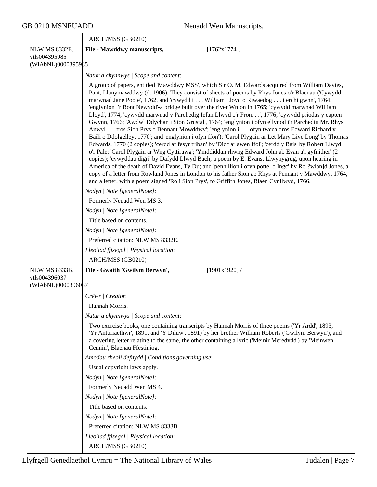|                                     | ARCH/MSS (GB0210)                                                                                                                                                                                                                                                                                                                                                                                                                                                                                                                                                                                                                                                                                                                                                                                                                                                                                                                                                                                                                                                                                                                                                                                                                                                                                                                                                                                                                                            |
|-------------------------------------|--------------------------------------------------------------------------------------------------------------------------------------------------------------------------------------------------------------------------------------------------------------------------------------------------------------------------------------------------------------------------------------------------------------------------------------------------------------------------------------------------------------------------------------------------------------------------------------------------------------------------------------------------------------------------------------------------------------------------------------------------------------------------------------------------------------------------------------------------------------------------------------------------------------------------------------------------------------------------------------------------------------------------------------------------------------------------------------------------------------------------------------------------------------------------------------------------------------------------------------------------------------------------------------------------------------------------------------------------------------------------------------------------------------------------------------------------------------|
| <b>NLW MS 8332E.</b>                | File - Mawddwy manuscripts,<br>$[1762x1774]$ .                                                                                                                                                                                                                                                                                                                                                                                                                                                                                                                                                                                                                                                                                                                                                                                                                                                                                                                                                                                                                                                                                                                                                                                                                                                                                                                                                                                                               |
| vtls004395985<br>(WIAbNL)0000395985 |                                                                                                                                                                                                                                                                                                                                                                                                                                                                                                                                                                                                                                                                                                                                                                                                                                                                                                                                                                                                                                                                                                                                                                                                                                                                                                                                                                                                                                                              |
|                                     |                                                                                                                                                                                                                                                                                                                                                                                                                                                                                                                                                                                                                                                                                                                                                                                                                                                                                                                                                                                                                                                                                                                                                                                                                                                                                                                                                                                                                                                              |
|                                     | Natur a chynnwys / Scope and content:                                                                                                                                                                                                                                                                                                                                                                                                                                                                                                                                                                                                                                                                                                                                                                                                                                                                                                                                                                                                                                                                                                                                                                                                                                                                                                                                                                                                                        |
|                                     | A group of papers, entitled 'Mawddwy MSS', which Sir O. M. Edwards acquired from William Davies,<br>Pant, Llanymawddwy (d. 1906). They consist of sheets of poems by Rhys Jones o'r Blaenau ('Cywydd<br>marwnad Jane Poole', 1762, and 'cywydd i  William Lloyd o Riwaedog  i erchi gwnn', 1764;<br>'englynion i'r Bont Newydd'-a bridge built over the river Wnion in 1765; 'cywydd marwnad William<br>Lloyd', 1774; 'cywydd marwnad y Parchedig Iefan Llwyd o'r Fron', 1776; 'cywydd priodas y capten<br>Gwynn, 1766; 'Awdwl Ddychan i Sion Grustal', 1764; 'englynion i ofyn ellynod i'r Parchedig Mr. Rhys<br>Anwyl tros Sion Prys o Bennant Mowddwy'; 'englynion i ofyn twcca dros Edward Richard y<br>Baili o Ddolgelley, 1770'; and 'englynion i ofyn ffon'); 'Carol Plygain ar Let Mary Live Long' by Thomas<br>Edwards, 1770 (2 copies); 'cerdd ar fesyr triban' by 'Dicc ar awen ffol'; 'cerdd y Bais' by Robert Llwyd<br>o'r Pale; 'Carol Plygain ar Wng Cyttirawg'; 'Ymddiddan rhwng Edward John ab Evan a'i gyfnither' (2<br>copies); 'cywyddau digri' by Dafydd Llwyd Bach; a poem by E. Evans, Llwynygrug, upon hearing in<br>America of the death of David Evans, Ty Du; and 'penhillion i ofyn pottel o Ingc' by Ro[?wlan]d Jones, a<br>copy of a letter from Rowland Jones in London to his father Sion ap Rhys at Pennant y Mawddwy, 1764,<br>and a letter, with a poem signed 'Roli Sion Prys', to Griffith Jones, Blaen Cynllwyd, 1766. |
|                                     | Nodyn   Note [generalNote]:                                                                                                                                                                                                                                                                                                                                                                                                                                                                                                                                                                                                                                                                                                                                                                                                                                                                                                                                                                                                                                                                                                                                                                                                                                                                                                                                                                                                                                  |
|                                     | Formerly Neuadd Wen MS 3.                                                                                                                                                                                                                                                                                                                                                                                                                                                                                                                                                                                                                                                                                                                                                                                                                                                                                                                                                                                                                                                                                                                                                                                                                                                                                                                                                                                                                                    |
|                                     | Nodyn   Note [generalNote]:                                                                                                                                                                                                                                                                                                                                                                                                                                                                                                                                                                                                                                                                                                                                                                                                                                                                                                                                                                                                                                                                                                                                                                                                                                                                                                                                                                                                                                  |
|                                     | Title based on contents.                                                                                                                                                                                                                                                                                                                                                                                                                                                                                                                                                                                                                                                                                                                                                                                                                                                                                                                                                                                                                                                                                                                                                                                                                                                                                                                                                                                                                                     |
|                                     | Nodyn   Note [generalNote]:                                                                                                                                                                                                                                                                                                                                                                                                                                                                                                                                                                                                                                                                                                                                                                                                                                                                                                                                                                                                                                                                                                                                                                                                                                                                                                                                                                                                                                  |
|                                     | Preferred citation: NLW MS 8332E.                                                                                                                                                                                                                                                                                                                                                                                                                                                                                                                                                                                                                                                                                                                                                                                                                                                                                                                                                                                                                                                                                                                                                                                                                                                                                                                                                                                                                            |
|                                     | Lleoliad ffisegol   Physical location:                                                                                                                                                                                                                                                                                                                                                                                                                                                                                                                                                                                                                                                                                                                                                                                                                                                                                                                                                                                                                                                                                                                                                                                                                                                                                                                                                                                                                       |
|                                     | ARCH/MSS (GB0210)                                                                                                                                                                                                                                                                                                                                                                                                                                                                                                                                                                                                                                                                                                                                                                                                                                                                                                                                                                                                                                                                                                                                                                                                                                                                                                                                                                                                                                            |
| <b>NLW MS 8333B.</b>                | File - Gwaith 'Gwilym Berwyn',<br>[1901x1920]                                                                                                                                                                                                                                                                                                                                                                                                                                                                                                                                                                                                                                                                                                                                                                                                                                                                                                                                                                                                                                                                                                                                                                                                                                                                                                                                                                                                                |
| vtls004396037<br>(WIAbNL)0000396087 |                                                                                                                                                                                                                                                                                                                                                                                                                                                                                                                                                                                                                                                                                                                                                                                                                                                                                                                                                                                                                                                                                                                                                                                                                                                                                                                                                                                                                                                              |
|                                     | Crëwr   Creator:                                                                                                                                                                                                                                                                                                                                                                                                                                                                                                                                                                                                                                                                                                                                                                                                                                                                                                                                                                                                                                                                                                                                                                                                                                                                                                                                                                                                                                             |
|                                     | Hannah Morris.                                                                                                                                                                                                                                                                                                                                                                                                                                                                                                                                                                                                                                                                                                                                                                                                                                                                                                                                                                                                                                                                                                                                                                                                                                                                                                                                                                                                                                               |
|                                     | Natur a chynnwys / Scope and content:                                                                                                                                                                                                                                                                                                                                                                                                                                                                                                                                                                                                                                                                                                                                                                                                                                                                                                                                                                                                                                                                                                                                                                                                                                                                                                                                                                                                                        |
|                                     | Two exercise books, one containing transcripts by Hannah Morris of three poems ('Yr Ardd', 1893,<br>'Yr Anturiaethwr', 1891, and 'Y Diluw', 1891) by her brother William Roberts ('Gwilym Berwyn'), and<br>a covering letter relating to the same, the other containing a lyric ('Meinir Meredydd') by 'Meinwen<br>Cennin', Blaenau Ffestiniog.                                                                                                                                                                                                                                                                                                                                                                                                                                                                                                                                                                                                                                                                                                                                                                                                                                                                                                                                                                                                                                                                                                              |
|                                     | Amodau rheoli defnydd   Conditions governing use:                                                                                                                                                                                                                                                                                                                                                                                                                                                                                                                                                                                                                                                                                                                                                                                                                                                                                                                                                                                                                                                                                                                                                                                                                                                                                                                                                                                                            |
|                                     | Usual copyright laws apply.                                                                                                                                                                                                                                                                                                                                                                                                                                                                                                                                                                                                                                                                                                                                                                                                                                                                                                                                                                                                                                                                                                                                                                                                                                                                                                                                                                                                                                  |
|                                     | Nodyn   Note [generalNote]:                                                                                                                                                                                                                                                                                                                                                                                                                                                                                                                                                                                                                                                                                                                                                                                                                                                                                                                                                                                                                                                                                                                                                                                                                                                                                                                                                                                                                                  |
|                                     | Formerly Neuadd Wen MS 4.                                                                                                                                                                                                                                                                                                                                                                                                                                                                                                                                                                                                                                                                                                                                                                                                                                                                                                                                                                                                                                                                                                                                                                                                                                                                                                                                                                                                                                    |
|                                     | Nodyn   Note [generalNote]:                                                                                                                                                                                                                                                                                                                                                                                                                                                                                                                                                                                                                                                                                                                                                                                                                                                                                                                                                                                                                                                                                                                                                                                                                                                                                                                                                                                                                                  |
|                                     | Title based on contents.                                                                                                                                                                                                                                                                                                                                                                                                                                                                                                                                                                                                                                                                                                                                                                                                                                                                                                                                                                                                                                                                                                                                                                                                                                                                                                                                                                                                                                     |
|                                     | Nodyn   Note [generalNote]:                                                                                                                                                                                                                                                                                                                                                                                                                                                                                                                                                                                                                                                                                                                                                                                                                                                                                                                                                                                                                                                                                                                                                                                                                                                                                                                                                                                                                                  |
|                                     | Preferred citation: NLW MS 8333B.                                                                                                                                                                                                                                                                                                                                                                                                                                                                                                                                                                                                                                                                                                                                                                                                                                                                                                                                                                                                                                                                                                                                                                                                                                                                                                                                                                                                                            |
|                                     | Lleoliad ffisegol   Physical location:                                                                                                                                                                                                                                                                                                                                                                                                                                                                                                                                                                                                                                                                                                                                                                                                                                                                                                                                                                                                                                                                                                                                                                                                                                                                                                                                                                                                                       |
|                                     | ARCH/MSS (GB0210)                                                                                                                                                                                                                                                                                                                                                                                                                                                                                                                                                                                                                                                                                                                                                                                                                                                                                                                                                                                                                                                                                                                                                                                                                                                                                                                                                                                                                                            |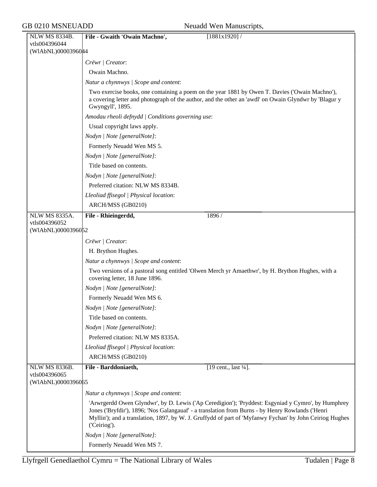| NLW MS 8334B.        | File - Gwaith 'Owain Machno',<br>[1881x1920]                                                                                                                                                                                                                                                                                      |
|----------------------|-----------------------------------------------------------------------------------------------------------------------------------------------------------------------------------------------------------------------------------------------------------------------------------------------------------------------------------|
| vtls004396044        |                                                                                                                                                                                                                                                                                                                                   |
| (WIAbNL)0000396044   |                                                                                                                                                                                                                                                                                                                                   |
|                      | Crëwr   Creator:                                                                                                                                                                                                                                                                                                                  |
|                      | Owain Machno.                                                                                                                                                                                                                                                                                                                     |
|                      | Natur a chynnwys / Scope and content:                                                                                                                                                                                                                                                                                             |
|                      | Two exercise books, one containing a poem on the year 1881 by Owen T. Davies ('Owain Machno'),<br>a covering letter and photograph of the author, and the other an 'awdl' on Owain Glyndwr by 'Blagur y<br>Gwyngyll', 1895.                                                                                                       |
|                      | Amodau rheoli defnydd   Conditions governing use:                                                                                                                                                                                                                                                                                 |
|                      | Usual copyright laws apply.                                                                                                                                                                                                                                                                                                       |
|                      | Nodyn   Note [generalNote]:                                                                                                                                                                                                                                                                                                       |
|                      | Formerly Neuadd Wen MS 5.                                                                                                                                                                                                                                                                                                         |
|                      | Nodyn   Note [generalNote]:                                                                                                                                                                                                                                                                                                       |
|                      | Title based on contents.                                                                                                                                                                                                                                                                                                          |
|                      | Nodyn   Note [generalNote]:                                                                                                                                                                                                                                                                                                       |
|                      | Preferred citation: NLW MS 8334B.                                                                                                                                                                                                                                                                                                 |
|                      | Lleoliad ffisegol   Physical location:                                                                                                                                                                                                                                                                                            |
|                      | ARCH/MSS (GB0210)                                                                                                                                                                                                                                                                                                                 |
| <b>NLW MS 8335A.</b> | File - Rhieingerdd,<br>1896 /                                                                                                                                                                                                                                                                                                     |
| vtls004396052        |                                                                                                                                                                                                                                                                                                                                   |
| (WIAbNL)0000396052   |                                                                                                                                                                                                                                                                                                                                   |
|                      | Crëwr   Creator:                                                                                                                                                                                                                                                                                                                  |
|                      | H. Brython Hughes.                                                                                                                                                                                                                                                                                                                |
|                      | Natur a chynnwys / Scope and content:                                                                                                                                                                                                                                                                                             |
|                      | Two versions of a pastoral song entitled 'Olwen Merch yr Amaethwr', by H. Brython Hughes, with a<br>covering letter, 18 June 1896.                                                                                                                                                                                                |
|                      | Nodyn   Note [generalNote]:                                                                                                                                                                                                                                                                                                       |
|                      | Formerly Neuadd Wen MS 6.                                                                                                                                                                                                                                                                                                         |
|                      | Nodyn   Note [generalNote]:                                                                                                                                                                                                                                                                                                       |
|                      | Title based on contents.                                                                                                                                                                                                                                                                                                          |
|                      | Nodyn   Note [generalNote]:                                                                                                                                                                                                                                                                                                       |
|                      | Preferred citation: NLW MS 8335A.                                                                                                                                                                                                                                                                                                 |
|                      | Lleoliad ffisegol   Physical location:                                                                                                                                                                                                                                                                                            |
|                      | ARCH/MSS (GB0210)                                                                                                                                                                                                                                                                                                                 |
| NLW MS 8336B.        | File - Barddoniaeth,<br>[19 cent., last 1/4].                                                                                                                                                                                                                                                                                     |
| vtls004396065        |                                                                                                                                                                                                                                                                                                                                   |
| (WIAbNL)0000396065   |                                                                                                                                                                                                                                                                                                                                   |
|                      | Natur a chynnwys / Scope and content:                                                                                                                                                                                                                                                                                             |
|                      | 'Arwrgerdd Owen Glyndwr', by D. Lewis ('Ap Ceredigion'); 'Pryddest: Esgyniad y Cymro', by Humphrey<br>Jones ('Bryfdir'), 1896; 'Nos Galangauaf' - a translation from Burns - by Henry Rowlands ('Henri<br>Myllin'); and a translation, 1897, by W. J. Gruffydd of part of 'Myfanwy Fychan' by John Ceiriog Hughes<br>('Ceiriog'). |
|                      | Nodyn   Note [generalNote]:                                                                                                                                                                                                                                                                                                       |
|                      | Formerly Neuadd Wen MS 7.                                                                                                                                                                                                                                                                                                         |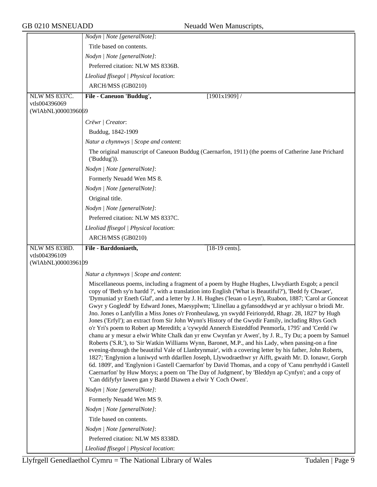|                      | Nodyn   Note [generalNote]:                                                                                                                                                                                                                                                                                                                                                                                                                                                                                                                                                                                                                                                                                                                                                                                                                                                                                                                                                                                                                                                                                                                                                                                                                                                                                                                                                                                                                                  |
|----------------------|--------------------------------------------------------------------------------------------------------------------------------------------------------------------------------------------------------------------------------------------------------------------------------------------------------------------------------------------------------------------------------------------------------------------------------------------------------------------------------------------------------------------------------------------------------------------------------------------------------------------------------------------------------------------------------------------------------------------------------------------------------------------------------------------------------------------------------------------------------------------------------------------------------------------------------------------------------------------------------------------------------------------------------------------------------------------------------------------------------------------------------------------------------------------------------------------------------------------------------------------------------------------------------------------------------------------------------------------------------------------------------------------------------------------------------------------------------------|
|                      | Title based on contents.                                                                                                                                                                                                                                                                                                                                                                                                                                                                                                                                                                                                                                                                                                                                                                                                                                                                                                                                                                                                                                                                                                                                                                                                                                                                                                                                                                                                                                     |
|                      | Nodyn   Note [generalNote]:                                                                                                                                                                                                                                                                                                                                                                                                                                                                                                                                                                                                                                                                                                                                                                                                                                                                                                                                                                                                                                                                                                                                                                                                                                                                                                                                                                                                                                  |
|                      | Preferred citation: NLW MS 8336B.                                                                                                                                                                                                                                                                                                                                                                                                                                                                                                                                                                                                                                                                                                                                                                                                                                                                                                                                                                                                                                                                                                                                                                                                                                                                                                                                                                                                                            |
|                      | Lleoliad ffisegol   Physical location:                                                                                                                                                                                                                                                                                                                                                                                                                                                                                                                                                                                                                                                                                                                                                                                                                                                                                                                                                                                                                                                                                                                                                                                                                                                                                                                                                                                                                       |
|                      | ARCH/MSS (GB0210)                                                                                                                                                                                                                                                                                                                                                                                                                                                                                                                                                                                                                                                                                                                                                                                                                                                                                                                                                                                                                                                                                                                                                                                                                                                                                                                                                                                                                                            |
| <b>NLW MS 8337C.</b> | File - Caneuon 'Buddug',<br>$[1901x1909]$ /                                                                                                                                                                                                                                                                                                                                                                                                                                                                                                                                                                                                                                                                                                                                                                                                                                                                                                                                                                                                                                                                                                                                                                                                                                                                                                                                                                                                                  |
| vtls004396069        |                                                                                                                                                                                                                                                                                                                                                                                                                                                                                                                                                                                                                                                                                                                                                                                                                                                                                                                                                                                                                                                                                                                                                                                                                                                                                                                                                                                                                                                              |
| (WIAbNL)0000396069   |                                                                                                                                                                                                                                                                                                                                                                                                                                                                                                                                                                                                                                                                                                                                                                                                                                                                                                                                                                                                                                                                                                                                                                                                                                                                                                                                                                                                                                                              |
|                      | Crëwr   Creator:                                                                                                                                                                                                                                                                                                                                                                                                                                                                                                                                                                                                                                                                                                                                                                                                                                                                                                                                                                                                                                                                                                                                                                                                                                                                                                                                                                                                                                             |
|                      | Buddug, 1842-1909                                                                                                                                                                                                                                                                                                                                                                                                                                                                                                                                                                                                                                                                                                                                                                                                                                                                                                                                                                                                                                                                                                                                                                                                                                                                                                                                                                                                                                            |
|                      | Natur a chynnwys / Scope and content:                                                                                                                                                                                                                                                                                                                                                                                                                                                                                                                                                                                                                                                                                                                                                                                                                                                                                                                                                                                                                                                                                                                                                                                                                                                                                                                                                                                                                        |
|                      | The original manuscript of Caneuon Buddug (Caernarfon, 1911) (the poems of Catherine Jane Prichard<br>$($ 'Buddug' $)).$                                                                                                                                                                                                                                                                                                                                                                                                                                                                                                                                                                                                                                                                                                                                                                                                                                                                                                                                                                                                                                                                                                                                                                                                                                                                                                                                     |
|                      | Nodyn   Note [generalNote]:                                                                                                                                                                                                                                                                                                                                                                                                                                                                                                                                                                                                                                                                                                                                                                                                                                                                                                                                                                                                                                                                                                                                                                                                                                                                                                                                                                                                                                  |
|                      | Formerly Neuadd Wen MS 8.                                                                                                                                                                                                                                                                                                                                                                                                                                                                                                                                                                                                                                                                                                                                                                                                                                                                                                                                                                                                                                                                                                                                                                                                                                                                                                                                                                                                                                    |
|                      | Nodyn   Note [generalNote]:                                                                                                                                                                                                                                                                                                                                                                                                                                                                                                                                                                                                                                                                                                                                                                                                                                                                                                                                                                                                                                                                                                                                                                                                                                                                                                                                                                                                                                  |
|                      | Original title.                                                                                                                                                                                                                                                                                                                                                                                                                                                                                                                                                                                                                                                                                                                                                                                                                                                                                                                                                                                                                                                                                                                                                                                                                                                                                                                                                                                                                                              |
|                      | Nodyn   Note [generalNote]:                                                                                                                                                                                                                                                                                                                                                                                                                                                                                                                                                                                                                                                                                                                                                                                                                                                                                                                                                                                                                                                                                                                                                                                                                                                                                                                                                                                                                                  |
|                      | Preferred citation: NLW MS 8337C.                                                                                                                                                                                                                                                                                                                                                                                                                                                                                                                                                                                                                                                                                                                                                                                                                                                                                                                                                                                                                                                                                                                                                                                                                                                                                                                                                                                                                            |
|                      | Lleoliad ffisegol   Physical location:                                                                                                                                                                                                                                                                                                                                                                                                                                                                                                                                                                                                                                                                                                                                                                                                                                                                                                                                                                                                                                                                                                                                                                                                                                                                                                                                                                                                                       |
|                      | ARCH/MSS (GB0210)                                                                                                                                                                                                                                                                                                                                                                                                                                                                                                                                                                                                                                                                                                                                                                                                                                                                                                                                                                                                                                                                                                                                                                                                                                                                                                                                                                                                                                            |
|                      |                                                                                                                                                                                                                                                                                                                                                                                                                                                                                                                                                                                                                                                                                                                                                                                                                                                                                                                                                                                                                                                                                                                                                                                                                                                                                                                                                                                                                                                              |
| <b>NLW MS 8338D.</b> | File - Barddoniaeth,<br>$[18-19 \text{ cents}]$ .                                                                                                                                                                                                                                                                                                                                                                                                                                                                                                                                                                                                                                                                                                                                                                                                                                                                                                                                                                                                                                                                                                                                                                                                                                                                                                                                                                                                            |
| vtls004396109        |                                                                                                                                                                                                                                                                                                                                                                                                                                                                                                                                                                                                                                                                                                                                                                                                                                                                                                                                                                                                                                                                                                                                                                                                                                                                                                                                                                                                                                                              |
| (WIAbNL)0000396109   |                                                                                                                                                                                                                                                                                                                                                                                                                                                                                                                                                                                                                                                                                                                                                                                                                                                                                                                                                                                                                                                                                                                                                                                                                                                                                                                                                                                                                                                              |
|                      | Natur a chynnwys / Scope and content:                                                                                                                                                                                                                                                                                                                                                                                                                                                                                                                                                                                                                                                                                                                                                                                                                                                                                                                                                                                                                                                                                                                                                                                                                                                                                                                                                                                                                        |
|                      | Miscellaneous poems, including a fragment of a poem by Hughe Hughes, Llwydiarth Esgob; a pencil<br>copy of 'Beth sy'n hardd ?', with a translation into English ('What is Beautiful?'), 'Bedd fy Chwaer',<br>'Dymuniad yr Eneth Glaf', and a letter by J. H. Hughes ('Ieuan o Leyn'), Ruabon, 1887; 'Carol ar Gonceat<br>Gwyr y Gogledd' by Edward Jones, Maesyplwm; 'Llinellau a gyfansoddwyd ar yr achlysur o briodi Mr.<br>Jno. Jones o Lanfyllin a Miss Jones o'r Fronheulawg, yn swydd Feirionydd, Rhagr. 28, 1827' by Hugh<br>Jones ('Erfyl'); an extract from Sir John Wynn's History of the Gwydir Family, including Rhys Goch<br>o'r Yri's poem to Robert ap Meredith; a 'cywydd Annerch Eisteddfod Penmorfa, 1795' and 'Cerdd i'w<br>chanu ar y mesur a elwir White Chalk dan yr enw Cwynfan yr Awen', by J. R., Ty Du; a poem by Samuel<br>Roberts ('S.R.'), to 'Sir Watkin Williams Wynn, Baronet, M.P., and his Lady, when passing-on a fine<br>evening-through the beautiful Vale of Llanbrynmair', with a covering letter by his father, John Roberts,<br>1827; 'Englynion a luniwyd wrth ddarllen Joseph, Llywodraethwr yr Aifft, gwaith Mr. D. Ionawr, Gorph<br>6d. 1809', and 'Englynion i Gastell Caernarfon' by David Thomas, and a copy of 'Canu penrhydd i Gastell<br>Caernarfon' by Huw Morys; a poem on 'The Day of Judgment', by 'Bleddyn ap Cynfyn'; and a copy of<br>'Can ddifyfyr lawen gan y Bardd Diawen a elwir Y Coch Owen'. |
|                      | Nodyn   Note [generalNote]:                                                                                                                                                                                                                                                                                                                                                                                                                                                                                                                                                                                                                                                                                                                                                                                                                                                                                                                                                                                                                                                                                                                                                                                                                                                                                                                                                                                                                                  |
|                      | Formerly Neuadd Wen MS 9.                                                                                                                                                                                                                                                                                                                                                                                                                                                                                                                                                                                                                                                                                                                                                                                                                                                                                                                                                                                                                                                                                                                                                                                                                                                                                                                                                                                                                                    |
|                      | Nodyn   Note [generalNote]:                                                                                                                                                                                                                                                                                                                                                                                                                                                                                                                                                                                                                                                                                                                                                                                                                                                                                                                                                                                                                                                                                                                                                                                                                                                                                                                                                                                                                                  |
|                      | Title based on contents.                                                                                                                                                                                                                                                                                                                                                                                                                                                                                                                                                                                                                                                                                                                                                                                                                                                                                                                                                                                                                                                                                                                                                                                                                                                                                                                                                                                                                                     |
|                      | Nodyn   Note [generalNote]:                                                                                                                                                                                                                                                                                                                                                                                                                                                                                                                                                                                                                                                                                                                                                                                                                                                                                                                                                                                                                                                                                                                                                                                                                                                                                                                                                                                                                                  |
|                      | Preferred citation: NLW MS 8338D.                                                                                                                                                                                                                                                                                                                                                                                                                                                                                                                                                                                                                                                                                                                                                                                                                                                                                                                                                                                                                                                                                                                                                                                                                                                                                                                                                                                                                            |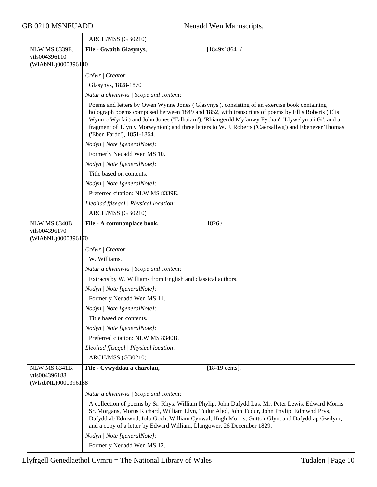|                                       | ARCH/MSS (GB0210)                                                                                                                                                                                                                                                                                                                                                                                                                                |
|---------------------------------------|--------------------------------------------------------------------------------------------------------------------------------------------------------------------------------------------------------------------------------------------------------------------------------------------------------------------------------------------------------------------------------------------------------------------------------------------------|
| <b>NLW MS 8339E.</b>                  | File - Gwaith Glasynys,<br>$[1849x1864]$ /                                                                                                                                                                                                                                                                                                                                                                                                       |
| vtls004396110                         |                                                                                                                                                                                                                                                                                                                                                                                                                                                  |
| (WIAbNL)00003961 10                   |                                                                                                                                                                                                                                                                                                                                                                                                                                                  |
|                                       | Crëwr   Creator:                                                                                                                                                                                                                                                                                                                                                                                                                                 |
|                                       | Glasynys, 1828-1870                                                                                                                                                                                                                                                                                                                                                                                                                              |
|                                       | Natur a chynnwys / Scope and content:                                                                                                                                                                                                                                                                                                                                                                                                            |
|                                       | Poems and letters by Owen Wynne Jones ('Glasynys'), consisting of an exercise book containing<br>holograph poems composed between 1849 and 1852, with transcripts of poems by Ellis Roberts ('Elis<br>Wynn o Wyrfai') and John Jones ('Talhaiarn'); 'Rhiangerdd Myfanwy Fychan', 'Llywelyn a'i Gi', and a<br>fragment of 'Llyn y Morwynion'; and three letters to W. J. Roberts ('Caersallwg') and Ebenezer Thomas<br>('Eben Fardd'), 1851-1864. |
|                                       | Nodyn   Note [generalNote]:                                                                                                                                                                                                                                                                                                                                                                                                                      |
|                                       | Formerly Neuadd Wen MS 10.                                                                                                                                                                                                                                                                                                                                                                                                                       |
|                                       | Nodyn   Note [generalNote]:                                                                                                                                                                                                                                                                                                                                                                                                                      |
|                                       | Title based on contents.                                                                                                                                                                                                                                                                                                                                                                                                                         |
|                                       | Nodyn   Note [generalNote]:                                                                                                                                                                                                                                                                                                                                                                                                                      |
|                                       | Preferred citation: NLW MS 8339E.                                                                                                                                                                                                                                                                                                                                                                                                                |
|                                       | Lleoliad ffisegol   Physical location:                                                                                                                                                                                                                                                                                                                                                                                                           |
|                                       | ARCH/MSS (GB0210)                                                                                                                                                                                                                                                                                                                                                                                                                                |
| NLW MS 8340B.                         | File - A commonplace book,<br>1826 /                                                                                                                                                                                                                                                                                                                                                                                                             |
| vtls004396170<br>(WIAbNL)0000396170   |                                                                                                                                                                                                                                                                                                                                                                                                                                                  |
|                                       |                                                                                                                                                                                                                                                                                                                                                                                                                                                  |
|                                       | Crëwr   Creator:                                                                                                                                                                                                                                                                                                                                                                                                                                 |
|                                       | W. Williams.                                                                                                                                                                                                                                                                                                                                                                                                                                     |
|                                       | Natur a chynnwys / Scope and content:                                                                                                                                                                                                                                                                                                                                                                                                            |
|                                       | Extracts by W. Williams from English and classical authors.                                                                                                                                                                                                                                                                                                                                                                                      |
|                                       | Nodyn   Note [generalNote]:                                                                                                                                                                                                                                                                                                                                                                                                                      |
|                                       | Formerly Neuadd Wen MS 11.                                                                                                                                                                                                                                                                                                                                                                                                                       |
|                                       | Nodyn   Note [generalNote]:                                                                                                                                                                                                                                                                                                                                                                                                                      |
|                                       | Title based on contents.                                                                                                                                                                                                                                                                                                                                                                                                                         |
|                                       | Nodyn   Note [generalNote]:                                                                                                                                                                                                                                                                                                                                                                                                                      |
|                                       | Preferred citation: NLW MS 8340B.                                                                                                                                                                                                                                                                                                                                                                                                                |
|                                       | Lleoliad ffisegol   Physical location:                                                                                                                                                                                                                                                                                                                                                                                                           |
|                                       | ARCH/MSS (GB0210)                                                                                                                                                                                                                                                                                                                                                                                                                                |
| <b>NLW MS 8341B.</b><br>vtls004396188 | File - Cywyddau a charolau,<br>$[18-19 \text{ cents}]$ .                                                                                                                                                                                                                                                                                                                                                                                         |
| (WIAbNL)0000396188                    |                                                                                                                                                                                                                                                                                                                                                                                                                                                  |
|                                       | Natur a chynnwys / Scope and content:                                                                                                                                                                                                                                                                                                                                                                                                            |
|                                       | A collection of poems by Sr. Rhys, William Phylip, John Dafydd Las, Mr. Peter Lewis, Edward Morris,<br>Sr. Morgans, Morus Richard, William Llyn, Tudur Aled, John Tudur, John Phylip, Edmwnd Prys,<br>Dafydd ab Edmwnd, Iolo Goch, William Cynwal, Hugh Morris, Gutto'r Glyn, and Dafydd ap Gwilym;<br>and a copy of a letter by Edward William, Llangower, 26 December 1829.                                                                    |
|                                       | Nodyn   Note [generalNote]:                                                                                                                                                                                                                                                                                                                                                                                                                      |
|                                       | Formerly Neuadd Wen MS 12.                                                                                                                                                                                                                                                                                                                                                                                                                       |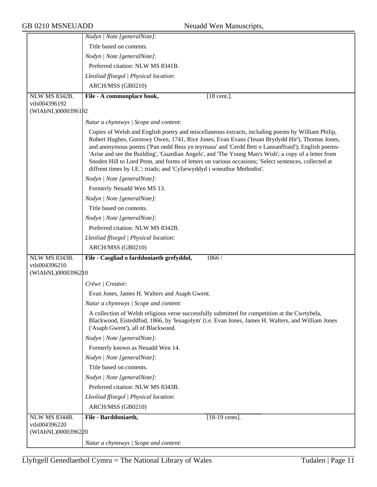|                                     | Nodyn   Note [generalNote]:                                                                                                                                                                                                                                                                                                                                                                                                                                                                                                                                                                          |
|-------------------------------------|------------------------------------------------------------------------------------------------------------------------------------------------------------------------------------------------------------------------------------------------------------------------------------------------------------------------------------------------------------------------------------------------------------------------------------------------------------------------------------------------------------------------------------------------------------------------------------------------------|
|                                     | Title based on contents.                                                                                                                                                                                                                                                                                                                                                                                                                                                                                                                                                                             |
|                                     | Nodyn   Note [generalNote]:                                                                                                                                                                                                                                                                                                                                                                                                                                                                                                                                                                          |
|                                     | Preferred citation: NLW MS 8341B.                                                                                                                                                                                                                                                                                                                                                                                                                                                                                                                                                                    |
|                                     | Lleoliad ffisegol   Physical location:                                                                                                                                                                                                                                                                                                                                                                                                                                                                                                                                                               |
|                                     | ARCH/MSS (GB0210)                                                                                                                                                                                                                                                                                                                                                                                                                                                                                                                                                                                    |
| <b>NLW MS 8342B.</b>                | $[18$ cent.].<br>File - A commonplace book,                                                                                                                                                                                                                                                                                                                                                                                                                                                                                                                                                          |
| vtls004396192                       |                                                                                                                                                                                                                                                                                                                                                                                                                                                                                                                                                                                                      |
| (WIAbNL)0000396192                  |                                                                                                                                                                                                                                                                                                                                                                                                                                                                                                                                                                                                      |
|                                     | Natur a chynnwys / Scope and content:                                                                                                                                                                                                                                                                                                                                                                                                                                                                                                                                                                |
|                                     | Copies of Welsh and English poetry and miscellaneous extracts, including poems by William Philip,<br>Robert Hughes, Goronwy Owen, 1741, Rice Jones, Evan Evans ('Ieuan Brydydd Hir'), Thomas Jones,<br>and anonymous poems ('Pan oedd Bess yn teyrnasu' and 'Cerdd Bett o Lansanffraid'); English poems-<br>'Arise and see the Building', 'Guardian Angels', and 'The Young Man's Wish'; a copy of a letter from<br>Snoden Hill to Lord Penn, and forms of letters on various occasions; 'Select sentences, collected at<br>diffrent times by I.E.'; triads; and 'Cyfarwyddyd i wneuthur Methodist'. |
|                                     | Nodyn   Note [generalNote]:                                                                                                                                                                                                                                                                                                                                                                                                                                                                                                                                                                          |
|                                     | Formerly Neuadd Wen MS 13.                                                                                                                                                                                                                                                                                                                                                                                                                                                                                                                                                                           |
|                                     | Nodyn   Note [generalNote]:                                                                                                                                                                                                                                                                                                                                                                                                                                                                                                                                                                          |
|                                     | Title based on contents.                                                                                                                                                                                                                                                                                                                                                                                                                                                                                                                                                                             |
|                                     | Nodyn   Note [generalNote]:                                                                                                                                                                                                                                                                                                                                                                                                                                                                                                                                                                          |
|                                     | Preferred citation: NLW MS 8342B.                                                                                                                                                                                                                                                                                                                                                                                                                                                                                                                                                                    |
|                                     | Lleoliad ffisegol   Physical location:                                                                                                                                                                                                                                                                                                                                                                                                                                                                                                                                                               |
|                                     | ARCH/MSS (GB0210)                                                                                                                                                                                                                                                                                                                                                                                                                                                                                                                                                                                    |
| <b>NLW MS 8343B.</b>                | File - Casgliad o farddoniaeth grefyddol,<br>1866 /                                                                                                                                                                                                                                                                                                                                                                                                                                                                                                                                                  |
| vtls004396210<br>(WIAbNL)0000396210 |                                                                                                                                                                                                                                                                                                                                                                                                                                                                                                                                                                                                      |
|                                     | Crëwr   Creator:                                                                                                                                                                                                                                                                                                                                                                                                                                                                                                                                                                                     |
|                                     | Evan Jones, James H. Walters and Asaph Gwent.                                                                                                                                                                                                                                                                                                                                                                                                                                                                                                                                                        |
|                                     | Natur a chynnwys / Scope and content:                                                                                                                                                                                                                                                                                                                                                                                                                                                                                                                                                                |
|                                     |                                                                                                                                                                                                                                                                                                                                                                                                                                                                                                                                                                                                      |
|                                     | A collection of Welsh religious verse successfully submitted for competition at the Cwrtybela,<br>Blackwood, Eisteddfod, 1866, by 'Ieuagolym' (i.e. Evan Jones, James H. Walters, and William Jones<br>('Asaph Gwent'), all of Blackwood.                                                                                                                                                                                                                                                                                                                                                            |
|                                     | Nodyn   Note [generalNote]:                                                                                                                                                                                                                                                                                                                                                                                                                                                                                                                                                                          |
|                                     | Formerly known as Neuadd Wen 14.                                                                                                                                                                                                                                                                                                                                                                                                                                                                                                                                                                     |
|                                     | Nodyn   Note [generalNote]:                                                                                                                                                                                                                                                                                                                                                                                                                                                                                                                                                                          |
|                                     | Title based on contents.                                                                                                                                                                                                                                                                                                                                                                                                                                                                                                                                                                             |
|                                     | Nodyn   Note [generalNote]:                                                                                                                                                                                                                                                                                                                                                                                                                                                                                                                                                                          |
|                                     | Preferred citation: NLW MS 8343B.                                                                                                                                                                                                                                                                                                                                                                                                                                                                                                                                                                    |
|                                     | Lleoliad ffisegol   Physical location:                                                                                                                                                                                                                                                                                                                                                                                                                                                                                                                                                               |
|                                     | ARCH/MSS (GB0210)                                                                                                                                                                                                                                                                                                                                                                                                                                                                                                                                                                                    |
| <b>NLW MS 8344B.</b>                | File - Barddoniaeth,<br>$[18-19 \text{ cents}]$ .                                                                                                                                                                                                                                                                                                                                                                                                                                                                                                                                                    |
| vtls004396220                       |                                                                                                                                                                                                                                                                                                                                                                                                                                                                                                                                                                                                      |
| (WIAbNL)0000396220                  |                                                                                                                                                                                                                                                                                                                                                                                                                                                                                                                                                                                                      |
|                                     | Natur a chynnwys / Scope and content:                                                                                                                                                                                                                                                                                                                                                                                                                                                                                                                                                                |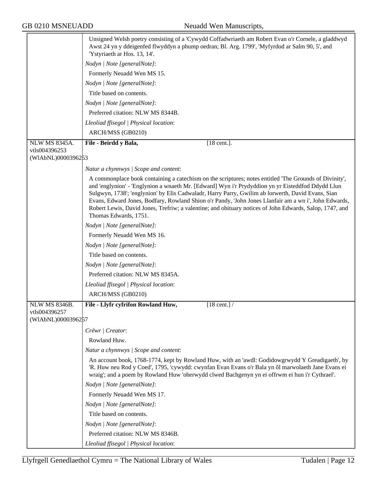|                      | Unsigned Welsh poetry consisting of a 'Cywydd Coffadwriaeth am Robert Evan o'r Cornele, a gladdwyd<br>Awst 24 yn y ddeigenfed flwyddyn a phump oedran; Bl. Arg. 1799', 'Myfyrdod ar Salm 90, 5', and<br>'Ystyriaeth ar Hos. 13, 14'.                                                                                                                                                                                                                                                                                                                          |
|----------------------|---------------------------------------------------------------------------------------------------------------------------------------------------------------------------------------------------------------------------------------------------------------------------------------------------------------------------------------------------------------------------------------------------------------------------------------------------------------------------------------------------------------------------------------------------------------|
|                      | Nodyn   Note [generalNote]:                                                                                                                                                                                                                                                                                                                                                                                                                                                                                                                                   |
|                      | Formerly Neuadd Wen MS 15.                                                                                                                                                                                                                                                                                                                                                                                                                                                                                                                                    |
|                      | Nodyn   Note [generalNote]:                                                                                                                                                                                                                                                                                                                                                                                                                                                                                                                                   |
|                      | Title based on contents.                                                                                                                                                                                                                                                                                                                                                                                                                                                                                                                                      |
|                      | Nodyn   Note [generalNote]:                                                                                                                                                                                                                                                                                                                                                                                                                                                                                                                                   |
|                      | Preferred citation: NLW MS 8344B.                                                                                                                                                                                                                                                                                                                                                                                                                                                                                                                             |
|                      | Lleoliad ffisegol   Physical location:                                                                                                                                                                                                                                                                                                                                                                                                                                                                                                                        |
|                      | ARCH/MSS (GB0210)                                                                                                                                                                                                                                                                                                                                                                                                                                                                                                                                             |
| <b>NLW MS 8345A.</b> | File - Beirdd y Bala,<br>$[18 \text{ cent.}]$ .                                                                                                                                                                                                                                                                                                                                                                                                                                                                                                               |
| vtls004396253        |                                                                                                                                                                                                                                                                                                                                                                                                                                                                                                                                                               |
| (WIAbNL)0000396253   |                                                                                                                                                                                                                                                                                                                                                                                                                                                                                                                                                               |
|                      | Natur a chynnwys   Scope and content:                                                                                                                                                                                                                                                                                                                                                                                                                                                                                                                         |
|                      | A commonplace book containing a catechism on the scriptures; notes entitled 'The Grounds of Divinity',<br>and 'englynion' - 'Englynion a wnaeth Mr. [Edward] Wyn i'r Prydyddion yn yr Eisteddfod Ddydd Llun<br>Sulgwyn, 1738'; 'englynion' by Elis Cadwaladr, Harry Parry, Gwilim ab lorwerth, David Evans, Sian<br>Evans, Edward Jones, Bodfary, Rowland Shion o'r Pandy, 'John Jones Llanfair am a wn i', John Edwards,<br>Robert Lewis, David Jones, Trefriw; a valentine; and obituary notices of John Edwards, Salop, 1747, and<br>Thomas Edwards, 1751. |
|                      | Nodyn   Note [generalNote]:                                                                                                                                                                                                                                                                                                                                                                                                                                                                                                                                   |
|                      | Formerly Neuadd Wen MS 16.                                                                                                                                                                                                                                                                                                                                                                                                                                                                                                                                    |
|                      | Nodyn   Note [generalNote]:                                                                                                                                                                                                                                                                                                                                                                                                                                                                                                                                   |
|                      | Title based on contents.                                                                                                                                                                                                                                                                                                                                                                                                                                                                                                                                      |
|                      | Nodyn   Note [generalNote]:                                                                                                                                                                                                                                                                                                                                                                                                                                                                                                                                   |
|                      | Preferred citation: NLW MS 8345A.                                                                                                                                                                                                                                                                                                                                                                                                                                                                                                                             |
|                      | Lleoliad ffisegol   Physical location:                                                                                                                                                                                                                                                                                                                                                                                                                                                                                                                        |
|                      | ARCH/MSS (GB0210)                                                                                                                                                                                                                                                                                                                                                                                                                                                                                                                                             |
| NLW MS 8346B.        | File - Llyfr cyfrifon Rowland Huw,<br>$[18 \text{ cent.}]$ /                                                                                                                                                                                                                                                                                                                                                                                                                                                                                                  |
| vtls004396257        |                                                                                                                                                                                                                                                                                                                                                                                                                                                                                                                                                               |
| (WIAbNL)0000396257   |                                                                                                                                                                                                                                                                                                                                                                                                                                                                                                                                                               |
|                      | Crëwr   Creator:                                                                                                                                                                                                                                                                                                                                                                                                                                                                                                                                              |
|                      | Rowland Huw.                                                                                                                                                                                                                                                                                                                                                                                                                                                                                                                                                  |
|                      | Natur a chynnwys / Scope and content:                                                                                                                                                                                                                                                                                                                                                                                                                                                                                                                         |
|                      | An account book, 1768-1774, kept by Rowland Huw, with an 'awdl: Godidowgrwydd Y Greadigaeth', by<br>'R. Huw neu Rod y Coed', 1795, 'cywydd: cwynfan Evan Evans o'r Bala yn ôl marwolaeth Jane Evans ei<br>wraig'; and a poem by Rowland Huw 'oherwydd clwed Bachgenyn yn ei offrwm ei hun i'r Cythrael'.                                                                                                                                                                                                                                                      |
|                      | Nodyn   Note [generalNote]:                                                                                                                                                                                                                                                                                                                                                                                                                                                                                                                                   |
|                      | Formerly Neuadd Wen MS 17.                                                                                                                                                                                                                                                                                                                                                                                                                                                                                                                                    |
|                      | Nodyn   Note [generalNote]:                                                                                                                                                                                                                                                                                                                                                                                                                                                                                                                                   |
|                      | Title based on contents.                                                                                                                                                                                                                                                                                                                                                                                                                                                                                                                                      |
|                      | Nodyn   Note [generalNote]:                                                                                                                                                                                                                                                                                                                                                                                                                                                                                                                                   |
|                      | Preferred citation: NLW MS 8346B.                                                                                                                                                                                                                                                                                                                                                                                                                                                                                                                             |
|                      | Lleoliad ffisegol   Physical location:                                                                                                                                                                                                                                                                                                                                                                                                                                                                                                                        |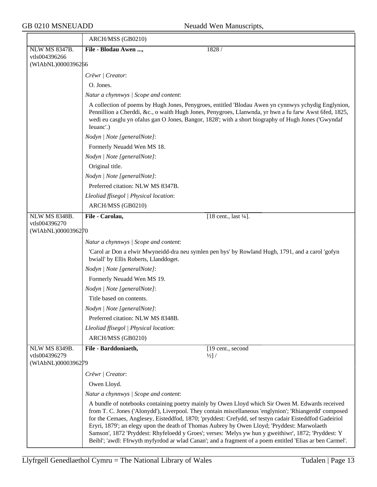|                      | ARCH/MSS (GB0210)                                                                                                                                                                                                                                                                                                                                                                                                                                                                                                                                                                                                                      |
|----------------------|----------------------------------------------------------------------------------------------------------------------------------------------------------------------------------------------------------------------------------------------------------------------------------------------------------------------------------------------------------------------------------------------------------------------------------------------------------------------------------------------------------------------------------------------------------------------------------------------------------------------------------------|
| <b>NLW MS 8347B.</b> | File - Blodau Awen ,<br>1828 /                                                                                                                                                                                                                                                                                                                                                                                                                                                                                                                                                                                                         |
| vtls004396266        |                                                                                                                                                                                                                                                                                                                                                                                                                                                                                                                                                                                                                                        |
| (WIAbNL)0000396266   |                                                                                                                                                                                                                                                                                                                                                                                                                                                                                                                                                                                                                                        |
|                      | Crëwr   Creator:                                                                                                                                                                                                                                                                                                                                                                                                                                                                                                                                                                                                                       |
|                      | O. Jones.                                                                                                                                                                                                                                                                                                                                                                                                                                                                                                                                                                                                                              |
|                      | Natur a chynnwys / Scope and content:                                                                                                                                                                                                                                                                                                                                                                                                                                                                                                                                                                                                  |
|                      | A collection of poems by Hugh Jones, Penygroes, entitled 'Blodau Awen yn cynnwys ychydig Englynion,<br>Pennillion a Cherddi, &c., o waith Hugh Jones, Penygroes, Llanwnda, yr hwn a fu farw Awst 6fed, 1825,<br>wedi eu casglu yn ofalus gan O Jones, Bangor, 1828'; with a short biography of Hugh Jones ('Gwyndaf<br>Ieuanc'.)                                                                                                                                                                                                                                                                                                       |
|                      | Nodyn   Note [generalNote]:                                                                                                                                                                                                                                                                                                                                                                                                                                                                                                                                                                                                            |
|                      | Formerly Neuadd Wen MS 18.                                                                                                                                                                                                                                                                                                                                                                                                                                                                                                                                                                                                             |
|                      | Nodyn   Note [generalNote]:                                                                                                                                                                                                                                                                                                                                                                                                                                                                                                                                                                                                            |
|                      | Original title.                                                                                                                                                                                                                                                                                                                                                                                                                                                                                                                                                                                                                        |
|                      | Nodyn   Note [generalNote]:                                                                                                                                                                                                                                                                                                                                                                                                                                                                                                                                                                                                            |
|                      | Preferred citation: NLW MS 8347B.                                                                                                                                                                                                                                                                                                                                                                                                                                                                                                                                                                                                      |
|                      | Lleoliad ffisegol   Physical location:                                                                                                                                                                                                                                                                                                                                                                                                                                                                                                                                                                                                 |
|                      | ARCH/MSS (GB0210)                                                                                                                                                                                                                                                                                                                                                                                                                                                                                                                                                                                                                      |
| <b>NLW MS 8348B.</b> | File - Carolau,<br>[18 cent., last 1/4].                                                                                                                                                                                                                                                                                                                                                                                                                                                                                                                                                                                               |
| vtls004396270        |                                                                                                                                                                                                                                                                                                                                                                                                                                                                                                                                                                                                                                        |
| (WIAbNL)0000396270   |                                                                                                                                                                                                                                                                                                                                                                                                                                                                                                                                                                                                                                        |
|                      | Natur a chynnwys / Scope and content:                                                                                                                                                                                                                                                                                                                                                                                                                                                                                                                                                                                                  |
|                      | 'Carol ar Don a elwir Mwyneidd-dra neu symlen pen bys' by Rowland Hugh, 1791, and a carol 'gofyn<br>bwiall' by Ellis Roberts, Llanddoget.                                                                                                                                                                                                                                                                                                                                                                                                                                                                                              |
|                      | Nodyn   Note [generalNote]:                                                                                                                                                                                                                                                                                                                                                                                                                                                                                                                                                                                                            |
|                      | Formerly Neuadd Wen MS 19.                                                                                                                                                                                                                                                                                                                                                                                                                                                                                                                                                                                                             |
|                      | Nodyn   Note [generalNote]:                                                                                                                                                                                                                                                                                                                                                                                                                                                                                                                                                                                                            |
|                      | Title based on contents.                                                                                                                                                                                                                                                                                                                                                                                                                                                                                                                                                                                                               |
|                      | Nodyn   Note [generalNote]:                                                                                                                                                                                                                                                                                                                                                                                                                                                                                                                                                                                                            |
|                      | Preferred citation: NLW MS 8348B.                                                                                                                                                                                                                                                                                                                                                                                                                                                                                                                                                                                                      |
|                      | Lleoliad ffisegol   Physical location:                                                                                                                                                                                                                                                                                                                                                                                                                                                                                                                                                                                                 |
|                      | ARCH/MSS (GB0210)                                                                                                                                                                                                                                                                                                                                                                                                                                                                                                                                                                                                                      |
| <b>NLW MS 8349B.</b> | File - Barddoniaeth,<br>[19 cent., second                                                                                                                                                                                                                                                                                                                                                                                                                                                                                                                                                                                              |
| vtls004396279        | $\frac{1}{2}$ /                                                                                                                                                                                                                                                                                                                                                                                                                                                                                                                                                                                                                        |
| (WIAbNL)0000396279   |                                                                                                                                                                                                                                                                                                                                                                                                                                                                                                                                                                                                                                        |
|                      | Crëwr   Creator:                                                                                                                                                                                                                                                                                                                                                                                                                                                                                                                                                                                                                       |
|                      | Owen Lloyd.                                                                                                                                                                                                                                                                                                                                                                                                                                                                                                                                                                                                                            |
|                      | Natur a chynnwys / Scope and content:                                                                                                                                                                                                                                                                                                                                                                                                                                                                                                                                                                                                  |
|                      | A bundle of notebooks containing poetry mainly by Owen Lloyd which Sir Owen M. Edwards received<br>from T. C. Jones ('Alonydd'), Liverpool. They contain miscellaneous 'englynion'; 'Rhiangerdd' composed<br>for the Cemaes, Anglesey, Eisteddfod, 1870; 'pryddest: Crefydd, sef testyn cadair Eisteddfod Gadeiriol<br>Eryri, 1879'; an elegy upon the death of Thomas Aubrey by Owen Lloyd; 'Pryddest: Marwolaeth<br>Samson', 1872 'Pryddest: Rhyfeloedd y Groes'; verses: 'Melys yw hun y gweithiwr', 1872; 'Pryddest: Y<br>Beibl'; 'awdl: Ffrwyth myfyrdod ar wlad Canan'; and a fragment of a poem entitled 'Elias ar ben Carmel'. |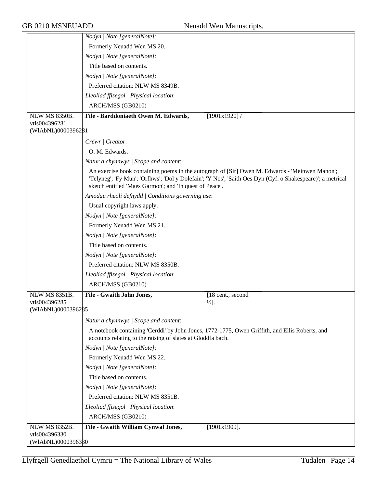|                                     | Nodyn   Note [generalNote]:                                                                                                                                                                                                                                             |
|-------------------------------------|-------------------------------------------------------------------------------------------------------------------------------------------------------------------------------------------------------------------------------------------------------------------------|
|                                     | Formerly Neuadd Wen MS 20.                                                                                                                                                                                                                                              |
|                                     | Nodyn   Note [generalNote]:                                                                                                                                                                                                                                             |
|                                     | Title based on contents.                                                                                                                                                                                                                                                |
|                                     | Nodyn   Note [generalNote]:                                                                                                                                                                                                                                             |
|                                     | Preferred citation: NLW MS 8349B.                                                                                                                                                                                                                                       |
|                                     | Lleoliad ffisegol   Physical location:                                                                                                                                                                                                                                  |
|                                     | ARCH/MSS (GB0210)                                                                                                                                                                                                                                                       |
| <b>NLW MS 8350B.</b>                | File - Barddoniaeth Owen M. Edwards,<br>[1901x1920]/                                                                                                                                                                                                                    |
| vtls004396281                       |                                                                                                                                                                                                                                                                         |
| (WIAbNL)0000396281                  |                                                                                                                                                                                                                                                                         |
|                                     | Crëwr   Creator:                                                                                                                                                                                                                                                        |
|                                     | O. M. Edwards.                                                                                                                                                                                                                                                          |
|                                     | Natur a chynnwys / Scope and content:                                                                                                                                                                                                                                   |
|                                     | An exercise book containing poems in the autograph of [Sir] Owen M. Edwards - 'Meinwen Manon';<br>'Telyneg'; 'Fy Mun'; 'Orfhws'; 'Dol y Dolefain'; 'Y Nos'; 'Saith Oes Dyn (Cyf. o Shakespeare)'; a metrical<br>sketch entitled 'Maes Garmon'; and 'In quest of Peace'. |
|                                     | Amodau rheoli defnydd   Conditions governing use:                                                                                                                                                                                                                       |
|                                     | Usual copyright laws apply.                                                                                                                                                                                                                                             |
|                                     | Nodyn   Note [generalNote]:                                                                                                                                                                                                                                             |
|                                     | Formerly Neuadd Wen MS 21.                                                                                                                                                                                                                                              |
|                                     | Nodyn   Note [generalNote]:                                                                                                                                                                                                                                             |
|                                     | Title based on contents.                                                                                                                                                                                                                                                |
|                                     | Nodyn   Note [generalNote]:                                                                                                                                                                                                                                             |
|                                     | Preferred citation: NLW MS 8350B.                                                                                                                                                                                                                                       |
|                                     | Lleoliad ffisegol   Physical location:                                                                                                                                                                                                                                  |
|                                     | ARCH/MSS (GB0210)                                                                                                                                                                                                                                                       |
| <b>NLW MS 8351B.</b>                | File - Gwaith John Jones,<br>[18 cent., second                                                                                                                                                                                                                          |
| vtls004396285<br>(WIAbNL)0000396285 | $\frac{1}{2}$ .                                                                                                                                                                                                                                                         |
|                                     |                                                                                                                                                                                                                                                                         |
|                                     | Natur a chynnwys / Scope and content:                                                                                                                                                                                                                                   |
|                                     | A notebook containing 'Cerddi' by John Jones, 1772-1775, Owen Griffith, and Ellis Roberts, and<br>accounts relating to the raising of slates at Gloddfa bach.                                                                                                           |
|                                     | Nodyn   Note [generalNote]:                                                                                                                                                                                                                                             |
|                                     | Formerly Neuadd Wen MS 22.                                                                                                                                                                                                                                              |
|                                     | Nodyn   Note [generalNote]:                                                                                                                                                                                                                                             |
|                                     | Title based on contents.                                                                                                                                                                                                                                                |
|                                     | Nodyn   Note [generalNote]:                                                                                                                                                                                                                                             |
|                                     | Preferred citation: NLW MS 8351B.                                                                                                                                                                                                                                       |
|                                     | Lleoliad ffisegol   Physical location:                                                                                                                                                                                                                                  |
|                                     | ARCH/MSS (GB0210)                                                                                                                                                                                                                                                       |
| <b>NLW MS 8352B.</b>                | File - Gwaith William Cynwal Jones,<br>$[1901x1909]$ .                                                                                                                                                                                                                  |
| vtls004396330<br>(WIAbNL)00003963B0 |                                                                                                                                                                                                                                                                         |
|                                     |                                                                                                                                                                                                                                                                         |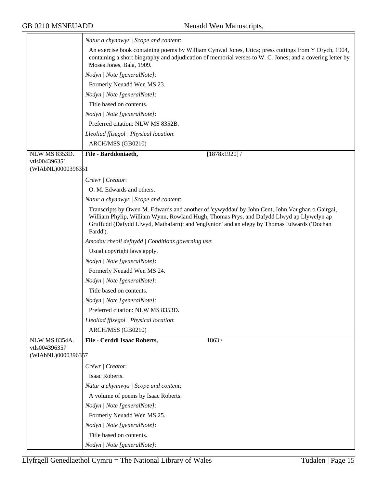$\overline{\phantom{a}}$ 

|                      | Natur a chynnwys / Scope and content:                                                                                                                                                                                                                                                                 |
|----------------------|-------------------------------------------------------------------------------------------------------------------------------------------------------------------------------------------------------------------------------------------------------------------------------------------------------|
|                      | An exercise book containing poems by William Cynwal Jones, Utica; press cuttings from Y Drych, 1904,<br>containing a short biography and adjudication of memorial verses to W. C. Jones; and a covering letter by<br>Moses Jones, Bala, 1909.                                                         |
|                      | Nodyn   Note [generalNote]:                                                                                                                                                                                                                                                                           |
|                      | Formerly Neuadd Wen MS 23.                                                                                                                                                                                                                                                                            |
|                      | Nodyn   Note [generalNote]:                                                                                                                                                                                                                                                                           |
|                      | Title based on contents.                                                                                                                                                                                                                                                                              |
|                      | Nodyn   Note [generalNote]:                                                                                                                                                                                                                                                                           |
|                      | Preferred citation: NLW MS 8352B.                                                                                                                                                                                                                                                                     |
|                      | Lleoliad ffisegol   Physical location:                                                                                                                                                                                                                                                                |
|                      | ARCH/MSS (GB0210)                                                                                                                                                                                                                                                                                     |
| <b>NLW MS 8353D.</b> | $[1878x1920]$ /<br>File - Barddoniaeth,                                                                                                                                                                                                                                                               |
| vtls004396351        |                                                                                                                                                                                                                                                                                                       |
| (WIAbNL)0000396351   |                                                                                                                                                                                                                                                                                                       |
|                      | Crëwr   Creator:                                                                                                                                                                                                                                                                                      |
|                      | O. M. Edwards and others.                                                                                                                                                                                                                                                                             |
|                      | Natur a chynnwys / Scope and content:                                                                                                                                                                                                                                                                 |
|                      | Transcripts by Owen M. Edwards and another of 'cywyddau' by John Cent, John Vaughan o Gairgai,<br>William Phylip, William Wynn, Rowland Hugh, Thomas Prys, and Dafydd Llwyd ap Llywelyn ap<br>Gruffudd (Dafydd Llwyd, Mathafarn); and 'englynion' and an elegy by Thomas Edwards ('Dochan<br>Fardd'). |
|                      | Amodau rheoli defnydd   Conditions governing use:                                                                                                                                                                                                                                                     |
|                      | Usual copyright laws apply.                                                                                                                                                                                                                                                                           |
|                      | Nodyn   Note [generalNote]:                                                                                                                                                                                                                                                                           |
|                      | Formerly Neuadd Wen MS 24.                                                                                                                                                                                                                                                                            |
|                      | Nodyn   Note [generalNote]:                                                                                                                                                                                                                                                                           |
|                      | Title based on contents.                                                                                                                                                                                                                                                                              |
|                      | Nodyn   Note [generalNote]:                                                                                                                                                                                                                                                                           |
|                      | Preferred citation: NLW MS 8353D                                                                                                                                                                                                                                                                      |
|                      | Lleoliad ffisegol   Physical location:                                                                                                                                                                                                                                                                |
|                      | ARCH/MSS (GB0210)                                                                                                                                                                                                                                                                                     |
| <b>NLW MS 8354A.</b> | File - Cerddi Isaac Roberts,<br>1863/                                                                                                                                                                                                                                                                 |
| vtls004396357        |                                                                                                                                                                                                                                                                                                       |
| (WIAbNL)0000396357   |                                                                                                                                                                                                                                                                                                       |
|                      | Crëwr   Creator:                                                                                                                                                                                                                                                                                      |
|                      | Isaac Roberts.                                                                                                                                                                                                                                                                                        |
|                      | Natur a chynnwys / Scope and content:                                                                                                                                                                                                                                                                 |
|                      | A volume of poems by Isaac Roberts.                                                                                                                                                                                                                                                                   |
|                      | Nodyn   Note [generalNote]:                                                                                                                                                                                                                                                                           |
|                      | Formerly Neuadd Wen MS 25.                                                                                                                                                                                                                                                                            |
|                      | Nodyn   Note [generalNote]:                                                                                                                                                                                                                                                                           |
|                      | Title based on contents.                                                                                                                                                                                                                                                                              |
|                      | Nodyn   Note [generalNote]:                                                                                                                                                                                                                                                                           |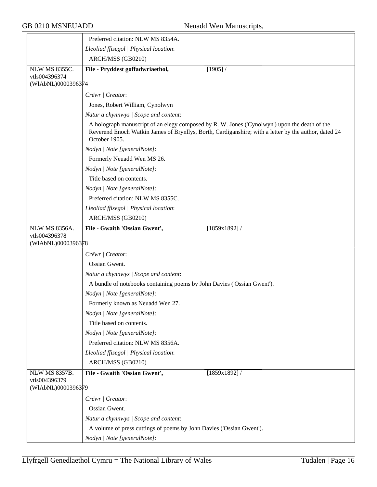|                                     | Preferred citation: NLW MS 8354A.                                                                                                                                                                                      |
|-------------------------------------|------------------------------------------------------------------------------------------------------------------------------------------------------------------------------------------------------------------------|
|                                     | Lleoliad ffisegol   Physical location:                                                                                                                                                                                 |
|                                     | ARCH/MSS (GB0210)                                                                                                                                                                                                      |
| <b>NLW MS 8355C.</b>                | File - Pryddest goffadwriaethol,<br>[1905]                                                                                                                                                                             |
| vtls004396374                       |                                                                                                                                                                                                                        |
| (WIAbNL)0000396374                  |                                                                                                                                                                                                                        |
|                                     | Crëwr   Creator:                                                                                                                                                                                                       |
|                                     | Jones, Robert William, Cynolwyn                                                                                                                                                                                        |
|                                     | Natur a chynnwys / Scope and content:                                                                                                                                                                                  |
|                                     | A holograph manuscript of an elegy composed by R. W. Jones ('Cynolwyn') upon the death of the<br>Reverend Enoch Watkin James of Brynllys, Borth, Cardiganshire; with a letter by the author, dated 24<br>October 1905. |
|                                     | Nodyn   Note [generalNote]:                                                                                                                                                                                            |
|                                     | Formerly Neuadd Wen MS 26.                                                                                                                                                                                             |
|                                     | Nodyn   Note [generalNote]:                                                                                                                                                                                            |
|                                     | Title based on contents.                                                                                                                                                                                               |
|                                     | Nodyn   Note [generalNote]:                                                                                                                                                                                            |
|                                     | Preferred citation: NLW MS 8355C.                                                                                                                                                                                      |
|                                     | Lleoliad ffisegol   Physical location:                                                                                                                                                                                 |
|                                     | ARCH/MSS (GB0210)                                                                                                                                                                                                      |
| <b>NLW MS 8356A.</b>                | File - Gwaith 'Ossian Gwent',<br>$[1859x1892]$ /                                                                                                                                                                       |
| vtls004396378<br>(WIAbNL)0000396378 |                                                                                                                                                                                                                        |
|                                     | Crëwr   Creator:                                                                                                                                                                                                       |
|                                     | Ossian Gwent.                                                                                                                                                                                                          |
|                                     | Natur a chynnwys / Scope and content:                                                                                                                                                                                  |
|                                     | A bundle of notebooks containing poems by John Davies ('Ossian Gwent').                                                                                                                                                |
|                                     | Nodyn   Note [generalNote]:                                                                                                                                                                                            |
|                                     | Formerly known as Neuadd Wen 27.                                                                                                                                                                                       |
|                                     | Nodyn   Note [generalNote]:                                                                                                                                                                                            |
|                                     | Title based on contents.                                                                                                                                                                                               |
|                                     | Nodyn   Note [generalNote]:                                                                                                                                                                                            |
|                                     | Preferred citation: NLW MS 8356A.                                                                                                                                                                                      |
|                                     | Lleoliad ffisegol   Physical location:                                                                                                                                                                                 |
|                                     | ARCH/MSS (GB0210)                                                                                                                                                                                                      |
| <b>NLW MS 8357B.</b>                | File - Gwaith 'Ossian Gwent',<br>$[1859x1892]$ /                                                                                                                                                                       |
| vtls004396379                       |                                                                                                                                                                                                                        |
| (WIAbNL)0000396379                  |                                                                                                                                                                                                                        |
|                                     | Crëwr   Creator:                                                                                                                                                                                                       |
|                                     | Ossian Gwent.                                                                                                                                                                                                          |
|                                     | Natur a chynnwys / Scope and content:                                                                                                                                                                                  |
|                                     | A volume of press cuttings of poems by John Davies ('Ossian Gwent').                                                                                                                                                   |
|                                     | Nodyn   Note [generalNote]:                                                                                                                                                                                            |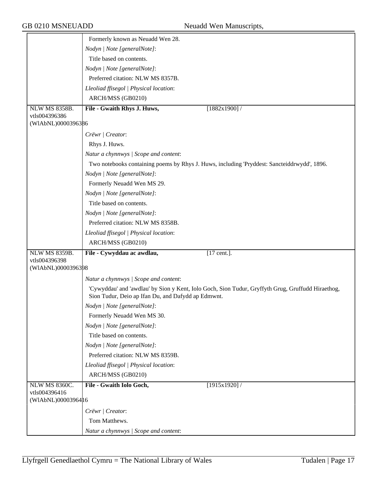|                                       | Formerly known as Neuadd Wen 28.                                                                  |
|---------------------------------------|---------------------------------------------------------------------------------------------------|
|                                       | Nodyn   Note [generalNote]:                                                                       |
|                                       | Title based on contents.                                                                          |
|                                       | Nodyn   Note [generalNote]:                                                                       |
|                                       | Preferred citation: NLW MS 8357B.                                                                 |
|                                       | Lleoliad ffisegol   Physical location:                                                            |
|                                       | ARCH/MSS (GB0210)                                                                                 |
| <b>NLW MS 8358B.</b>                  | File - Gwaith Rhys J. Huws,<br>[1882x1900]                                                        |
| vtls004396386<br>(WIAbNL)0000396386   |                                                                                                   |
|                                       | Crëwr   Creator:                                                                                  |
|                                       | Rhys J. Huws.                                                                                     |
|                                       |                                                                                                   |
|                                       | Natur a chynnwys / Scope and content:                                                             |
|                                       | Two notebooks containing poems by Rhys J. Huws, including 'Pryddest: Sancteiddrwydd', 1896.       |
|                                       | Nodyn   Note [generalNote]:                                                                       |
|                                       | Formerly Neuadd Wen MS 29.                                                                        |
|                                       | Nodyn   Note [generalNote]:                                                                       |
|                                       | Title based on contents.                                                                          |
|                                       | Nodyn   Note [generalNote]:                                                                       |
|                                       | Preferred citation: NLW MS 8358B.                                                                 |
|                                       | Lleoliad ffisegol   Physical location:                                                            |
|                                       | ARCH/MSS (GB0210)                                                                                 |
| <b>NLW MS 8359B.</b><br>vtls004396398 | File - Cywyddau ac awdlau,<br>$[17$ cent.].                                                       |
| (WIAbNL)0000396398                    |                                                                                                   |
|                                       | Natur a chynnwys / Scope and content:                                                             |
|                                       | 'Cywyddau' and 'awdlau' by Sion y Kent, Iolo Goch, Sion Tudur, Gryffyth Grug, Gruffudd Hiraethog, |
|                                       | Sion Tudur, Deio ap Ifan Du, and Dafydd ap Edmwnt.                                                |
|                                       | Nodyn   Note [generalNote]:                                                                       |
|                                       | Formerly Neuadd Wen MS 30.                                                                        |
|                                       | Nodyn   Note [generalNote]:                                                                       |
|                                       | Title based on contents.                                                                          |
|                                       | Nodyn   Note [generalNote]:                                                                       |
|                                       | Preferred citation: NLW MS 8359B.                                                                 |
|                                       | Lleoliad ffisegol   Physical location:                                                            |
|                                       | ARCH/MSS (GB0210)                                                                                 |
| <b>NLW MS 8360C.</b>                  | File - Gwaith Iolo Goch,<br>[1915x1920]                                                           |
| vtls004396416<br>(WIAbNL)0000396416   |                                                                                                   |
|                                       | Crëwr   Creator:                                                                                  |
|                                       | Tom Matthews.                                                                                     |
|                                       |                                                                                                   |
|                                       | Natur a chynnwys / Scope and content:                                                             |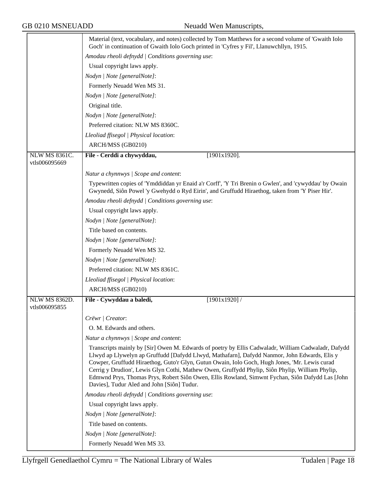|                                       | Material (text, vocabulary, and notes) collected by Tom Matthews for a second volume of 'Gwaith Iolo<br>Goch' in continuation of Gwaith Iolo Goch printed in 'Cyfres y Fil', Llanuwchllyn, 1915.                                                                                                                                                                                                                                                  |  |  |
|---------------------------------------|---------------------------------------------------------------------------------------------------------------------------------------------------------------------------------------------------------------------------------------------------------------------------------------------------------------------------------------------------------------------------------------------------------------------------------------------------|--|--|
|                                       | Amodau rheoli defnydd   Conditions governing use:                                                                                                                                                                                                                                                                                                                                                                                                 |  |  |
|                                       | Usual copyright laws apply.                                                                                                                                                                                                                                                                                                                                                                                                                       |  |  |
|                                       | Nodyn   Note [generalNote]:                                                                                                                                                                                                                                                                                                                                                                                                                       |  |  |
|                                       | Formerly Neuadd Wen MS 31.                                                                                                                                                                                                                                                                                                                                                                                                                        |  |  |
|                                       | Nodyn   Note [generalNote]:                                                                                                                                                                                                                                                                                                                                                                                                                       |  |  |
|                                       | Original title.                                                                                                                                                                                                                                                                                                                                                                                                                                   |  |  |
|                                       | Nodyn   Note [generalNote]:                                                                                                                                                                                                                                                                                                                                                                                                                       |  |  |
|                                       | Preferred citation: NLW MS 8360C.                                                                                                                                                                                                                                                                                                                                                                                                                 |  |  |
|                                       | Lleoliad ffisegol   Physical location:                                                                                                                                                                                                                                                                                                                                                                                                            |  |  |
|                                       | ARCH/MSS (GB0210)                                                                                                                                                                                                                                                                                                                                                                                                                                 |  |  |
| <b>NLW MS 8361C.</b><br>vtls006095669 | File - Cerddi a chywyddau,<br>$[1901x1920]$ .                                                                                                                                                                                                                                                                                                                                                                                                     |  |  |
|                                       | Natur a chynnwys / Scope and content:                                                                                                                                                                                                                                                                                                                                                                                                             |  |  |
|                                       | Typewritten copies of 'Ymddiddan yr Enaid a'r Corff', 'Y Tri Brenin o Gwlen', and 'cywyddau' by Owain                                                                                                                                                                                                                                                                                                                                             |  |  |
|                                       | Gwynedd, Siôn Powel 'y Gwehydd o Ryd Eirin', and Gruffudd Hiraethog, taken from 'Y Piser Hir'.                                                                                                                                                                                                                                                                                                                                                    |  |  |
|                                       | Amodau rheoli defnydd   Conditions governing use:                                                                                                                                                                                                                                                                                                                                                                                                 |  |  |
|                                       | Usual copyright laws apply.                                                                                                                                                                                                                                                                                                                                                                                                                       |  |  |
|                                       | Nodyn   Note [generalNote]:                                                                                                                                                                                                                                                                                                                                                                                                                       |  |  |
|                                       | Title based on contents.                                                                                                                                                                                                                                                                                                                                                                                                                          |  |  |
|                                       | Nodyn   Note [generalNote]:                                                                                                                                                                                                                                                                                                                                                                                                                       |  |  |
|                                       | Formerly Neuadd Wen MS 32.                                                                                                                                                                                                                                                                                                                                                                                                                        |  |  |
|                                       | Nodyn   Note [generalNote]:                                                                                                                                                                                                                                                                                                                                                                                                                       |  |  |
|                                       | Preferred citation: NLW MS 8361C.                                                                                                                                                                                                                                                                                                                                                                                                                 |  |  |
|                                       | Lleoliad ffisegol   Physical location:                                                                                                                                                                                                                                                                                                                                                                                                            |  |  |
|                                       | ARCH/MSS (GB0210)                                                                                                                                                                                                                                                                                                                                                                                                                                 |  |  |
| <b>NLW MS 8362D.</b><br>vtls006095855 | [1901x1920]<br>File - Cywyddau a baledi,                                                                                                                                                                                                                                                                                                                                                                                                          |  |  |
|                                       | Crëwr   Creator:                                                                                                                                                                                                                                                                                                                                                                                                                                  |  |  |
|                                       | O. M. Edwards and others.                                                                                                                                                                                                                                                                                                                                                                                                                         |  |  |
|                                       | Natur a chynnwys / Scope and content:                                                                                                                                                                                                                                                                                                                                                                                                             |  |  |
|                                       | Transcripts mainly by [Sir] Owen M. Edwards of poetry by Ellis Cadwaladr, William Cadwaladr, Dafydd                                                                                                                                                                                                                                                                                                                                               |  |  |
|                                       | Llwyd ap Llywelyn ap Gruffudd [Dafydd Llwyd, Mathafarn], Dafydd Nanmor, John Edwards, Elis y<br>Cowper, Gruffudd Hiraethog, Guto'r Glyn, Gutun Owain, Iolo Goch, Hugh Jones, 'Mr. Lewis curad<br>Cerrig y Drudion', Lewis Glyn Cothi, Mathew Owen, Gruffydd Phylip, Siôn Phylip, William Phylip,<br>Edmwnd Prys, Thomas Prys, Robert Siôn Owen, Ellis Rowland, Simwnt Fychan, Siôn Dafydd Las [John<br>Davies], Tudur Aled and John [Siôn] Tudur. |  |  |
|                                       | Amodau rheoli defnydd   Conditions governing use:                                                                                                                                                                                                                                                                                                                                                                                                 |  |  |
|                                       | Usual copyright laws apply.                                                                                                                                                                                                                                                                                                                                                                                                                       |  |  |
|                                       | Nodyn   Note [generalNote]:                                                                                                                                                                                                                                                                                                                                                                                                                       |  |  |
|                                       | Title based on contents.                                                                                                                                                                                                                                                                                                                                                                                                                          |  |  |
|                                       | Nodyn   Note [generalNote]:                                                                                                                                                                                                                                                                                                                                                                                                                       |  |  |
|                                       | Formerly Neuadd Wen MS 33.                                                                                                                                                                                                                                                                                                                                                                                                                        |  |  |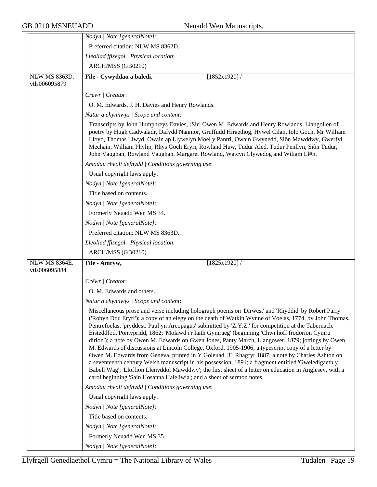|                                       | Nodyn   Note [generalNote]:                                                                                                                                                                                                                                                                                                                                                                                                                                                                                                                                                                                                                                                                                                                                                                                                                                                                                                                                                                                                   |  |
|---------------------------------------|-------------------------------------------------------------------------------------------------------------------------------------------------------------------------------------------------------------------------------------------------------------------------------------------------------------------------------------------------------------------------------------------------------------------------------------------------------------------------------------------------------------------------------------------------------------------------------------------------------------------------------------------------------------------------------------------------------------------------------------------------------------------------------------------------------------------------------------------------------------------------------------------------------------------------------------------------------------------------------------------------------------------------------|--|
|                                       | Preferred citation: NLW MS 8362D.                                                                                                                                                                                                                                                                                                                                                                                                                                                                                                                                                                                                                                                                                                                                                                                                                                                                                                                                                                                             |  |
|                                       | Lleoliad ffisegol   Physical location:                                                                                                                                                                                                                                                                                                                                                                                                                                                                                                                                                                                                                                                                                                                                                                                                                                                                                                                                                                                        |  |
|                                       | ARCH/MSS (GB0210)                                                                                                                                                                                                                                                                                                                                                                                                                                                                                                                                                                                                                                                                                                                                                                                                                                                                                                                                                                                                             |  |
| <b>NLW MS 8363D.</b><br>vtls006095879 | File - Cywyddau a baledi,<br>[1852x1920]/                                                                                                                                                                                                                                                                                                                                                                                                                                                                                                                                                                                                                                                                                                                                                                                                                                                                                                                                                                                     |  |
|                                       | Crëwr   Creator:                                                                                                                                                                                                                                                                                                                                                                                                                                                                                                                                                                                                                                                                                                                                                                                                                                                                                                                                                                                                              |  |
|                                       | O. M. Edwards, J. H. Davies and Henry Rowlands.                                                                                                                                                                                                                                                                                                                                                                                                                                                                                                                                                                                                                                                                                                                                                                                                                                                                                                                                                                               |  |
|                                       | Natur a chynnwys / Scope and content:                                                                                                                                                                                                                                                                                                                                                                                                                                                                                                                                                                                                                                                                                                                                                                                                                                                                                                                                                                                         |  |
|                                       | Transcripts by John Humphreys Davies, [Sir] Owen M. Edwards and Henry Rowlands, Llangollen of<br>poetry by Hugh Cadwaladr, Dafydd Nanmor, Gruffudd Hiraethog, Hywel Cilan, Iolo Goch, Mr William<br>Lloyd, Thomas Llwyd, Owain ap Llywelyn Moel y Pantri, Owain Gwynedd, Siôn Mawddwy, Gwerfyl<br>Mechain, William Phylip, Rhys Goch Eryri, Rowland Huw, Tudur Aled, Tudur Penllyn, Siôn Tudur,<br>John Vaughan, Rowland Vaughan, Margaret Rowland, Watcyn Clywedog and Wiliam Ll#n.                                                                                                                                                                                                                                                                                                                                                                                                                                                                                                                                          |  |
|                                       | Amodau rheoli defnydd   Conditions governing use:                                                                                                                                                                                                                                                                                                                                                                                                                                                                                                                                                                                                                                                                                                                                                                                                                                                                                                                                                                             |  |
|                                       | Usual copyright laws apply.                                                                                                                                                                                                                                                                                                                                                                                                                                                                                                                                                                                                                                                                                                                                                                                                                                                                                                                                                                                                   |  |
|                                       | Nodyn   Note [generalNote]:                                                                                                                                                                                                                                                                                                                                                                                                                                                                                                                                                                                                                                                                                                                                                                                                                                                                                                                                                                                                   |  |
|                                       | Title based on contents.                                                                                                                                                                                                                                                                                                                                                                                                                                                                                                                                                                                                                                                                                                                                                                                                                                                                                                                                                                                                      |  |
|                                       | Nodyn   Note [generalNote]:                                                                                                                                                                                                                                                                                                                                                                                                                                                                                                                                                                                                                                                                                                                                                                                                                                                                                                                                                                                                   |  |
|                                       | Formerly Neuadd Wen MS 34.                                                                                                                                                                                                                                                                                                                                                                                                                                                                                                                                                                                                                                                                                                                                                                                                                                                                                                                                                                                                    |  |
|                                       | Nodyn   Note [generalNote]:                                                                                                                                                                                                                                                                                                                                                                                                                                                                                                                                                                                                                                                                                                                                                                                                                                                                                                                                                                                                   |  |
|                                       | Preferred citation: NLW MS 8363D.                                                                                                                                                                                                                                                                                                                                                                                                                                                                                                                                                                                                                                                                                                                                                                                                                                                                                                                                                                                             |  |
|                                       | Lleoliad ffisegol   Physical location:                                                                                                                                                                                                                                                                                                                                                                                                                                                                                                                                                                                                                                                                                                                                                                                                                                                                                                                                                                                        |  |
| ARCH/MSS (GB0210)                     |                                                                                                                                                                                                                                                                                                                                                                                                                                                                                                                                                                                                                                                                                                                                                                                                                                                                                                                                                                                                                               |  |
| NLW MS 8364E.                         | $[1825x1920]$ /<br>File - Amryw,                                                                                                                                                                                                                                                                                                                                                                                                                                                                                                                                                                                                                                                                                                                                                                                                                                                                                                                                                                                              |  |
| vtls006095884                         |                                                                                                                                                                                                                                                                                                                                                                                                                                                                                                                                                                                                                                                                                                                                                                                                                                                                                                                                                                                                                               |  |
|                                       | Crëwr   Creator:                                                                                                                                                                                                                                                                                                                                                                                                                                                                                                                                                                                                                                                                                                                                                                                                                                                                                                                                                                                                              |  |
|                                       | O. M. Edwards and others.                                                                                                                                                                                                                                                                                                                                                                                                                                                                                                                                                                                                                                                                                                                                                                                                                                                                                                                                                                                                     |  |
|                                       | Natur a chynnwys / Scope and content:                                                                                                                                                                                                                                                                                                                                                                                                                                                                                                                                                                                                                                                                                                                                                                                                                                                                                                                                                                                         |  |
|                                       | Miscellaneous prose and verse including holograph poems on 'Dirwest' and 'Rhyddid' by Robert Parry<br>('Robyn Ddu Eryri'); a copy of an elegy on the death of Watkin Wynne of Voelas, 1774, by John Thomas,<br>Pentrefoelas; 'pryddest: Paul yn Areopagus' submitted by 'Z.Y.Z.' for competition at the Tabernacle<br>Eisteddfod, Pontypridd, 1862; 'Molawd i'r Iaith Gymraeg' (beginning 'Chwi hoff frodorion Cymru<br>dirion'); a note by Owen M. Edwards on Gwen Jones, Panty March, Llangower, 1879; jottings by Owen<br>M. Edwards of discussions at Lincoln College, Oxford, 1905-1906; a typescript copy of a letter by<br>Owen M. Edwards from Geneva, printed in Y Goleuad, 31 Rhagfyr 1887; a note by Charles Ashton on<br>a seventeenth century Welsh manuscript in his possession, 1891; a fragment entitled 'Gweledigaeth y<br>Babell Wag'; 'Lloffion Llenyddol Mawddwy'; the first sheet of a letter on education in Anglesey, with a<br>carol beginning 'Sain Hosanna Haleliwia'; and a sheet of sermon notes. |  |
|                                       | Amodau rheoli defnydd   Conditions governing use:                                                                                                                                                                                                                                                                                                                                                                                                                                                                                                                                                                                                                                                                                                                                                                                                                                                                                                                                                                             |  |
|                                       | Usual copyright laws apply.                                                                                                                                                                                                                                                                                                                                                                                                                                                                                                                                                                                                                                                                                                                                                                                                                                                                                                                                                                                                   |  |
|                                       | Nodyn   Note [generalNote]:                                                                                                                                                                                                                                                                                                                                                                                                                                                                                                                                                                                                                                                                                                                                                                                                                                                                                                                                                                                                   |  |
|                                       | Title based on contents.                                                                                                                                                                                                                                                                                                                                                                                                                                                                                                                                                                                                                                                                                                                                                                                                                                                                                                                                                                                                      |  |
|                                       | Nodyn   Note [generalNote]:                                                                                                                                                                                                                                                                                                                                                                                                                                                                                                                                                                                                                                                                                                                                                                                                                                                                                                                                                                                                   |  |
| Formerly Neuadd Wen MS 35.            |                                                                                                                                                                                                                                                                                                                                                                                                                                                                                                                                                                                                                                                                                                                                                                                                                                                                                                                                                                                                                               |  |
|                                       | Nodyn   Note [generalNote]:                                                                                                                                                                                                                                                                                                                                                                                                                                                                                                                                                                                                                                                                                                                                                                                                                                                                                                                                                                                                   |  |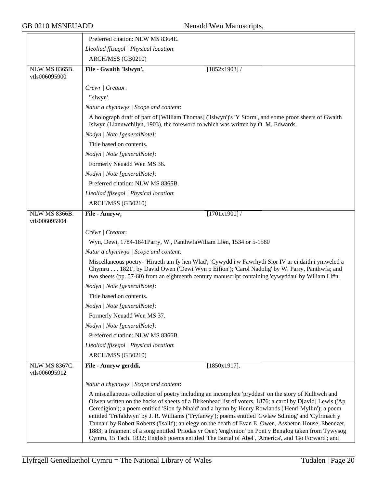|                                       | Preferred citation: NLW MS 8364E.                                                                                                                                                                                                                                                                                                                                                                                                                                                                                                                                                                                                                                                                                                                          |  |
|---------------------------------------|------------------------------------------------------------------------------------------------------------------------------------------------------------------------------------------------------------------------------------------------------------------------------------------------------------------------------------------------------------------------------------------------------------------------------------------------------------------------------------------------------------------------------------------------------------------------------------------------------------------------------------------------------------------------------------------------------------------------------------------------------------|--|
|                                       | Lleoliad ffisegol   Physical location:                                                                                                                                                                                                                                                                                                                                                                                                                                                                                                                                                                                                                                                                                                                     |  |
|                                       | ARCH/MSS (GB0210)                                                                                                                                                                                                                                                                                                                                                                                                                                                                                                                                                                                                                                                                                                                                          |  |
| <b>NLW MS 8365B.</b><br>vtls006095900 | File - Gwaith 'Islwyn',<br>$[1852x1903]$ /                                                                                                                                                                                                                                                                                                                                                                                                                                                                                                                                                                                                                                                                                                                 |  |
|                                       | Crëwr   Creator:                                                                                                                                                                                                                                                                                                                                                                                                                                                                                                                                                                                                                                                                                                                                           |  |
|                                       | 'Islwyn'.                                                                                                                                                                                                                                                                                                                                                                                                                                                                                                                                                                                                                                                                                                                                                  |  |
|                                       | Natur a chynnwys / Scope and content:                                                                                                                                                                                                                                                                                                                                                                                                                                                                                                                                                                                                                                                                                                                      |  |
|                                       | A holograph draft of part of [William Thomas] ('Islwyn')'s 'Y Storm', and some proof sheets of Gwaith<br>Islwyn (Llanuwchllyn, 1903), the foreword to which was written by O. M. Edwards.                                                                                                                                                                                                                                                                                                                                                                                                                                                                                                                                                                  |  |
|                                       | Nodyn   Note [generalNote]:                                                                                                                                                                                                                                                                                                                                                                                                                                                                                                                                                                                                                                                                                                                                |  |
|                                       | Title based on contents.                                                                                                                                                                                                                                                                                                                                                                                                                                                                                                                                                                                                                                                                                                                                   |  |
|                                       | Nodyn   Note [generalNote]:                                                                                                                                                                                                                                                                                                                                                                                                                                                                                                                                                                                                                                                                                                                                |  |
|                                       | Formerly Neuadd Wen MS 36.                                                                                                                                                                                                                                                                                                                                                                                                                                                                                                                                                                                                                                                                                                                                 |  |
|                                       | Nodyn   Note [generalNote]:                                                                                                                                                                                                                                                                                                                                                                                                                                                                                                                                                                                                                                                                                                                                |  |
|                                       | Preferred citation: NLW MS 8365B.                                                                                                                                                                                                                                                                                                                                                                                                                                                                                                                                                                                                                                                                                                                          |  |
|                                       | Lleoliad ffisegol   Physical location:                                                                                                                                                                                                                                                                                                                                                                                                                                                                                                                                                                                                                                                                                                                     |  |
|                                       | ARCH/MSS (GB0210)                                                                                                                                                                                                                                                                                                                                                                                                                                                                                                                                                                                                                                                                                                                                          |  |
| <b>NLW MS 8366B.</b><br>vtls006095904 | [1701x1900]<br>File - Amryw,                                                                                                                                                                                                                                                                                                                                                                                                                                                                                                                                                                                                                                                                                                                               |  |
|                                       | Crëwr   Creator:                                                                                                                                                                                                                                                                                                                                                                                                                                                                                                                                                                                                                                                                                                                                           |  |
|                                       | Wyn, Dewi, 1784-1841Parry, W., PanthwfaWiliam Ll#n, 1534 or 5-1580                                                                                                                                                                                                                                                                                                                                                                                                                                                                                                                                                                                                                                                                                         |  |
|                                       | Natur a chynnwys / Scope and content:                                                                                                                                                                                                                                                                                                                                                                                                                                                                                                                                                                                                                                                                                                                      |  |
|                                       | Miscellaneous poetry- 'Hiraeth am fy hen Wlad'; 'Cywydd i'w Fawrhydi Sior IV ar ei daith i ymweled a<br>Chymru 1821', by David Owen ('Dewi Wyn o Eifion'); 'Carol Nadolig' by W. Parry, Panthwfa; and<br>two sheets (pp. 57-60) from an eighteenth century manuscript containing 'cywyddau' by Wiliam Ll#n.                                                                                                                                                                                                                                                                                                                                                                                                                                                |  |
|                                       | Nodyn   Note [generalNote]:                                                                                                                                                                                                                                                                                                                                                                                                                                                                                                                                                                                                                                                                                                                                |  |
|                                       | Title based on contents.                                                                                                                                                                                                                                                                                                                                                                                                                                                                                                                                                                                                                                                                                                                                   |  |
|                                       | Nodyn   Note [generalNote]:                                                                                                                                                                                                                                                                                                                                                                                                                                                                                                                                                                                                                                                                                                                                |  |
|                                       | Formerly Neuadd Wen MS 37.                                                                                                                                                                                                                                                                                                                                                                                                                                                                                                                                                                                                                                                                                                                                 |  |
|                                       | Nodyn   Note [generalNote]:                                                                                                                                                                                                                                                                                                                                                                                                                                                                                                                                                                                                                                                                                                                                |  |
|                                       | Preferred citation: NLW MS 8366B.                                                                                                                                                                                                                                                                                                                                                                                                                                                                                                                                                                                                                                                                                                                          |  |
|                                       | Lleoliad ffisegol   Physical location:                                                                                                                                                                                                                                                                                                                                                                                                                                                                                                                                                                                                                                                                                                                     |  |
|                                       | ARCH/MSS (GB0210)                                                                                                                                                                                                                                                                                                                                                                                                                                                                                                                                                                                                                                                                                                                                          |  |
| NLW MS 8367C.<br>vtls006095912        | $[1850x1917]$ .<br>File - Amryw gerddi,                                                                                                                                                                                                                                                                                                                                                                                                                                                                                                                                                                                                                                                                                                                    |  |
|                                       | Natur a chynnwys / Scope and content:                                                                                                                                                                                                                                                                                                                                                                                                                                                                                                                                                                                                                                                                                                                      |  |
|                                       | A miscellaneous collection of poetry including an incomplete 'pryddest' on the story of Kulhwch and<br>Olwen written on the backs of sheets of a Birkenhead list of voters, 1876; a carol by D[avid] Lewis ('Ap<br>Ceredigion'); a poem entitled 'Sion fy Nhaid' and a hymn by Henry Rowlands ('Henri Myllin'); a poem<br>entitled 'Trefaldwyn' by J. R. Williams ('Tryfanwy'); poems entitled 'Gwlaw Sdiniog' and 'Cyfrinach y<br>Tannau' by Robert Roberts ('Isallt'); an elegy on the death of Evan E. Owen, Assheton House, Ebenezer,<br>1883; a fragment of a song entitled 'Priodas yr Oen'; 'englynion' on Pont y Benglog taken from Tywysog<br>Cymru, 15 Tach. 1832; English poems entitled 'The Burial of Abel', 'America', and 'Go Forward'; and |  |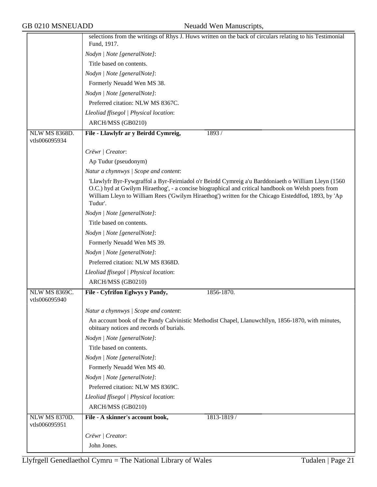|                                       | selections from the writings of Rhys J. Huws written on the back of circulars relating to his Testimonial<br>Fund, 1917.                                                                                                                                                                                                    |  |  |
|---------------------------------------|-----------------------------------------------------------------------------------------------------------------------------------------------------------------------------------------------------------------------------------------------------------------------------------------------------------------------------|--|--|
|                                       | Nodyn   Note [generalNote]:                                                                                                                                                                                                                                                                                                 |  |  |
|                                       | Title based on contents.                                                                                                                                                                                                                                                                                                    |  |  |
|                                       |                                                                                                                                                                                                                                                                                                                             |  |  |
|                                       | Nodyn   Note [generalNote]:                                                                                                                                                                                                                                                                                                 |  |  |
|                                       | Formerly Neuadd Wen MS 38.                                                                                                                                                                                                                                                                                                  |  |  |
|                                       | Nodyn   Note [generalNote]:                                                                                                                                                                                                                                                                                                 |  |  |
|                                       | Preferred citation: NLW MS 8367C.                                                                                                                                                                                                                                                                                           |  |  |
|                                       | Lleoliad ffisegol   Physical location:                                                                                                                                                                                                                                                                                      |  |  |
|                                       | ARCH/MSS (GB0210)                                                                                                                                                                                                                                                                                                           |  |  |
| <b>NLW MS 8368D.</b><br>vtls006095934 | File - Llawlyfr ar y Beirdd Cymreig,<br>1893/                                                                                                                                                                                                                                                                               |  |  |
|                                       | Crëwr   Creator:                                                                                                                                                                                                                                                                                                            |  |  |
|                                       | Ap Tudur (pseudonym)                                                                                                                                                                                                                                                                                                        |  |  |
|                                       | Natur a chynnwys / Scope and content:                                                                                                                                                                                                                                                                                       |  |  |
|                                       | 'Llawlyfr Byr-Fywgraffol a Byr-Feirniadol o'r Beirdd Cymreig a'u Barddoniaeth o William Lleyn (1560<br>O.C.) hyd at Gwilym Hiraethog', - a concise biographical and critical handbook on Welsh poets from<br>William Lleyn to William Rees ('Gwilym Hiraethog') written for the Chicago Eisteddfod, 1893, by 'Ap<br>Tudur'. |  |  |
|                                       | Nodyn   Note [generalNote]:                                                                                                                                                                                                                                                                                                 |  |  |
|                                       | Title based on contents.                                                                                                                                                                                                                                                                                                    |  |  |
|                                       | Nodyn   Note [generalNote]:                                                                                                                                                                                                                                                                                                 |  |  |
|                                       | Formerly Neuadd Wen MS 39.                                                                                                                                                                                                                                                                                                  |  |  |
|                                       | Nodyn   Note [generalNote]:                                                                                                                                                                                                                                                                                                 |  |  |
|                                       | Preferred citation: NLW MS 8368D.                                                                                                                                                                                                                                                                                           |  |  |
|                                       | Lleoliad ffisegol   Physical location:                                                                                                                                                                                                                                                                                      |  |  |
|                                       | ARCH/MSS (GB0210)                                                                                                                                                                                                                                                                                                           |  |  |
| <b>NLW MS 8369C.</b><br>vtls006095940 | 1856-1870.<br>File - Cyfrifon Eglwys y Pandy,                                                                                                                                                                                                                                                                               |  |  |
|                                       | Natur a chynnwys / Scope and content:                                                                                                                                                                                                                                                                                       |  |  |
|                                       | An account book of the Pandy Calvinistic Methodist Chapel, Llanuwchllyn, 1856-1870, with minutes,<br>obituary notices and records of burials.                                                                                                                                                                               |  |  |
|                                       | Nodyn   Note [generalNote]:                                                                                                                                                                                                                                                                                                 |  |  |
|                                       | Title based on contents.                                                                                                                                                                                                                                                                                                    |  |  |
|                                       | Nodyn   Note [generalNote]:                                                                                                                                                                                                                                                                                                 |  |  |
|                                       | Formerly Neuadd Wen MS 40.                                                                                                                                                                                                                                                                                                  |  |  |
|                                       | Nodyn   Note [generalNote]:                                                                                                                                                                                                                                                                                                 |  |  |
|                                       | Preferred citation: NLW MS 8369C.                                                                                                                                                                                                                                                                                           |  |  |
|                                       | Lleoliad ffisegol   Physical location:                                                                                                                                                                                                                                                                                      |  |  |
|                                       | ARCH/MSS (GB0210)                                                                                                                                                                                                                                                                                                           |  |  |
| NLW MS 8370D.                         | File - A skinner's account book,<br>1813-1819 /                                                                                                                                                                                                                                                                             |  |  |
| vtls006095951                         |                                                                                                                                                                                                                                                                                                                             |  |  |
|                                       | Crëwr   Creator:                                                                                                                                                                                                                                                                                                            |  |  |
|                                       | John Jones.                                                                                                                                                                                                                                                                                                                 |  |  |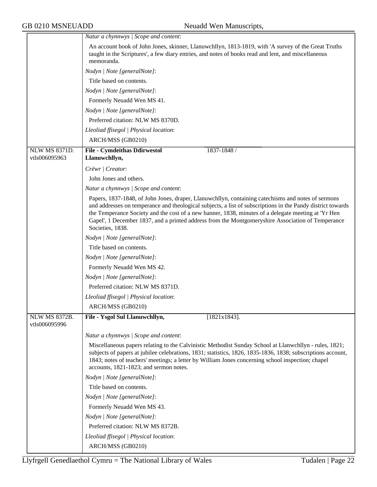|                      | Natur a chynnwys / Scope and content:                                                                                                                                                                                                                                                                                                                                                                                                             |
|----------------------|---------------------------------------------------------------------------------------------------------------------------------------------------------------------------------------------------------------------------------------------------------------------------------------------------------------------------------------------------------------------------------------------------------------------------------------------------|
|                      | An account book of John Jones, skinner, Llanuwchllyn, 1813-1819, with 'A survey of the Great Truths<br>taught in the Scriptures', a few diary entries, and notes of books read and lent, and miscellaneous<br>memoranda.                                                                                                                                                                                                                          |
|                      | Nodyn   Note [generalNote]:                                                                                                                                                                                                                                                                                                                                                                                                                       |
|                      | Title based on contents.                                                                                                                                                                                                                                                                                                                                                                                                                          |
|                      | Nodyn   Note [generalNote]:                                                                                                                                                                                                                                                                                                                                                                                                                       |
|                      | Formerly Neuadd Wen MS 41.                                                                                                                                                                                                                                                                                                                                                                                                                        |
|                      | Nodyn   Note [generalNote]:                                                                                                                                                                                                                                                                                                                                                                                                                       |
|                      | Preferred citation: NLW MS 8370D.                                                                                                                                                                                                                                                                                                                                                                                                                 |
|                      | Lleoliad ffisegol   Physical location:                                                                                                                                                                                                                                                                                                                                                                                                            |
|                      | ARCH/MSS (GB0210)                                                                                                                                                                                                                                                                                                                                                                                                                                 |
| <b>NLW MS 8371D.</b> | <b>File - Cymdeithas Ddirwestol</b><br>1837-1848 /                                                                                                                                                                                                                                                                                                                                                                                                |
| vtls006095963        | Llanuwchllyn,                                                                                                                                                                                                                                                                                                                                                                                                                                     |
|                      | Crëwr   Creator:                                                                                                                                                                                                                                                                                                                                                                                                                                  |
|                      | John Jones and others.                                                                                                                                                                                                                                                                                                                                                                                                                            |
|                      | Natur a chynnwys / Scope and content:                                                                                                                                                                                                                                                                                                                                                                                                             |
|                      | Papers, 1837-1848, of John Jones, draper, Llanuwchllyn, containing catechisms and notes of sermons<br>and addresses on temperance and theological subjects, a list of subscriptions in the Pandy district towards<br>the Temperance Society and the cost of a new banner, 1838, minutes of a delegate meeting at 'Yr Hen<br>Gapel', 1 December 1837, and a printed address from the Montgomeryshire Association of Temperance<br>Societies, 1838. |
|                      | Nodyn   Note [generalNote]:                                                                                                                                                                                                                                                                                                                                                                                                                       |
|                      | Title based on contents.                                                                                                                                                                                                                                                                                                                                                                                                                          |
|                      | Nodyn   Note [generalNote]:                                                                                                                                                                                                                                                                                                                                                                                                                       |
|                      | Formerly Neuadd Wen MS 42.                                                                                                                                                                                                                                                                                                                                                                                                                        |
|                      | Nodyn   Note [generalNote]:                                                                                                                                                                                                                                                                                                                                                                                                                       |
|                      | Preferred citation: NLW MS 8371D.                                                                                                                                                                                                                                                                                                                                                                                                                 |
|                      | Lleoliad ffisegol   Physical location:                                                                                                                                                                                                                                                                                                                                                                                                            |
|                      | ARCH/MSS (GB0210)                                                                                                                                                                                                                                                                                                                                                                                                                                 |
| NLW MS 8372B.        | File - Ysgol Sul Llanuwchllyn,<br>$[1821x1843]$ .                                                                                                                                                                                                                                                                                                                                                                                                 |
| vtls006095996        |                                                                                                                                                                                                                                                                                                                                                                                                                                                   |
|                      | Natur a chynnwys / Scope and content:                                                                                                                                                                                                                                                                                                                                                                                                             |
|                      | Miscellaneous papers relating to the Calvinistic Methodist Sunday School at Llanwchllyn - rules, 1821;<br>subjects of papers at jubilee celebrations, 1831; statistics, 1826, 1835-1836, 1838; subscriptions account,<br>1843; notes of teachers' meetings; a letter by William Jones concerning school inspection; chapel<br>accounts, 1821-1823; and sermon notes.                                                                              |
|                      | Nodyn   Note [generalNote]:                                                                                                                                                                                                                                                                                                                                                                                                                       |
|                      | Title based on contents.                                                                                                                                                                                                                                                                                                                                                                                                                          |
|                      | Nodyn   Note [generalNote]:                                                                                                                                                                                                                                                                                                                                                                                                                       |
|                      | Formerly Neuadd Wen MS 43.                                                                                                                                                                                                                                                                                                                                                                                                                        |
|                      | Nodyn   Note [generalNote]:                                                                                                                                                                                                                                                                                                                                                                                                                       |
|                      | Preferred citation: NLW MS 8372B.                                                                                                                                                                                                                                                                                                                                                                                                                 |
|                      | Lleoliad ffisegol   Physical location:                                                                                                                                                                                                                                                                                                                                                                                                            |
|                      | ARCH/MSS (GB0210)                                                                                                                                                                                                                                                                                                                                                                                                                                 |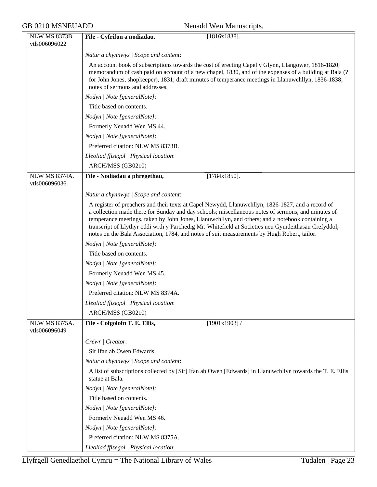| GB 0210 MSNEUADD |                                       | Neuadd Wen Manuscripts,                                                                                                                                                                                                                                                                                                                                                                                                                                                                                          |
|------------------|---------------------------------------|------------------------------------------------------------------------------------------------------------------------------------------------------------------------------------------------------------------------------------------------------------------------------------------------------------------------------------------------------------------------------------------------------------------------------------------------------------------------------------------------------------------|
|                  | <b>NLW MS 8373B.</b><br>vtls006096022 | File - Cyfrifon a nodiadau,<br>$[1816x1838]$ .                                                                                                                                                                                                                                                                                                                                                                                                                                                                   |
|                  |                                       | Natur a chynnwys / Scope and content:                                                                                                                                                                                                                                                                                                                                                                                                                                                                            |
|                  |                                       | An account book of subscriptions towards the cost of erecting Capel y Glynn, Llangower, 1816-1820;<br>memorandum of cash paid on account of a new chapel, 1830, and of the expenses of a building at Bala (?<br>for John Jones, shopkeeper), 1831; draft minutes of temperance meetings in Llanuwchllyn, 1836-1838;<br>notes of sermons and addresses.                                                                                                                                                           |
|                  |                                       | Nodyn   Note [generalNote]:                                                                                                                                                                                                                                                                                                                                                                                                                                                                                      |
|                  |                                       | Title based on contents.                                                                                                                                                                                                                                                                                                                                                                                                                                                                                         |
|                  |                                       | Nodyn   Note [generalNote]:                                                                                                                                                                                                                                                                                                                                                                                                                                                                                      |
|                  |                                       | Formerly Neuadd Wen MS 44.                                                                                                                                                                                                                                                                                                                                                                                                                                                                                       |
|                  |                                       | Nodyn   Note [generalNote]:                                                                                                                                                                                                                                                                                                                                                                                                                                                                                      |
|                  |                                       | Preferred citation: NLW MS 8373B.                                                                                                                                                                                                                                                                                                                                                                                                                                                                                |
|                  |                                       | Lleoliad ffisegol   Physical location:                                                                                                                                                                                                                                                                                                                                                                                                                                                                           |
|                  |                                       | ARCH/MSS (GB0210)                                                                                                                                                                                                                                                                                                                                                                                                                                                                                                |
|                  | <b>NLW MS 8374A.</b><br>vtls006096036 | $[1784x1850]$ .<br>File - Nodiadau a phregethau,                                                                                                                                                                                                                                                                                                                                                                                                                                                                 |
|                  |                                       | Natur a chynnwys / Scope and content:                                                                                                                                                                                                                                                                                                                                                                                                                                                                            |
|                  |                                       | A register of preachers and their texts at Capel Newydd, Llanuwchllyn, 1826-1827, and a record of<br>a collection made there for Sunday and day schools; miscellaneous notes of sermons, and minutes of<br>temperance meetings, taken by John Jones, Llanuwchllyn, and others; and a notebook containing a<br>transcript of Llythyr oddi wrth y Parchedig Mr. Whitefield at Societies neu Gymdeithasau Crefyddol,<br>notes on the Bala Association, 1784, and notes of suit measurements by Hugh Robert, tailor. |
|                  |                                       | Nodyn   Note [generalNote]:                                                                                                                                                                                                                                                                                                                                                                                                                                                                                      |
|                  |                                       | Title based on contents.                                                                                                                                                                                                                                                                                                                                                                                                                                                                                         |
|                  |                                       | Nodyn   Note [generalNote]:                                                                                                                                                                                                                                                                                                                                                                                                                                                                                      |
|                  |                                       | Formerly Neuadd Wen MS 45.                                                                                                                                                                                                                                                                                                                                                                                                                                                                                       |
|                  |                                       | Nodyn   Note [generalNote]:                                                                                                                                                                                                                                                                                                                                                                                                                                                                                      |
|                  |                                       | Preferred citation: NLW MS 8374A.                                                                                                                                                                                                                                                                                                                                                                                                                                                                                |
|                  |                                       | Lleoliad ffisegol   Physical location:                                                                                                                                                                                                                                                                                                                                                                                                                                                                           |
|                  |                                       | ARCH/MSS (GB0210)                                                                                                                                                                                                                                                                                                                                                                                                                                                                                                |
|                  | <b>NLW MS 8375A.</b><br>vtls006096049 | File - Cofgolofn T. E. Ellis,<br>$[1901x1903]$ /                                                                                                                                                                                                                                                                                                                                                                                                                                                                 |
|                  |                                       | Crëwr   Creator:                                                                                                                                                                                                                                                                                                                                                                                                                                                                                                 |
|                  |                                       | Sir Ifan ab Owen Edwards.                                                                                                                                                                                                                                                                                                                                                                                                                                                                                        |
|                  |                                       | Natur a chynnwys / Scope and content:                                                                                                                                                                                                                                                                                                                                                                                                                                                                            |
|                  |                                       | A list of subscriptions collected by [Sir] Ifan ab Owen [Edwards] in Llanuwchllyn towards the T. E. Ellis<br>statue at Bala.                                                                                                                                                                                                                                                                                                                                                                                     |
|                  |                                       | Nodyn   Note [generalNote]:                                                                                                                                                                                                                                                                                                                                                                                                                                                                                      |
|                  |                                       | Title based on contents.                                                                                                                                                                                                                                                                                                                                                                                                                                                                                         |
|                  |                                       | Nodyn   Note [generalNote]:                                                                                                                                                                                                                                                                                                                                                                                                                                                                                      |
|                  |                                       | Formerly Neuadd Wen MS 46.                                                                                                                                                                                                                                                                                                                                                                                                                                                                                       |
|                  |                                       | Nodyn   Note [generalNote]:                                                                                                                                                                                                                                                                                                                                                                                                                                                                                      |
|                  |                                       | Preferred citation: NLW MS 8375A.                                                                                                                                                                                                                                                                                                                                                                                                                                                                                |
|                  |                                       | Lleoliad ffisegol   Physical location:                                                                                                                                                                                                                                                                                                                                                                                                                                                                           |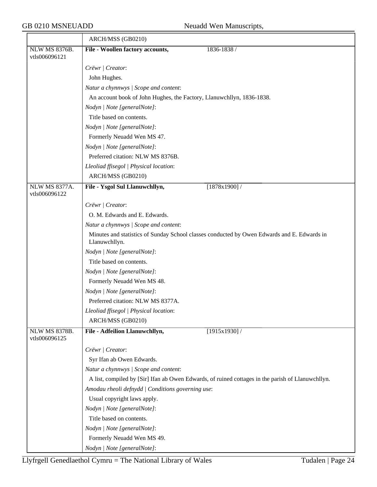|                                       | ARCH/MSS (GB0210)                                                                                            |
|---------------------------------------|--------------------------------------------------------------------------------------------------------------|
| <b>NLW MS 8376B.</b>                  | File - Woollen factory accounts,<br>1836-1838 /                                                              |
| vtls006096121                         |                                                                                                              |
|                                       | Crëwr   Creator:                                                                                             |
|                                       | John Hughes.                                                                                                 |
|                                       | Natur a chynnwys / Scope and content:                                                                        |
|                                       | An account book of John Hughes, the Factory, Llanuwchllyn, 1836-1838.                                        |
|                                       | Nodyn   Note [generalNote]:                                                                                  |
|                                       | Title based on contents.                                                                                     |
|                                       | Nodyn   Note [generalNote]:                                                                                  |
|                                       | Formerly Neuadd Wen MS 47.                                                                                   |
|                                       | Nodyn   Note [generalNote]:                                                                                  |
|                                       | Preferred citation: NLW MS 8376B.                                                                            |
|                                       | Lleoliad ffisegol   Physical location:                                                                       |
|                                       | ARCH/MSS (GB0210)                                                                                            |
| NLW MS 8377A.<br>vtls006096122        | File - Ysgol Sul Llanuwchllyn,<br>[1878x1900]                                                                |
|                                       | Crëwr   Creator:                                                                                             |
|                                       | O. M. Edwards and E. Edwards.                                                                                |
|                                       | Natur a chynnwys / Scope and content:                                                                        |
|                                       | Minutes and statistics of Sunday School classes conducted by Owen Edwards and E. Edwards in<br>Llanuwchllyn. |
|                                       | Nodyn   Note [generalNote]:                                                                                  |
|                                       | Title based on contents.                                                                                     |
|                                       | Nodyn   Note [generalNote]:                                                                                  |
|                                       | Formerly Neuadd Wen MS 48.                                                                                   |
|                                       | Nodyn   Note [generalNote]:                                                                                  |
|                                       | Preferred citation: NLW MS 8377A.                                                                            |
|                                       | Lleoliad ffisegol   Physical location:                                                                       |
|                                       | ARCH/MSS (GB0210)                                                                                            |
| <b>NLW MS 8378B.</b><br>vtls006096125 | File - Adfeilion Llanuwchllyn,<br>$[1915x1930]$ /                                                            |
|                                       | Crëwr   Creator:                                                                                             |
|                                       | Syr Ifan ab Owen Edwards.                                                                                    |
|                                       | Natur a chynnwys / Scope and content:                                                                        |
|                                       | A list, compiled by [Sir] Ifan ab Owen Edwards, of ruined cottages in the parish of Llanuwchllyn.            |
|                                       | Amodau rheoli defnydd   Conditions governing use:                                                            |
|                                       | Usual copyright laws apply.                                                                                  |
|                                       | Nodyn   Note [generalNote]:                                                                                  |
|                                       | Title based on contents.                                                                                     |
|                                       | Nodyn   Note [generalNote]:                                                                                  |
|                                       | Formerly Neuadd Wen MS 49.                                                                                   |
|                                       | Nodyn   Note [generalNote]:                                                                                  |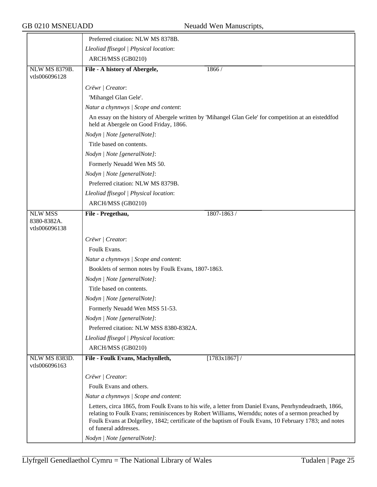|                                                | Preferred citation: NLW MS 8378B.                   |                                                                                                                                                                                                                                                                                                                       |
|------------------------------------------------|-----------------------------------------------------|-----------------------------------------------------------------------------------------------------------------------------------------------------------------------------------------------------------------------------------------------------------------------------------------------------------------------|
|                                                | Lleoliad ffisegol   Physical location:              |                                                                                                                                                                                                                                                                                                                       |
|                                                | ARCH/MSS (GB0210)                                   |                                                                                                                                                                                                                                                                                                                       |
| <b>NLW MS 8379B.</b><br>vtls006096128          | File - A history of Abergele,                       | 1866 /                                                                                                                                                                                                                                                                                                                |
|                                                | Crëwr   Creator:                                    |                                                                                                                                                                                                                                                                                                                       |
|                                                | 'Mihangel Glan Gele'.                               |                                                                                                                                                                                                                                                                                                                       |
|                                                | Natur a chynnwys / Scope and content:               |                                                                                                                                                                                                                                                                                                                       |
|                                                | held at Abergele on Good Friday, 1866.              | An essay on the history of Abergele written by 'Mihangel Glan Gele' for competition at an eisteddfod                                                                                                                                                                                                                  |
|                                                | Nodyn   Note [generalNote]:                         |                                                                                                                                                                                                                                                                                                                       |
|                                                | Title based on contents.                            |                                                                                                                                                                                                                                                                                                                       |
|                                                | Nodyn   Note [generalNote]:                         |                                                                                                                                                                                                                                                                                                                       |
|                                                | Formerly Neuadd Wen MS 50.                          |                                                                                                                                                                                                                                                                                                                       |
|                                                | Nodyn   Note [generalNote]:                         |                                                                                                                                                                                                                                                                                                                       |
|                                                | Preferred citation: NLW MS 8379B.                   |                                                                                                                                                                                                                                                                                                                       |
|                                                | Lleoliad ffisegol   Physical location:              |                                                                                                                                                                                                                                                                                                                       |
|                                                | ARCH/MSS (GB0210)                                   |                                                                                                                                                                                                                                                                                                                       |
| <b>NLW MSS</b><br>8380-8382A.<br>vtls006096138 | File - Pregethau,                                   | 1807-1863 /                                                                                                                                                                                                                                                                                                           |
|                                                | Crëwr   Creator:                                    |                                                                                                                                                                                                                                                                                                                       |
|                                                | Foulk Evans.                                        |                                                                                                                                                                                                                                                                                                                       |
|                                                | Natur a chynnwys / Scope and content:               |                                                                                                                                                                                                                                                                                                                       |
|                                                | Booklets of sermon notes by Foulk Evans, 1807-1863. |                                                                                                                                                                                                                                                                                                                       |
|                                                | Nodyn   Note [generalNote]:                         |                                                                                                                                                                                                                                                                                                                       |
|                                                | Title based on contents.                            |                                                                                                                                                                                                                                                                                                                       |
|                                                | Nodyn   Note [generalNote]:                         |                                                                                                                                                                                                                                                                                                                       |
|                                                | Formerly Neuadd Wen MSS 51-53.                      |                                                                                                                                                                                                                                                                                                                       |
|                                                | Nodyn   Note [generalNote]:                         |                                                                                                                                                                                                                                                                                                                       |
|                                                | Preferred citation: NLW MSS 8380-8382A.             |                                                                                                                                                                                                                                                                                                                       |
|                                                | Lleoliad ffisegol   Physical location:              |                                                                                                                                                                                                                                                                                                                       |
|                                                | ARCH/MSS (GB0210)                                   |                                                                                                                                                                                                                                                                                                                       |
| <b>NLW MS 8383D.</b><br>vtls006096163          | File - Foulk Evans, Machynlleth,                    | [1783x1867] /                                                                                                                                                                                                                                                                                                         |
|                                                | Crëwr   Creator:                                    |                                                                                                                                                                                                                                                                                                                       |
|                                                | Foulk Evans and others.                             |                                                                                                                                                                                                                                                                                                                       |
|                                                | Natur a chynnwys / Scope and content:               |                                                                                                                                                                                                                                                                                                                       |
|                                                | of funeral addresses.                               | Letters, circa 1865, from Foulk Evans to his wife, a letter from Daniel Evans, Penrhyndeudraeth, 1866,<br>relating to Foulk Evans; reminiscences by Robert Williams, Wernddu; notes of a sermon preached by<br>Foulk Evans at Dolgelley, 1842; certificate of the baptism of Foulk Evans, 10 February 1783; and notes |
|                                                | Nodyn   Note [generalNote]:                         |                                                                                                                                                                                                                                                                                                                       |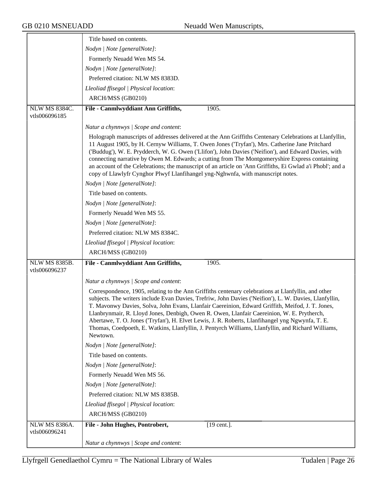|                                       | Title based on contents.                                                                                                                                                                                                                                                                                                                                                                                                                                                                                                                                                                                                              |
|---------------------------------------|---------------------------------------------------------------------------------------------------------------------------------------------------------------------------------------------------------------------------------------------------------------------------------------------------------------------------------------------------------------------------------------------------------------------------------------------------------------------------------------------------------------------------------------------------------------------------------------------------------------------------------------|
|                                       | Nodyn   Note [generalNote]:                                                                                                                                                                                                                                                                                                                                                                                                                                                                                                                                                                                                           |
|                                       | Formerly Neuadd Wen MS 54.                                                                                                                                                                                                                                                                                                                                                                                                                                                                                                                                                                                                            |
|                                       | Nodyn   Note [generalNote]:                                                                                                                                                                                                                                                                                                                                                                                                                                                                                                                                                                                                           |
|                                       | Preferred citation: NLW MS 8383D.                                                                                                                                                                                                                                                                                                                                                                                                                                                                                                                                                                                                     |
|                                       | Lleoliad ffisegol   Physical location:                                                                                                                                                                                                                                                                                                                                                                                                                                                                                                                                                                                                |
|                                       | ARCH/MSS (GB0210)                                                                                                                                                                                                                                                                                                                                                                                                                                                                                                                                                                                                                     |
|                                       |                                                                                                                                                                                                                                                                                                                                                                                                                                                                                                                                                                                                                                       |
| NLW MS 8384C.<br>vtls006096185        | File - Canmlwyddiant Ann Griffiths,<br>1905.                                                                                                                                                                                                                                                                                                                                                                                                                                                                                                                                                                                          |
|                                       | Natur a chynnwys / Scope and content:                                                                                                                                                                                                                                                                                                                                                                                                                                                                                                                                                                                                 |
|                                       | Holograph manuscripts of addresses delivered at the Ann Griffiths Centenary Celebrations at Llanfyllin,<br>11 August 1905, by H. Cernyw Williams, T. Owen Jones ('Tryfan'), Mrs. Catherine Jane Pritchard<br>('Buddug'), W. E. Prydderch, W. G. Owen ('Llifon'), John Davies ('Neifion'), and Edward Davies, with<br>connecting narrative by Owen M. Edwards; a cutting from The Montgomeryshire Express containing<br>an account of the Celebrations; the manuscript of an article on 'Ann Griffiths, Ei Gwlad a'i Phobl'; and a<br>copy of Llawlyfr Cynghor Plwyf Llanfihangel yng-Nghwnfa, with manuscript notes.                  |
|                                       | Nodyn   Note [generalNote]:                                                                                                                                                                                                                                                                                                                                                                                                                                                                                                                                                                                                           |
|                                       | Title based on contents.                                                                                                                                                                                                                                                                                                                                                                                                                                                                                                                                                                                                              |
|                                       | Nodyn   Note [generalNote]:                                                                                                                                                                                                                                                                                                                                                                                                                                                                                                                                                                                                           |
|                                       | Formerly Neuadd Wen MS 55.                                                                                                                                                                                                                                                                                                                                                                                                                                                                                                                                                                                                            |
|                                       | Nodyn   Note [generalNote]:                                                                                                                                                                                                                                                                                                                                                                                                                                                                                                                                                                                                           |
|                                       | Preferred citation: NLW MS 8384C.                                                                                                                                                                                                                                                                                                                                                                                                                                                                                                                                                                                                     |
|                                       | Lleoliad ffisegol   Physical location:                                                                                                                                                                                                                                                                                                                                                                                                                                                                                                                                                                                                |
|                                       | ARCH/MSS (GB0210)                                                                                                                                                                                                                                                                                                                                                                                                                                                                                                                                                                                                                     |
| <b>NLW MS 8385B.</b><br>vtls006096237 | File - Canmlwyddiant Ann Griffiths,<br>1905.                                                                                                                                                                                                                                                                                                                                                                                                                                                                                                                                                                                          |
|                                       | Natur a chynnwys / Scope and content:                                                                                                                                                                                                                                                                                                                                                                                                                                                                                                                                                                                                 |
|                                       | Correspondence, 1905, relating to the Ann Griffiths centenary celebrations at Llanfyllin, and other<br>subjects. The writers include Evan Davies, Trefriw, John Davies ('Neifion'), L. W. Davies, Llanfyllin,<br>T. Mavonwy Davies, Solva, John Evans, Llanfair Caereinion, Edward Griffith, Meifod, J. T. Jones.<br>Llanbrynmair, R. Lloyd Jones, Denbigh, Owen R. Owen, Llanfair Caereinion, W. E. Prytherch,<br>Abertawe, T. O. Jones ('Tryfan'), H. Elvet Lewis, J. R. Roberts, Llanfihangel yng Ngwynfa, T. E.<br>Thomas, Coedpoeth, E. Watkins, Llanfyllin, J. Pentyrch Williams, Llanfyllin, and Richard Williams,<br>Newtown. |
|                                       | Nodyn   Note [generalNote]:                                                                                                                                                                                                                                                                                                                                                                                                                                                                                                                                                                                                           |
|                                       | Title based on contents.                                                                                                                                                                                                                                                                                                                                                                                                                                                                                                                                                                                                              |
|                                       | Nodyn   Note [generalNote]:                                                                                                                                                                                                                                                                                                                                                                                                                                                                                                                                                                                                           |
|                                       | Formerly Neuadd Wen MS 56.                                                                                                                                                                                                                                                                                                                                                                                                                                                                                                                                                                                                            |
|                                       | Nodyn   Note [generalNote]:                                                                                                                                                                                                                                                                                                                                                                                                                                                                                                                                                                                                           |
|                                       | Preferred citation: NLW MS 8385B.                                                                                                                                                                                                                                                                                                                                                                                                                                                                                                                                                                                                     |
|                                       | Lleoliad ffisegol   Physical location:                                                                                                                                                                                                                                                                                                                                                                                                                                                                                                                                                                                                |
|                                       | ARCH/MSS (GB0210)                                                                                                                                                                                                                                                                                                                                                                                                                                                                                                                                                                                                                     |
| <b>NLW MS 8386A.</b><br>vtls006096241 | File - John Hughes, Pontrobert,<br>$[19 \text{ cent.}]$ .                                                                                                                                                                                                                                                                                                                                                                                                                                                                                                                                                                             |
|                                       | Natur a chynnwys / Scope and content:                                                                                                                                                                                                                                                                                                                                                                                                                                                                                                                                                                                                 |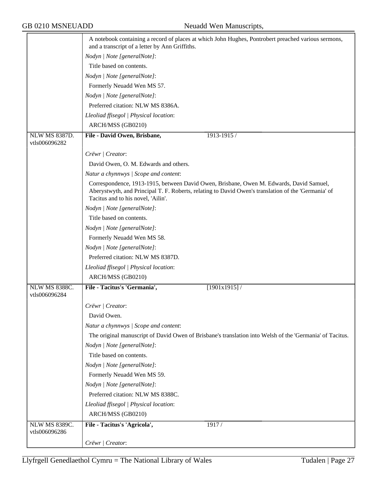|                                       | A notebook containing a record of places at which John Hughes, Pontrobert preached various sermons,<br>and a transcript of a letter by Ann Griffiths.                                                                                |
|---------------------------------------|--------------------------------------------------------------------------------------------------------------------------------------------------------------------------------------------------------------------------------------|
|                                       | Nodyn   Note [generalNote]:                                                                                                                                                                                                          |
|                                       | Title based on contents.                                                                                                                                                                                                             |
|                                       | Nodyn   Note [generalNote]:                                                                                                                                                                                                          |
|                                       | Formerly Neuadd Wen MS 57.                                                                                                                                                                                                           |
|                                       | Nodyn   Note [generalNote]:                                                                                                                                                                                                          |
|                                       | Preferred citation: NLW MS 8386A.                                                                                                                                                                                                    |
|                                       | Lleoliad ffisegol   Physical location:                                                                                                                                                                                               |
|                                       | ARCH/MSS (GB0210)                                                                                                                                                                                                                    |
| <b>NLW MS 8387D.</b><br>vtls006096282 | File - David Owen, Brisbane,<br>1913-1915 /                                                                                                                                                                                          |
|                                       |                                                                                                                                                                                                                                      |
|                                       | Crëwr   Creator:                                                                                                                                                                                                                     |
|                                       | David Owen, O. M. Edwards and others.                                                                                                                                                                                                |
|                                       | Natur a chynnwys / Scope and content:                                                                                                                                                                                                |
|                                       | Correspondence, 1913-1915, between David Owen, Brisbane, Owen M. Edwards, David Samuel,<br>Aberystwyth, and Principal T. F. Roberts, relating to David Owen's translation of the 'Germania' of<br>Tacitus and to his novel, 'Ailin'. |
|                                       | Nodyn   Note [generalNote]:                                                                                                                                                                                                          |
|                                       | Title based on contents.                                                                                                                                                                                                             |
|                                       | Nodyn   Note [generalNote]:                                                                                                                                                                                                          |
|                                       | Formerly Neuadd Wen MS 58.                                                                                                                                                                                                           |
|                                       | Nodyn   Note [generalNote]:                                                                                                                                                                                                          |
|                                       | Preferred citation: NLW MS 8387D.                                                                                                                                                                                                    |
|                                       | Lleoliad ffisegol   Physical location:                                                                                                                                                                                               |
|                                       | ARCH/MSS (GB0210)                                                                                                                                                                                                                    |
| NLW MS 8388C.                         | File - Tacitus's 'Germania',<br>[1901x1915]                                                                                                                                                                                          |
| vtls006096284                         |                                                                                                                                                                                                                                      |
|                                       | Crëwr   Creator:                                                                                                                                                                                                                     |
|                                       | David Owen.                                                                                                                                                                                                                          |
|                                       | Natur a chynnwys / Scope and content:                                                                                                                                                                                                |
|                                       | The original manuscript of David Owen of Brisbane's translation into Welsh of the 'Germania' of Tacitus.                                                                                                                             |
|                                       | Nodyn   Note [generalNote]:                                                                                                                                                                                                          |
|                                       | Title based on contents.                                                                                                                                                                                                             |
|                                       | Nodyn   Note [generalNote]:                                                                                                                                                                                                          |
|                                       | Formerly Neuadd Wen MS 59.                                                                                                                                                                                                           |
|                                       | Nodyn   Note [generalNote]:                                                                                                                                                                                                          |
|                                       | Preferred citation: NLW MS 8388C.                                                                                                                                                                                                    |
|                                       | Lleoliad ffisegol   Physical location:                                                                                                                                                                                               |
|                                       | ARCH/MSS (GB0210)                                                                                                                                                                                                                    |
| <b>NLW MS 8389C.</b>                  | File - Tacitus's 'Agricola',<br>1917/                                                                                                                                                                                                |
| vtls006096286                         |                                                                                                                                                                                                                                      |
|                                       | Crëwr / Creator:                                                                                                                                                                                                                     |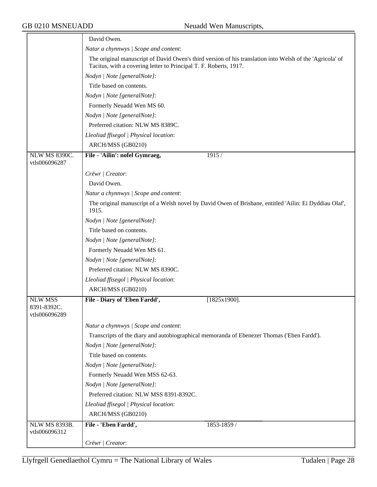|                                                | David Owen.                                                                                                                                                                   |
|------------------------------------------------|-------------------------------------------------------------------------------------------------------------------------------------------------------------------------------|
|                                                | Natur a chynnwys / Scope and content:                                                                                                                                         |
|                                                | The original manuscript of David Owen's third version of his translation into Welsh of the 'Agricola' of<br>Tacitus, with a covering letter to Principal T. F. Roberts, 1917. |
|                                                | Nodyn   Note [generalNote]:                                                                                                                                                   |
|                                                | Title based on contents.                                                                                                                                                      |
|                                                | Nodyn   Note [generalNote]:                                                                                                                                                   |
|                                                | Formerly Neuadd Wen MS 60.                                                                                                                                                    |
|                                                | Nodyn   Note [generalNote]:                                                                                                                                                   |
|                                                | Preferred citation: NLW MS 8389C.                                                                                                                                             |
|                                                | Lleoliad ffisegol   Physical location:                                                                                                                                        |
|                                                | ARCH/MSS (GB0210)                                                                                                                                                             |
| NLW MS 8390C.<br>vtls006096287                 | File - 'Ailin': nofel Gymraeg,<br>1915 /                                                                                                                                      |
|                                                | Crëwr   Creator:                                                                                                                                                              |
|                                                | David Owen.                                                                                                                                                                   |
|                                                | Natur a chynnwys / Scope and content:                                                                                                                                         |
|                                                | The original manuscript of a Welsh novel by David Owen of Brisbane, entitled 'Ailin: Ei Dyddiau Olaf',<br>1915.                                                               |
|                                                | Nodyn   Note [generalNote]:                                                                                                                                                   |
|                                                | Title based on contents.                                                                                                                                                      |
|                                                | Nodyn   Note [generalNote]:                                                                                                                                                   |
|                                                | Formerly Neuadd Wen MS 61.                                                                                                                                                    |
|                                                | Nodyn   Note [generalNote]:                                                                                                                                                   |
|                                                | Preferred citation: NLW MS 8390C.                                                                                                                                             |
|                                                | Lleoliad ffisegol   Physical location:                                                                                                                                        |
|                                                | ARCH/MSS (GB0210)                                                                                                                                                             |
| <b>NLW MSS</b><br>8391-8392C.<br>vtls006096289 | File - Diary of 'Eben Fardd',<br>$[1825x1900]$ .                                                                                                                              |
|                                                | Natur a chynnwys / Scope and content:                                                                                                                                         |
|                                                | Transcripts of the diary and autobiographical memoranda of Ebenezer Thomas ('Eben Fardd').                                                                                    |
|                                                | Nodyn   Note [generalNote]:                                                                                                                                                   |
|                                                | Title based on contents.                                                                                                                                                      |
|                                                | Nodyn   Note [generalNote]:                                                                                                                                                   |
|                                                | Formerly Neuadd Wen MSS 62-63.                                                                                                                                                |
|                                                | Nodyn   Note [generalNote]:                                                                                                                                                   |
|                                                | Preferred citation: NLW MSS 8391-8392C.                                                                                                                                       |
|                                                | Lleoliad ffisegol   Physical location:                                                                                                                                        |
|                                                | ARCH/MSS (GB0210)                                                                                                                                                             |
| <b>NLW MS 8393B.</b>                           | File - 'Eben Fardd',<br>1853-1859 /                                                                                                                                           |
| vtls006096312                                  |                                                                                                                                                                               |
|                                                | Crëwr / Creator:                                                                                                                                                              |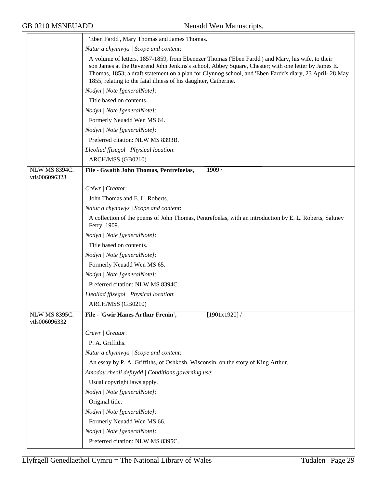|                                       | 'Eben Fardd', Mary Thomas and James Thomas.                                                                                                                                                                                                                                                                                                                                          |
|---------------------------------------|--------------------------------------------------------------------------------------------------------------------------------------------------------------------------------------------------------------------------------------------------------------------------------------------------------------------------------------------------------------------------------------|
|                                       | Natur a chynnwys / Scope and content:                                                                                                                                                                                                                                                                                                                                                |
|                                       | A volume of letters, 1857-1859, from Ebenezer Thomas ('Eben Fardd') and Mary, his wife, to their<br>son James at the Reverend John Jenkins's school, Abbey Square, Chester; with one letter by James E.<br>Thomas, 1853; a draft statement on a plan for Clynnog school, and 'Eben Fardd's diary, 23 April-28 May<br>1855, relating to the fatal illness of his daughter, Catherine. |
|                                       | Nodyn   Note [generalNote]:                                                                                                                                                                                                                                                                                                                                                          |
|                                       | Title based on contents.                                                                                                                                                                                                                                                                                                                                                             |
|                                       | Nodyn   Note [generalNote]:                                                                                                                                                                                                                                                                                                                                                          |
|                                       | Formerly Neuadd Wen MS 64.                                                                                                                                                                                                                                                                                                                                                           |
|                                       | Nodyn   Note [generalNote]:                                                                                                                                                                                                                                                                                                                                                          |
|                                       | Preferred citation: NLW MS 8393B.                                                                                                                                                                                                                                                                                                                                                    |
|                                       | Lleoliad ffisegol   Physical location:                                                                                                                                                                                                                                                                                                                                               |
|                                       | ARCH/MSS (GB0210)                                                                                                                                                                                                                                                                                                                                                                    |
| <b>NLW MS 8394C.</b><br>vtls006096323 | File - Gwaith John Thomas, Pentrefoelas,<br>1909 /                                                                                                                                                                                                                                                                                                                                   |
|                                       | Crëwr   Creator:                                                                                                                                                                                                                                                                                                                                                                     |
|                                       | John Thomas and E. L. Roberts.                                                                                                                                                                                                                                                                                                                                                       |
|                                       | Natur a chynnwys / Scope and content:                                                                                                                                                                                                                                                                                                                                                |
|                                       | A collection of the poems of John Thomas, Pentrefoelas, with an introduction by E. L. Roberts, Saltney<br>Ferry, 1909.                                                                                                                                                                                                                                                               |
|                                       | Nodyn   Note [generalNote]:                                                                                                                                                                                                                                                                                                                                                          |
|                                       | Title based on contents.                                                                                                                                                                                                                                                                                                                                                             |
|                                       | Nodyn   Note [generalNote]:                                                                                                                                                                                                                                                                                                                                                          |
|                                       | Formerly Neuadd Wen MS 65.                                                                                                                                                                                                                                                                                                                                                           |
|                                       | Nodyn   Note [generalNote]:                                                                                                                                                                                                                                                                                                                                                          |
|                                       | Preferred citation: NLW MS 8394C.                                                                                                                                                                                                                                                                                                                                                    |
|                                       | Lleoliad ffisegol   Physical location:                                                                                                                                                                                                                                                                                                                                               |
|                                       | ARCH/MSS (GB0210)                                                                                                                                                                                                                                                                                                                                                                    |
| NLW MS 8395C.<br>vtls006096332        | File - 'Gwir Hanes Arthur Frenin',<br>$[1901x1920]$ /                                                                                                                                                                                                                                                                                                                                |
|                                       | Crëwr   Creator:                                                                                                                                                                                                                                                                                                                                                                     |
|                                       | P. A. Griffiths.                                                                                                                                                                                                                                                                                                                                                                     |
|                                       | Natur a chynnwys / Scope and content:                                                                                                                                                                                                                                                                                                                                                |
|                                       | An essay by P. A. Griffiths, of Oshkosh, Wisconsin, on the story of King Arthur.                                                                                                                                                                                                                                                                                                     |
|                                       | Amodau rheoli defnydd   Conditions governing use:                                                                                                                                                                                                                                                                                                                                    |
|                                       | Usual copyright laws apply.                                                                                                                                                                                                                                                                                                                                                          |
|                                       | Nodyn   Note [generalNote]:                                                                                                                                                                                                                                                                                                                                                          |
|                                       | Original title.                                                                                                                                                                                                                                                                                                                                                                      |
|                                       | Nodyn   Note [generalNote]:                                                                                                                                                                                                                                                                                                                                                          |
|                                       | Formerly Neuadd Wen MS 66.                                                                                                                                                                                                                                                                                                                                                           |
|                                       | Nodyn   Note [generalNote]:                                                                                                                                                                                                                                                                                                                                                          |
|                                       | Preferred citation: NLW MS 8395C.                                                                                                                                                                                                                                                                                                                                                    |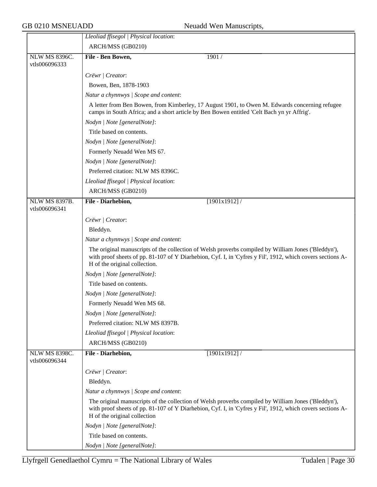|                                | Lleoliad ffisegol   Physical location:                                                                                                                                                                                                             |
|--------------------------------|----------------------------------------------------------------------------------------------------------------------------------------------------------------------------------------------------------------------------------------------------|
|                                | ARCH/MSS (GB0210)                                                                                                                                                                                                                                  |
| <b>NLW MS 8396C.</b>           | File - Ben Bowen,<br>1901 /                                                                                                                                                                                                                        |
| vtls006096333                  |                                                                                                                                                                                                                                                    |
|                                | Crëwr   Creator:                                                                                                                                                                                                                                   |
|                                | Bowen, Ben, 1878-1903                                                                                                                                                                                                                              |
|                                | Natur a chynnwys / Scope and content:                                                                                                                                                                                                              |
|                                | A letter from Ben Bowen, from Kimberley, 17 August 1901, to Owen M. Edwards concerning refugee<br>camps in South Africa; and a short article by Ben Bowen entitled 'Celt Bach yn yr Affrig'.                                                       |
|                                | Nodyn   Note [generalNote]:                                                                                                                                                                                                                        |
|                                | Title based on contents.                                                                                                                                                                                                                           |
|                                | Nodyn   Note [generalNote]:                                                                                                                                                                                                                        |
|                                | Formerly Neuadd Wen MS 67.                                                                                                                                                                                                                         |
|                                | Nodyn   Note [generalNote]:                                                                                                                                                                                                                        |
|                                | Preferred citation: NLW MS 8396C.                                                                                                                                                                                                                  |
|                                | Lleoliad ffisegol   Physical location:                                                                                                                                                                                                             |
|                                | ARCH/MSS (GB0210)                                                                                                                                                                                                                                  |
| <b>NLW MS 8397B.</b>           | File - Diarhebion,<br>$[1901x1912]$ /                                                                                                                                                                                                              |
| vtls006096341                  |                                                                                                                                                                                                                                                    |
|                                | Crëwr   Creator:                                                                                                                                                                                                                                   |
|                                | Bleddyn.                                                                                                                                                                                                                                           |
|                                | Natur a chynnwys / Scope and content:                                                                                                                                                                                                              |
|                                | The original manuscripts of the collection of Welsh proverbs compiled by William Jones ('Bleddyn'),<br>with proof sheets of pp. 81-107 of Y Diarhebion, Cyf. I, in 'Cyfres y Fil', 1912, which covers sections A-<br>H of the original collection. |
|                                | Nodyn   Note [generalNote]:                                                                                                                                                                                                                        |
|                                | Title based on contents.                                                                                                                                                                                                                           |
|                                | Nodyn   Note [generalNote]:                                                                                                                                                                                                                        |
|                                | Formerly Neuadd Wen MS 68.                                                                                                                                                                                                                         |
|                                | Nodyn   Note [generalNote]:                                                                                                                                                                                                                        |
|                                | Preferred citation: NLW MS 8397B.                                                                                                                                                                                                                  |
|                                | Lleoliad ffisegol   Physical location:                                                                                                                                                                                                             |
|                                | ARCH/MSS (GB0210)                                                                                                                                                                                                                                  |
| NLW MS 8398C.<br>vtls006096344 | File - Diarhebion,<br>[1901x1912]/                                                                                                                                                                                                                 |
|                                | Crëwr   Creator:                                                                                                                                                                                                                                   |
|                                | Bleddyn.                                                                                                                                                                                                                                           |
|                                | Natur a chynnwys / Scope and content:                                                                                                                                                                                                              |
|                                | The original manuscripts of the collection of Welsh proverbs compiled by William Jones ('Bleddyn'),<br>with proof sheets of pp. 81-107 of Y Diarhebion, Cyf. I, in 'Cyfres y Fil', 1912, which covers sections A-<br>H of the original collection  |
|                                | Nodyn   Note [generalNote]:                                                                                                                                                                                                                        |
|                                | Title based on contents.                                                                                                                                                                                                                           |
|                                | Nodyn   Note [generalNote]:                                                                                                                                                                                                                        |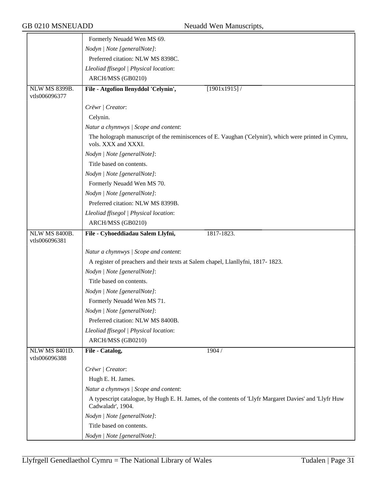|                      | Formerly Neuadd Wen MS 69.                                                                                                   |
|----------------------|------------------------------------------------------------------------------------------------------------------------------|
|                      | Nodyn   Note [generalNote]:                                                                                                  |
|                      | Preferred citation: NLW MS 8398C.                                                                                            |
|                      | Lleoliad ffisegol   Physical location:                                                                                       |
|                      | ARCH/MSS (GB0210)                                                                                                            |
| <b>NLW MS 8399B.</b> | File - Atgofion llenyddol 'Celynin',<br>[1901x1915]                                                                          |
| vtls006096377        |                                                                                                                              |
|                      | Crëwr   Creator:                                                                                                             |
|                      | Celynin.                                                                                                                     |
|                      | Natur a chynnwys / Scope and content:                                                                                        |
|                      | The holograph manuscript of the reminiscences of E. Vaughan ('Celynin'), which were printed in Cymru,<br>vols. XXX and XXXI. |
|                      | Nodyn   Note [generalNote]:                                                                                                  |
|                      | Title based on contents.                                                                                                     |
|                      | Nodyn   Note [generalNote]:                                                                                                  |
|                      | Formerly Neuadd Wen MS 70.                                                                                                   |
|                      | Nodyn   Note [generalNote]:                                                                                                  |
|                      | Preferred citation: NLW MS 8399B.                                                                                            |
|                      | Lleoliad ffisegol   Physical location:                                                                                       |
|                      | ARCH/MSS (GB0210)                                                                                                            |
| <b>NLW MS 8400B.</b> | File - Cyhoeddiadau Salem Llyfni,<br>1817-1823.                                                                              |
| vtls006096381        |                                                                                                                              |
|                      | Natur a chynnwys / Scope and content:                                                                                        |
|                      | A register of preachers and their texts at Salem chapel, Llanllyfni, 1817-1823.                                              |
|                      | Nodyn   Note [generalNote]:                                                                                                  |
|                      | Title based on contents.                                                                                                     |
|                      | Nodyn   Note [generalNote]:                                                                                                  |
|                      | Formerly Neuadd Wen MS 71.                                                                                                   |
|                      | Nodyn   Note [generalNote]:                                                                                                  |
|                      | Preferred citation: NLW MS 8400B.                                                                                            |
|                      | Lleoliad ffisegol   Physical location:                                                                                       |
|                      | ARCH/MSS (GB0210)                                                                                                            |
| <b>NLW MS 8401D.</b> | File - Catalog,<br>1904 /                                                                                                    |
| vtls006096388        |                                                                                                                              |
|                      | Crëwr   Creator:                                                                                                             |
|                      | Hugh E. H. James.                                                                                                            |
|                      | Natur a chynnwys / Scope and content:                                                                                        |
|                      | A typescript catalogue, by Hugh E. H. James, of the contents of 'Llyfr Margaret Davies' and 'Llyfr Huw<br>Cadwaladr', 1904.  |
|                      | Nodyn   Note [generalNote]:                                                                                                  |
|                      | Title based on contents.                                                                                                     |
|                      | Nodyn   Note [generalNote]:                                                                                                  |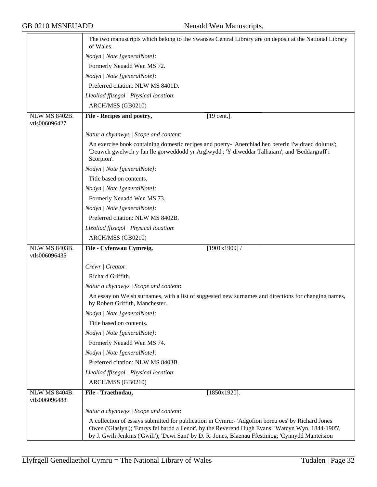|                                       | The two manuscripts which belong to the Swansea Central Library are on deposit at the National Library<br>of Wales.                                                                                                |
|---------------------------------------|--------------------------------------------------------------------------------------------------------------------------------------------------------------------------------------------------------------------|
|                                       | Nodyn   Note [generalNote]:                                                                                                                                                                                        |
|                                       | Formerly Neuadd Wen MS 72.                                                                                                                                                                                         |
|                                       | Nodyn   Note [generalNote]:                                                                                                                                                                                        |
|                                       | Preferred citation: NLW MS 8401D.                                                                                                                                                                                  |
|                                       | Lleoliad ffisegol   Physical location:                                                                                                                                                                             |
|                                       | ARCH/MSS (GB0210)                                                                                                                                                                                                  |
| <b>NLW MS 8402B.</b><br>vtls006096427 | File - Recipes and poetry,<br>[19 cent.].                                                                                                                                                                          |
|                                       | Natur a chynnwys / Scope and content:                                                                                                                                                                              |
|                                       | An exercise book containing domestic recipes and poetry- 'Anerchiad hen bererin i'w draed dolurus';<br>'Deuwch gwelwch y fan lle gorweddodd yr Arglwydd'; 'Y diweddar Talhaiarn'; and 'Beddargraff i<br>Scorpion'. |
|                                       | Nodyn   Note [generalNote]:                                                                                                                                                                                        |
|                                       | Title based on contents.                                                                                                                                                                                           |
|                                       | Nodyn   Note [generalNote]:                                                                                                                                                                                        |
|                                       | Formerly Neuadd Wen MS 73.                                                                                                                                                                                         |
|                                       | Nodyn   Note [generalNote]:                                                                                                                                                                                        |
|                                       | Preferred citation: NLW MS 8402B.                                                                                                                                                                                  |
|                                       | Lleoliad ffisegol   Physical location:                                                                                                                                                                             |
|                                       | ARCH/MSS (GB0210)                                                                                                                                                                                                  |
| <b>NLW MS 8403B.</b>                  | File - Cyfenwau Cymreig,<br>[1901x1909]                                                                                                                                                                            |
| vtls006096435                         |                                                                                                                                                                                                                    |
|                                       | Crëwr   Creator:                                                                                                                                                                                                   |
|                                       | Richard Griffith.                                                                                                                                                                                                  |
|                                       | Natur a chynnwys / Scope and content:                                                                                                                                                                              |
|                                       | An essay on Welsh surnames, with a list of suggested new surnames and directions for changing names,<br>by Robert Griffith, Manchester.                                                                            |
|                                       | Nodyn   Note [generalNote]:                                                                                                                                                                                        |
|                                       | Title based on contents.                                                                                                                                                                                           |
|                                       | Nodyn   Note [generalNote]:                                                                                                                                                                                        |
|                                       | Formerly Neuadd Wen MS 74.                                                                                                                                                                                         |
|                                       | Nodyn   Note [generalNote]:                                                                                                                                                                                        |
|                                       | Preferred citation: NLW MS 8403B.                                                                                                                                                                                  |
|                                       | Lleoliad ffisegol   Physical location:                                                                                                                                                                             |
|                                       | ARCH/MSS (GB0210)                                                                                                                                                                                                  |
| <b>NLW MS 8404B.</b><br>vtls006096488 | File - Traethodau,<br>$[1850x1920]$ .                                                                                                                                                                              |
|                                       | Natur a chynnwys / Scope and content:                                                                                                                                                                              |
|                                       | A collection of essays submitted for publication in Cymru: - 'Adgofion boreu oes' by Richard Jones                                                                                                                 |
|                                       | Owen ('Glaslyn'); 'Emrys fel bardd a llenor', by the Reverend Hugh Evans; 'Watcyn Wyn, 1844-1905',<br>by J. Gwili Jenkins ('Gwili'); 'Dewi Sant' by D. R. Jones, Blaenau Ffestiniog; 'Cynnydd Manteision           |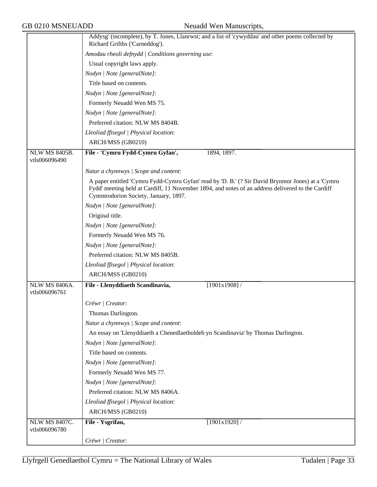|                                       | Addysg' (incomplete), by T. Jones, Llanrwst; and a list of 'cywyddau' and other poems collected by<br>Richard Grifths ('Carneddog').      |
|---------------------------------------|-------------------------------------------------------------------------------------------------------------------------------------------|
|                                       | Amodau rheoli defnydd   Conditions governing use:                                                                                         |
|                                       | Usual copyright laws apply.                                                                                                               |
|                                       | Nodyn   Note [generalNote]:                                                                                                               |
|                                       | Title based on contents.                                                                                                                  |
|                                       | Nodyn   Note [generalNote]:                                                                                                               |
|                                       | Formerly Neuadd Wen MS 75.                                                                                                                |
|                                       | Nodyn   Note [generalNote]:                                                                                                               |
|                                       | Preferred citation: NLW MS 8404B.                                                                                                         |
|                                       | Lleoliad ffisegol   Physical location:                                                                                                    |
|                                       | ARCH/MSS (GB0210)                                                                                                                         |
| <b>NLW MS 8405B.</b><br>vtls006096490 | File - 'Cymru Fydd-Cymru Gyfan',<br>1894, 1897.                                                                                           |
|                                       | Natur a chynnwys / Scope and content:                                                                                                     |
|                                       | A paper entitled 'Cymru Fydd-Cymru Gyfan' read by 'D. B.' (? Sir David Brynmor Jones) at a 'Cymru                                         |
|                                       | Fydd' meeting held at Cardiff, 11 November 1894, and notes of an address delivered to the Cardiff<br>Cymmrodorion Society, January, 1897. |
|                                       | Nodyn   Note [generalNote]:                                                                                                               |
|                                       | Original title.                                                                                                                           |
|                                       | Nodyn   Note [generalNote]:                                                                                                               |
|                                       | Formerly Neuadd Wen MS 76.                                                                                                                |
|                                       | Nodyn   Note [generalNote]:                                                                                                               |
|                                       | Preferred citation: NLW MS 8405B.                                                                                                         |
|                                       | Lleoliad ffisegol   Physical location:                                                                                                    |
|                                       | ARCH/MSS (GB0210)                                                                                                                         |
| NLW MS 8406A.<br>vtls006096761        | File - Llenyddiaeth Scandinavia,<br>[1901x1908]                                                                                           |
|                                       | Crëwr   Creator:                                                                                                                          |
|                                       | Thomas Darlington.                                                                                                                        |
|                                       | Natur a chynnwys / Scope and content:                                                                                                     |
|                                       | An essay on 'Llenyddiaeth a Chenedlaetholdeb yn Scandinavia' by Thomas Darlington.                                                        |
|                                       | Nodyn   Note [generalNote]:                                                                                                               |
|                                       | Title based on contents.                                                                                                                  |
|                                       | Nodyn   Note [generalNote]:                                                                                                               |
|                                       | Formerly Neuadd Wen MS 77.                                                                                                                |
|                                       | Nodyn   Note [generalNote]:                                                                                                               |
|                                       | Preferred citation: NLW MS 8406A.                                                                                                         |
|                                       | Lleoliad ffisegol   Physical location:                                                                                                    |
|                                       | ARCH/MSS (GB0210)                                                                                                                         |
| <b>NLW MS 8407C.</b>                  | File - Ysgrifau,<br>[1901x1920]                                                                                                           |
| vtls006096780                         |                                                                                                                                           |
|                                       | Crëwr / Creator:                                                                                                                          |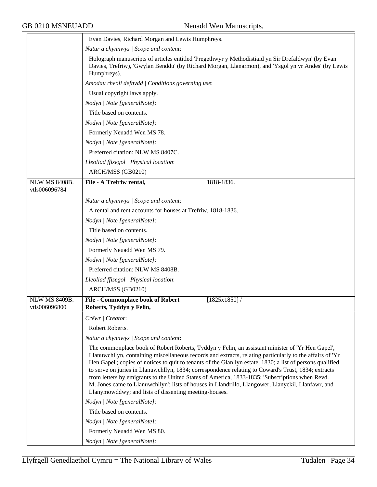|                                       | Evan Davies, Richard Morgan and Lewis Humphreys.                                                                                                                                                                                                                                                                                                                                                                                                                                                                                                                                                                                                                                                    |
|---------------------------------------|-----------------------------------------------------------------------------------------------------------------------------------------------------------------------------------------------------------------------------------------------------------------------------------------------------------------------------------------------------------------------------------------------------------------------------------------------------------------------------------------------------------------------------------------------------------------------------------------------------------------------------------------------------------------------------------------------------|
|                                       | Natur a chynnwys / Scope and content:                                                                                                                                                                                                                                                                                                                                                                                                                                                                                                                                                                                                                                                               |
|                                       | Holograph manuscripts of articles entitled 'Pregethwyr y Methodistiaid yn Sir Drefaldwyn' (by Evan<br>Davies, Trefriw), 'Gwylan Benddu' (by Richard Morgan, Llanarmon), and 'Ysgol yn yr Andes' (by Lewis<br>Humphreys).                                                                                                                                                                                                                                                                                                                                                                                                                                                                            |
|                                       | Amodau rheoli defnydd / Conditions governing use:                                                                                                                                                                                                                                                                                                                                                                                                                                                                                                                                                                                                                                                   |
|                                       | Usual copyright laws apply.                                                                                                                                                                                                                                                                                                                                                                                                                                                                                                                                                                                                                                                                         |
|                                       | Nodyn   Note [generalNote]:                                                                                                                                                                                                                                                                                                                                                                                                                                                                                                                                                                                                                                                                         |
|                                       | Title based on contents.                                                                                                                                                                                                                                                                                                                                                                                                                                                                                                                                                                                                                                                                            |
|                                       | Nodyn   Note [generalNote]:                                                                                                                                                                                                                                                                                                                                                                                                                                                                                                                                                                                                                                                                         |
|                                       | Formerly Neuadd Wen MS 78.                                                                                                                                                                                                                                                                                                                                                                                                                                                                                                                                                                                                                                                                          |
|                                       | Nodyn   Note [generalNote]:                                                                                                                                                                                                                                                                                                                                                                                                                                                                                                                                                                                                                                                                         |
|                                       | Preferred citation: NLW MS 8407C.                                                                                                                                                                                                                                                                                                                                                                                                                                                                                                                                                                                                                                                                   |
|                                       | Lleoliad ffisegol   Physical location:                                                                                                                                                                                                                                                                                                                                                                                                                                                                                                                                                                                                                                                              |
|                                       | ARCH/MSS (GB0210)                                                                                                                                                                                                                                                                                                                                                                                                                                                                                                                                                                                                                                                                                   |
| <b>NLW MS 8408B.</b><br>vtls006096784 | File - A Trefriw rental,<br>1818-1836.                                                                                                                                                                                                                                                                                                                                                                                                                                                                                                                                                                                                                                                              |
|                                       |                                                                                                                                                                                                                                                                                                                                                                                                                                                                                                                                                                                                                                                                                                     |
|                                       | Natur a chynnwys / Scope and content:<br>A rental and rent accounts for houses at Trefriw, 1818-1836.                                                                                                                                                                                                                                                                                                                                                                                                                                                                                                                                                                                               |
|                                       | Nodyn   Note [generalNote]:                                                                                                                                                                                                                                                                                                                                                                                                                                                                                                                                                                                                                                                                         |
|                                       | Title based on contents.                                                                                                                                                                                                                                                                                                                                                                                                                                                                                                                                                                                                                                                                            |
|                                       | Nodyn   Note [generalNote]:                                                                                                                                                                                                                                                                                                                                                                                                                                                                                                                                                                                                                                                                         |
|                                       | Formerly Neuadd Wen MS 79.                                                                                                                                                                                                                                                                                                                                                                                                                                                                                                                                                                                                                                                                          |
|                                       | Nodyn   Note [generalNote]:                                                                                                                                                                                                                                                                                                                                                                                                                                                                                                                                                                                                                                                                         |
|                                       | Preferred citation: NLW MS 8408B.                                                                                                                                                                                                                                                                                                                                                                                                                                                                                                                                                                                                                                                                   |
|                                       |                                                                                                                                                                                                                                                                                                                                                                                                                                                                                                                                                                                                                                                                                                     |
|                                       | Lleoliad ffisegol   Physical location:<br>ARCH/MSS (GB0210)                                                                                                                                                                                                                                                                                                                                                                                                                                                                                                                                                                                                                                         |
| <b>NLW MS 8409B.</b>                  |                                                                                                                                                                                                                                                                                                                                                                                                                                                                                                                                                                                                                                                                                                     |
| vtls006096800                         | <b>File - Commonplace book of Robert</b><br>$[1825x1850]$ /<br>Roberts, Tyddyn y Felin,                                                                                                                                                                                                                                                                                                                                                                                                                                                                                                                                                                                                             |
|                                       | Crëwr   Creator:                                                                                                                                                                                                                                                                                                                                                                                                                                                                                                                                                                                                                                                                                    |
|                                       | Robert Roberts.                                                                                                                                                                                                                                                                                                                                                                                                                                                                                                                                                                                                                                                                                     |
|                                       | Natur a chynnwys / Scope and content:                                                                                                                                                                                                                                                                                                                                                                                                                                                                                                                                                                                                                                                               |
|                                       | The commonplace book of Robert Roberts, Tyddyn y Felin, an assistant minister of 'Yr Hen Gapel',<br>Llanuwchllyn, containing miscellaneous records and extracts, relating particularly to the affairs of 'Yr<br>Hen Gapel'; copies of notices to quit to tenants of the Glanllyn estate, 1830; a list of persons qualified<br>to serve on juries in Llanuwchllyn, 1834; correspondence relating to Coward's Trust, 1834; extracts<br>from letters by emigrants to the United States of America, 1833-1835; 'Subscriptions when Revd.<br>M. Jones came to Llanuwchllyn'; lists of houses in Llandrillo, Llangower, Llanyckil, Llanfawr, and<br>Llanymowddwy; and lists of dissenting meeting-houses. |
|                                       | Nodyn   Note [generalNote]:                                                                                                                                                                                                                                                                                                                                                                                                                                                                                                                                                                                                                                                                         |
|                                       | Title based on contents.                                                                                                                                                                                                                                                                                                                                                                                                                                                                                                                                                                                                                                                                            |
|                                       | Nodyn   Note [generalNote]:                                                                                                                                                                                                                                                                                                                                                                                                                                                                                                                                                                                                                                                                         |
|                                       | Formerly Neuadd Wen MS 80.                                                                                                                                                                                                                                                                                                                                                                                                                                                                                                                                                                                                                                                                          |
|                                       | Nodyn   Note [generalNote]:                                                                                                                                                                                                                                                                                                                                                                                                                                                                                                                                                                                                                                                                         |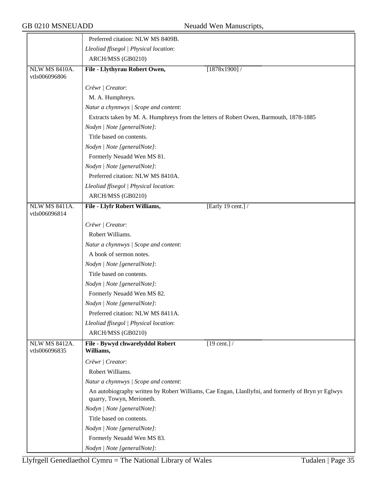|                                       | Preferred citation: NLW MS 8409B.                                                                                               |
|---------------------------------------|---------------------------------------------------------------------------------------------------------------------------------|
|                                       | Lleoliad ffisegol   Physical location:                                                                                          |
|                                       | ARCH/MSS (GB0210)                                                                                                               |
| <b>NLW MS 8410A.</b><br>vtls006096806 | File - Llythyrau Robert Owen,<br>$[1878x1900]$ /                                                                                |
|                                       | Crëwr   Creator:                                                                                                                |
|                                       | M. A. Humphreys.                                                                                                                |
|                                       | Natur a chynnwys / Scope and content:                                                                                           |
|                                       | Extracts taken by M. A. Humphreys from the letters of Robert Owen, Barmouth, 1878-1885                                          |
|                                       | Nodyn   Note [generalNote]:                                                                                                     |
|                                       | Title based on contents.                                                                                                        |
|                                       | Nodyn   Note [generalNote]:                                                                                                     |
|                                       | Formerly Neuadd Wen MS 81.                                                                                                      |
|                                       | Nodyn   Note [generalNote]:                                                                                                     |
|                                       | Preferred citation: NLW MS 8410A.                                                                                               |
|                                       | Lleoliad ffisegol   Physical location:                                                                                          |
|                                       | ARCH/MSS (GB0210)                                                                                                               |
| <b>NLW MS 8411A.</b><br>vtls006096814 | <b>File - Llyfr Robert Williams,</b><br>[Early 19 cent.] /                                                                      |
|                                       | Crëwr   Creator:                                                                                                                |
|                                       | Robert Williams.                                                                                                                |
|                                       | Natur a chynnwys / Scope and content:                                                                                           |
|                                       | A book of sermon notes.                                                                                                         |
|                                       | Nodyn   Note [generalNote]:                                                                                                     |
|                                       | Title based on contents.                                                                                                        |
|                                       | Nodyn   Note [generalNote]:                                                                                                     |
|                                       | Formerly Neuadd Wen MS 82.                                                                                                      |
|                                       | Nodyn   Note [generalNote]:                                                                                                     |
|                                       | Preferred citation: NLW MS 8411A.                                                                                               |
|                                       | Lleoliad ffisegol   Physical location:                                                                                          |
|                                       | ARCH/MSS (GB0210)                                                                                                               |
| <b>NLW MS 8412A.</b><br>vtls006096835 | $[19 \text{ cent.}]$<br>File - Bywyd chwarelyddol Robert<br>Williams,                                                           |
|                                       | Crëwr   Creator:                                                                                                                |
|                                       | Robert Williams.                                                                                                                |
|                                       | Natur a chynnwys / Scope and content:                                                                                           |
|                                       | An autobiography written by Robert Williams, Cae Engan, Llanllyfni, and formerly of Bryn yr Eglwys<br>quarry, Towyn, Merioneth. |
|                                       | Nodyn   Note [generalNote]:                                                                                                     |
|                                       | Title based on contents.                                                                                                        |
|                                       | Nodyn   Note [generalNote]:                                                                                                     |
|                                       | Formerly Neuadd Wen MS 83.                                                                                                      |
|                                       | Nodyn   Note [generalNote]:                                                                                                     |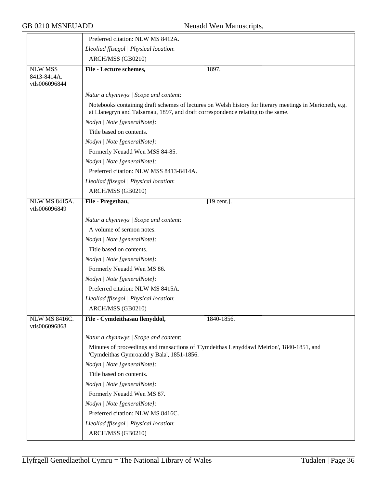|                                                | Preferred citation: NLW MS 8412A.                                                                                                      |                                                                                                          |
|------------------------------------------------|----------------------------------------------------------------------------------------------------------------------------------------|----------------------------------------------------------------------------------------------------------|
|                                                | Lleoliad ffisegol   Physical location:                                                                                                 |                                                                                                          |
|                                                | ARCH/MSS (GB0210)                                                                                                                      |                                                                                                          |
| <b>NLW MSS</b><br>8413-8414A.<br>vtls006096844 | File - Lecture schemes,                                                                                                                | 1897.                                                                                                    |
|                                                | Natur a chynnwys / Scope and content:                                                                                                  |                                                                                                          |
|                                                | at Llanegryn and Talsarnau, 1897, and draft correspondence relating to the same.                                                       | Notebooks containing draft schemes of lectures on Welsh history for literary meetings in Merioneth, e.g. |
|                                                | Nodyn   Note [generalNote]:                                                                                                            |                                                                                                          |
|                                                | Title based on contents.                                                                                                               |                                                                                                          |
|                                                | Nodyn   Note [generalNote]:                                                                                                            |                                                                                                          |
|                                                | Formerly Neuadd Wen MSS 84-85.                                                                                                         |                                                                                                          |
|                                                | Nodyn   Note [generalNote]:                                                                                                            |                                                                                                          |
|                                                | Preferred citation: NLW MSS 8413-8414A.                                                                                                |                                                                                                          |
|                                                | Lleoliad ffisegol   Physical location:                                                                                                 |                                                                                                          |
|                                                | ARCH/MSS (GB0210)                                                                                                                      |                                                                                                          |
| <b>NLW MS 8415A.</b><br>vtls006096849          | File - Pregethau,                                                                                                                      | $[19$ cent.].                                                                                            |
|                                                | Natur a chynnwys / Scope and content:                                                                                                  |                                                                                                          |
|                                                | A volume of sermon notes.                                                                                                              |                                                                                                          |
|                                                | Nodyn   Note [generalNote]:                                                                                                            |                                                                                                          |
|                                                | Title based on contents.                                                                                                               |                                                                                                          |
|                                                | Nodyn   Note [generalNote]:                                                                                                            |                                                                                                          |
|                                                | Formerly Neuadd Wen MS 86.                                                                                                             |                                                                                                          |
|                                                | Nodyn   Note [generalNote]:                                                                                                            |                                                                                                          |
|                                                | Preferred citation: NLW MS 8415A.                                                                                                      |                                                                                                          |
|                                                | Lleoliad ffisegol   Physical location:                                                                                                 |                                                                                                          |
|                                                | ARCH/MSS (GB0210)                                                                                                                      |                                                                                                          |
| NLW MS 8416C.<br>vtls006096868                 | File - Cymdeithasau llenyddol,                                                                                                         | 1840-1856.                                                                                               |
|                                                | Natur a chynnwys / Scope and content:                                                                                                  |                                                                                                          |
|                                                | Minutes of proceedings and transactions of 'Cymdeithas Lenyddawl Meirion', 1840-1851, and<br>'Cymdeithas Gymroaidd y Bala', 1851-1856. |                                                                                                          |
|                                                | Nodyn   Note [generalNote]:                                                                                                            |                                                                                                          |
|                                                | Title based on contents.                                                                                                               |                                                                                                          |
|                                                | Nodyn   Note [generalNote]:                                                                                                            |                                                                                                          |
|                                                | Formerly Neuadd Wen MS 87.                                                                                                             |                                                                                                          |
|                                                | Nodyn   Note [generalNote]:                                                                                                            |                                                                                                          |
|                                                | Preferred citation: NLW MS 8416C.                                                                                                      |                                                                                                          |
|                                                | Lleoliad ffisegol   Physical location:                                                                                                 |                                                                                                          |
|                                                | ARCH/MSS (GB0210)                                                                                                                      |                                                                                                          |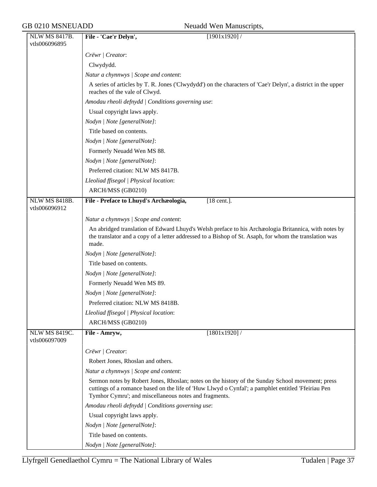| <b>NLW MS 8417B.</b>                  | File - 'Cae'r Delyn',<br>[1901x1920]                                                                                                                                                                                                                            |
|---------------------------------------|-----------------------------------------------------------------------------------------------------------------------------------------------------------------------------------------------------------------------------------------------------------------|
| vtls006096895                         |                                                                                                                                                                                                                                                                 |
|                                       | Crëwr   Creator:                                                                                                                                                                                                                                                |
|                                       | Clwydydd.                                                                                                                                                                                                                                                       |
|                                       | Natur a chynnwys / Scope and content:                                                                                                                                                                                                                           |
|                                       | A series of articles by T. R. Jones ('Clwydydd') on the characters of 'Cae'r Delyn', a district in the upper<br>reaches of the vale of Clwyd.                                                                                                                   |
|                                       | Amodau rheoli defnydd   Conditions governing use:                                                                                                                                                                                                               |
|                                       | Usual copyright laws apply.                                                                                                                                                                                                                                     |
|                                       | Nodyn   Note [generalNote]:                                                                                                                                                                                                                                     |
|                                       | Title based on contents.                                                                                                                                                                                                                                        |
|                                       | Nodyn   Note [generalNote]:                                                                                                                                                                                                                                     |
|                                       | Formerly Neuadd Wen MS 88.                                                                                                                                                                                                                                      |
|                                       | Nodyn   Note [generalNote]:                                                                                                                                                                                                                                     |
|                                       | Preferred citation: NLW MS 8417B.                                                                                                                                                                                                                               |
|                                       | Lleoliad ffisegol   Physical location:                                                                                                                                                                                                                          |
|                                       | ARCH/MSS (GB0210)                                                                                                                                                                                                                                               |
| <b>NLW MS 8418B.</b>                  | File - Preface to Lhuyd's Archæologia,<br>[18 cent.].                                                                                                                                                                                                           |
| vtls006096912                         |                                                                                                                                                                                                                                                                 |
|                                       | Natur a chynnwys / Scope and content:                                                                                                                                                                                                                           |
|                                       | An abridged translation of Edward Lhuyd's Welsh preface to his Archaeologia Britannica, with notes by<br>the translator and a copy of a letter addressed to a Bishop of St. Asaph, for whom the translation was<br>made.                                        |
|                                       | Nodyn   Note [generalNote]:                                                                                                                                                                                                                                     |
|                                       | Title based on contents.                                                                                                                                                                                                                                        |
|                                       | Nodyn   Note [generalNote]:                                                                                                                                                                                                                                     |
|                                       | Formerly Neuadd Wen MS 89.                                                                                                                                                                                                                                      |
|                                       | Nodyn   Note [generalNote]:                                                                                                                                                                                                                                     |
|                                       | Preferred citation: NLW MS 8418B.                                                                                                                                                                                                                               |
|                                       | Lleoliad ffisegol   Physical location:                                                                                                                                                                                                                          |
|                                       | ARCH/MSS (GB0210)                                                                                                                                                                                                                                               |
| <b>NLW MS 8419C.</b><br>vtls006097009 | [1801x1920]/<br>File - Amryw,                                                                                                                                                                                                                                   |
|                                       | Crëwr   Creator:                                                                                                                                                                                                                                                |
|                                       | Robert Jones, Rhoslan and others.                                                                                                                                                                                                                               |
|                                       | Natur a chynnwys / Scope and content:                                                                                                                                                                                                                           |
|                                       | Sermon notes by Robert Jones, Rhoslan; notes on the history of the Sunday School movement; press<br>cuttings of a romance based on the life of 'Huw Llwyd o Cynfal'; a pamphlet entitled 'Ffeiriau Pen<br>Tymhor Cymru'; and miscellaneous notes and fragments. |
|                                       | Amodau rheoli defnydd   Conditions governing use:                                                                                                                                                                                                               |
|                                       | Usual copyright laws apply.                                                                                                                                                                                                                                     |
|                                       | Nodyn   Note [generalNote]:                                                                                                                                                                                                                                     |
|                                       | Title based on contents.                                                                                                                                                                                                                                        |
|                                       | Nodyn   Note [generalNote]:                                                                                                                                                                                                                                     |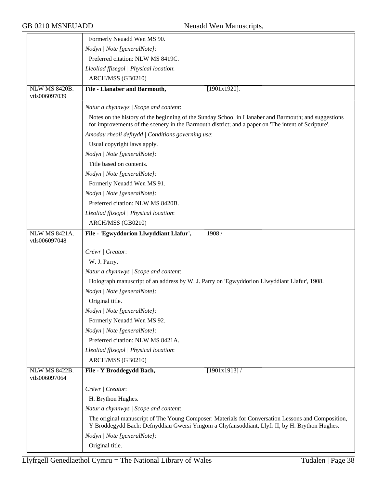|                                       | Formerly Neuadd Wen MS 90.                                                                                                                                                                                  |
|---------------------------------------|-------------------------------------------------------------------------------------------------------------------------------------------------------------------------------------------------------------|
|                                       | Nodyn   Note [generalNote]:                                                                                                                                                                                 |
|                                       | Preferred citation: NLW MS 8419C.                                                                                                                                                                           |
|                                       | Lleoliad ffisegol   Physical location:                                                                                                                                                                      |
|                                       | ARCH/MSS (GB0210)                                                                                                                                                                                           |
| <b>NLW MS 8420B.</b>                  | File - Llanaber and Barmouth,<br>$[1901x1920]$ .                                                                                                                                                            |
| vtls006097039                         |                                                                                                                                                                                                             |
|                                       | Natur a chynnwys / Scope and content:                                                                                                                                                                       |
|                                       | Notes on the history of the beginning of the Sunday School in Llanaber and Barmouth; and suggestions<br>for improvements of the scenery in the Barmouth district; and a paper on 'The intent of Scripture'. |
|                                       | Amodau rheoli defnydd   Conditions governing use:                                                                                                                                                           |
|                                       | Usual copyright laws apply.                                                                                                                                                                                 |
|                                       | Nodyn   Note [generalNote]:                                                                                                                                                                                 |
|                                       | Title based on contents.                                                                                                                                                                                    |
|                                       | Nodyn   Note [generalNote]:                                                                                                                                                                                 |
|                                       | Formerly Neuadd Wen MS 91.                                                                                                                                                                                  |
|                                       | Nodyn   Note [generalNote]:                                                                                                                                                                                 |
|                                       | Preferred citation: NLW MS 8420B.                                                                                                                                                                           |
|                                       | Lleoliad ffisegol   Physical location:                                                                                                                                                                      |
|                                       | ARCH/MSS (GB0210)                                                                                                                                                                                           |
| <b>NLW MS 8421A.</b><br>vtls006097048 | 1908/<br>File - 'Egwyddorion Llwyddiant Llafur',                                                                                                                                                            |
|                                       | Crëwr   Creator:                                                                                                                                                                                            |
|                                       | W. J. Parry.                                                                                                                                                                                                |
|                                       | Natur a chynnwys / Scope and content:                                                                                                                                                                       |
|                                       | Holograph manuscript of an address by W. J. Parry on 'Egwyddorion Llwyddiant Llafur', 1908.                                                                                                                 |
|                                       | Nodyn   Note [generalNote]:                                                                                                                                                                                 |
|                                       | Original title.                                                                                                                                                                                             |
|                                       | Nodyn   Note [generalNote]:                                                                                                                                                                                 |
|                                       | Formerly Neuadd Wen MS 92.                                                                                                                                                                                  |
|                                       | Nodyn   Note [generalNote]:                                                                                                                                                                                 |
|                                       | Preferred citation: NLW MS 8421A.                                                                                                                                                                           |
|                                       | Lleoliad ffisegol   Physical location:                                                                                                                                                                      |
|                                       | ARCH/MSS (GB0210)                                                                                                                                                                                           |
| <b>NLW MS 8422B.</b><br>vtls006097064 | [1901x1913]<br>File - Y Broddegydd Bach,                                                                                                                                                                    |
|                                       | Crëwr   Creator:                                                                                                                                                                                            |
|                                       | H. Brython Hughes.                                                                                                                                                                                          |
|                                       | Natur a chynnwys / Scope and content:                                                                                                                                                                       |
|                                       | The original manuscript of The Young Composer: Materials for Conversation Lessons and Composition,<br>Y Broddegydd Bach: Defnyddiau Gwersi Ymgom a Chyfansoddiant, Llyfr II, by H. Brython Hughes.          |
|                                       | Nodyn   Note [generalNote]:                                                                                                                                                                                 |
|                                       | Original title.                                                                                                                                                                                             |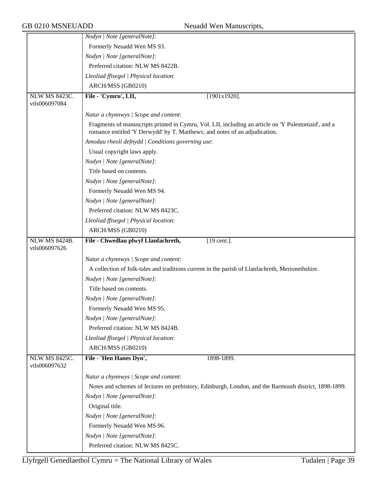|                                       | Nodyn   Note [generalNote]:                                                                                                                                                        |
|---------------------------------------|------------------------------------------------------------------------------------------------------------------------------------------------------------------------------------|
|                                       | Formerly Neuadd Wen MS 93.                                                                                                                                                         |
|                                       | Nodyn   Note [generalNote]:                                                                                                                                                        |
|                                       | Preferred citation: NLW MS 8422B.                                                                                                                                                  |
|                                       | Lleoliad ffisegol   Physical location:                                                                                                                                             |
|                                       | ARCH/MSS (GB0210)                                                                                                                                                                  |
| <b>NLW MS 8423C.</b>                  | File - 'Cymru', LII,<br>$[1901x1920]$ .                                                                                                                                            |
| vtls006097084                         |                                                                                                                                                                                    |
|                                       | Natur a chynnwys / Scope and content:                                                                                                                                              |
|                                       | Fragments of manuscripts printed in Cymru, Vol. LII, including an article on 'Y Pulestoniaid', and a<br>romance entitled 'Y Derwydd' by T. Matthews; and notes of an adjudication. |
|                                       | Amodau rheoli defnydd   Conditions governing use:                                                                                                                                  |
|                                       | Usual copyright laws apply.                                                                                                                                                        |
|                                       | Nodyn   Note [generalNote]:                                                                                                                                                        |
|                                       | Title based on contents.                                                                                                                                                           |
|                                       | Nodyn   Note [generalNote]:                                                                                                                                                        |
|                                       | Formerly Neuadd Wen MS 94.                                                                                                                                                         |
|                                       | Nodyn   Note [generalNote]:                                                                                                                                                        |
|                                       | Preferred citation: NLW MS 8423C.                                                                                                                                                  |
|                                       | Lleoliad ffisegol   Physical location:                                                                                                                                             |
|                                       | ARCH/MSS (GB0210)                                                                                                                                                                  |
| <b>NLW MS 8424B.</b><br>vtls006097626 | File - Chwedlau plwyf Llanfachreth,<br>$[19$ cent.].                                                                                                                               |
|                                       | Natur a chynnwys / Scope and content:                                                                                                                                              |
|                                       | A collection of folk-tales and traditions current in the parish of Llanfachreth, Merionethshire.                                                                                   |
|                                       | Nodyn   Note [generalNote]:                                                                                                                                                        |
|                                       | Title based on contents.                                                                                                                                                           |
|                                       | <i>Nodyn</i>   <i>Note</i> [generalNote]:                                                                                                                                          |
|                                       | Formerly Neuadd Wen MS 95.                                                                                                                                                         |
|                                       | Nodyn   Note [generalNote]:                                                                                                                                                        |
|                                       | Preferred citation: NLW MS 8424B.                                                                                                                                                  |
|                                       | Lleoliad ffisegol   Physical location:                                                                                                                                             |
|                                       | ARCH/MSS (GB0210)                                                                                                                                                                  |
| NLW MS 8425C.<br>vtls006097632        | File - 'Hen Hanes Dyn',<br>1898-1899.                                                                                                                                              |
|                                       | Natur a chynnwys / Scope and content:                                                                                                                                              |
|                                       | Notes and schemes of lectures on prehistory, Edinburgh, London, and the Barmouth district, 1898-1899.                                                                              |
|                                       | Nodyn   Note [generalNote]:                                                                                                                                                        |
|                                       | Original title.                                                                                                                                                                    |
|                                       | Nodyn   Note [generalNote]:                                                                                                                                                        |
|                                       | Formerly Neuadd Wen MS 96.                                                                                                                                                         |
|                                       | Nodyn   Note [generalNote]:                                                                                                                                                        |
|                                       | Preferred citation: NLW MS 8425C.                                                                                                                                                  |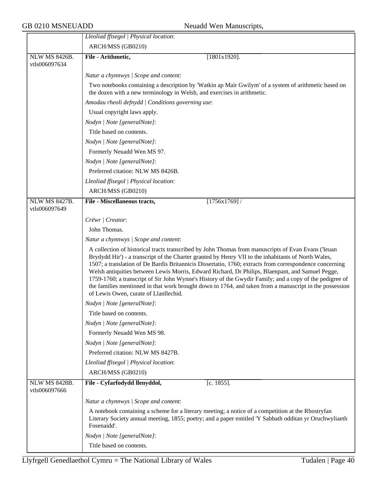|                                       | Lleoliad ffisegol   Physical location:                                                                                                                                                                                                                                                                                                                                                                                                                                                                                                                                                                                                                                                   |
|---------------------------------------|------------------------------------------------------------------------------------------------------------------------------------------------------------------------------------------------------------------------------------------------------------------------------------------------------------------------------------------------------------------------------------------------------------------------------------------------------------------------------------------------------------------------------------------------------------------------------------------------------------------------------------------------------------------------------------------|
|                                       | ARCH/MSS (GB0210)                                                                                                                                                                                                                                                                                                                                                                                                                                                                                                                                                                                                                                                                        |
| <b>NLW MS 8426B.</b><br>vtls006097634 | File - Arithmetic,<br>$[1801x1920]$ .                                                                                                                                                                                                                                                                                                                                                                                                                                                                                                                                                                                                                                                    |
|                                       | Natur a chynnwys / Scope and content:                                                                                                                                                                                                                                                                                                                                                                                                                                                                                                                                                                                                                                                    |
|                                       | Two notebooks containing a description by 'Watkin ap Mair Gwilym' of a system of arithmetic based on<br>the dozen with a new terminology in Welsh, and exercises in arithmetic.                                                                                                                                                                                                                                                                                                                                                                                                                                                                                                          |
|                                       | Amodau rheoli defnydd   Conditions governing use:                                                                                                                                                                                                                                                                                                                                                                                                                                                                                                                                                                                                                                        |
|                                       | Usual copyright laws apply.                                                                                                                                                                                                                                                                                                                                                                                                                                                                                                                                                                                                                                                              |
|                                       | Nodyn   Note [generalNote]:                                                                                                                                                                                                                                                                                                                                                                                                                                                                                                                                                                                                                                                              |
|                                       | Title based on contents.                                                                                                                                                                                                                                                                                                                                                                                                                                                                                                                                                                                                                                                                 |
|                                       | Nodyn   Note [generalNote]:                                                                                                                                                                                                                                                                                                                                                                                                                                                                                                                                                                                                                                                              |
|                                       | Formerly Neuadd Wen MS 97.                                                                                                                                                                                                                                                                                                                                                                                                                                                                                                                                                                                                                                                               |
|                                       | Nodyn   Note [generalNote]:                                                                                                                                                                                                                                                                                                                                                                                                                                                                                                                                                                                                                                                              |
|                                       | Preferred citation: NLW MS 8426B.                                                                                                                                                                                                                                                                                                                                                                                                                                                                                                                                                                                                                                                        |
|                                       | Lleoliad ffisegol   Physical location:                                                                                                                                                                                                                                                                                                                                                                                                                                                                                                                                                                                                                                                   |
|                                       | ARCH/MSS (GB0210)                                                                                                                                                                                                                                                                                                                                                                                                                                                                                                                                                                                                                                                                        |
| <b>NLW MS 8427B.</b><br>vtls006097649 | [1756x1769]<br>File - Miscellaneous tracts,                                                                                                                                                                                                                                                                                                                                                                                                                                                                                                                                                                                                                                              |
|                                       | Crëwr   Creator:                                                                                                                                                                                                                                                                                                                                                                                                                                                                                                                                                                                                                                                                         |
|                                       | John Thomas.                                                                                                                                                                                                                                                                                                                                                                                                                                                                                                                                                                                                                                                                             |
|                                       | Natur a chynnwys / Scope and content:                                                                                                                                                                                                                                                                                                                                                                                                                                                                                                                                                                                                                                                    |
|                                       | A collection of historical tracts transcribed by John Thomas from manuscripts of Evan Evans ('Ieuan<br>Brydydd Hir') - a transcript of the Charter granted by Henry VII to the inhabitants of North Wales,<br>1507; a translation of De Bardis Britannicis Dissertatio, 1760; extracts from correspondence concerning<br>Welsh antiquities between Lewis Morris, Edward Richard, Dr Philips, Blaenpant, and Samuel Pegge,<br>1759-1760; a transcript of Sir John Wynne's History of the Gwydir Family; and a copy of the pedigree of<br>the families mentioned in that work brought down to 1764, and taken from a manuscript in the possession<br>of Lewis Owen, curate of Llanllechid. |
|                                       | Nodyn   Note [generalNote]:                                                                                                                                                                                                                                                                                                                                                                                                                                                                                                                                                                                                                                                              |
|                                       | Title based on contents.                                                                                                                                                                                                                                                                                                                                                                                                                                                                                                                                                                                                                                                                 |
|                                       | Nodyn   Note [generalNote]:                                                                                                                                                                                                                                                                                                                                                                                                                                                                                                                                                                                                                                                              |
|                                       | Formerly Neuadd Wen MS 98.                                                                                                                                                                                                                                                                                                                                                                                                                                                                                                                                                                                                                                                               |
|                                       | Nodyn   Note [generalNote]:                                                                                                                                                                                                                                                                                                                                                                                                                                                                                                                                                                                                                                                              |
|                                       | Preferred citation: NLW MS 8427B.                                                                                                                                                                                                                                                                                                                                                                                                                                                                                                                                                                                                                                                        |
|                                       | Lleoliad ffisegol   Physical location:                                                                                                                                                                                                                                                                                                                                                                                                                                                                                                                                                                                                                                                   |
|                                       | ARCH/MSS (GB0210)                                                                                                                                                                                                                                                                                                                                                                                                                                                                                                                                                                                                                                                                        |
| <b>NLW MS 8428B.</b><br>vtls006097666 | File - Cyfarfodydd llenyddol,<br>$[c. 1855]$ .                                                                                                                                                                                                                                                                                                                                                                                                                                                                                                                                                                                                                                           |
|                                       | Natur a chynnwys / Scope and content:                                                                                                                                                                                                                                                                                                                                                                                                                                                                                                                                                                                                                                                    |
|                                       | A notebook containing a scheme for a literary meeting; a notice of a competition at the Rhostryfan<br>Literary Society annual meeting, 1855; poetry; and a paper entitled 'Y Sabbath odditan yr Oruchwyliaeth<br>Fosenaidd'.                                                                                                                                                                                                                                                                                                                                                                                                                                                             |
|                                       | Nodyn   Note [generalNote]:                                                                                                                                                                                                                                                                                                                                                                                                                                                                                                                                                                                                                                                              |
|                                       | Title based on contents.                                                                                                                                                                                                                                                                                                                                                                                                                                                                                                                                                                                                                                                                 |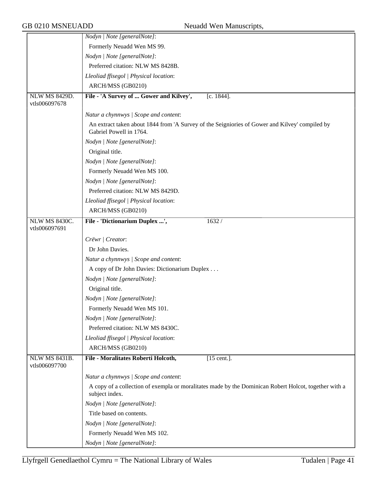|                                | Nodyn   Note [generalNote]:                                                                                               |
|--------------------------------|---------------------------------------------------------------------------------------------------------------------------|
|                                | Formerly Neuadd Wen MS 99.                                                                                                |
|                                | Nodyn   Note [generalNote]:                                                                                               |
|                                | Preferred citation: NLW MS 8428B.                                                                                         |
|                                | Lleoliad ffisegol   Physical location:                                                                                    |
|                                | ARCH/MSS (GB0210)                                                                                                         |
| <b>NLW MS 8429D.</b>           | File - 'A Survey of  Gower and Kilvey',<br>$[c. 1844]$ .                                                                  |
| vtls006097678                  |                                                                                                                           |
|                                | Natur a chynnwys / Scope and content:                                                                                     |
|                                | An extract taken about 1844 from 'A Survey of the Seigniories of Gower and Kilvey' compiled by<br>Gabriel Powell in 1764. |
|                                | Nodyn   Note [generalNote]:                                                                                               |
|                                | Original title.                                                                                                           |
|                                | Nodyn   Note [generalNote]:                                                                                               |
|                                | Formerly Neuadd Wen MS 100.                                                                                               |
|                                | Nodyn   Note [generalNote]:                                                                                               |
|                                | Preferred citation: NLW MS 8429D.                                                                                         |
|                                | Lleoliad ffisegol   Physical location:                                                                                    |
|                                | ARCH/MSS (GB0210)                                                                                                         |
| NLW MS 8430C.<br>vtls006097691 | File - 'Dictionarium Duplex ',<br>1632/                                                                                   |
|                                |                                                                                                                           |
|                                | Crëwr   Creator:                                                                                                          |
|                                | Dr John Davies.                                                                                                           |
|                                | Natur a chynnwys / Scope and content:                                                                                     |
|                                | A copy of Dr John Davies: Dictionarium Duplex                                                                             |
|                                | Nodyn   Note [generalNote]:                                                                                               |
|                                | Original title.                                                                                                           |
|                                | Nodyn   Note [generalNote]:                                                                                               |
|                                | Formerly Neuadd Wen MS 101.                                                                                               |
|                                | Nodyn   Note [generalNote]:                                                                                               |
|                                | Preferred citation: NLW MS 8430C.                                                                                         |
|                                | Lleoliad ffisegol   Physical location:                                                                                    |
|                                | ARCH/MSS (GB0210)                                                                                                         |
| <b>NLW MS 8431B.</b>           | File - Moralitates Roberti Holcoth,<br>$[15$ cent.].                                                                      |
| vtls006097700                  |                                                                                                                           |
|                                | Natur a chynnwys / Scope and content:                                                                                     |
|                                | A copy of a collection of exempla or moralitates made by the Dominican Robert Holcot, together with a<br>subject index.   |
|                                | Nodyn   Note [generalNote]:                                                                                               |
|                                | Title based on contents.                                                                                                  |
|                                | Nodyn   Note [generalNote]:                                                                                               |
|                                | Formerly Neuadd Wen MS 102.                                                                                               |
|                                | Nodyn   Note [generalNote]:                                                                                               |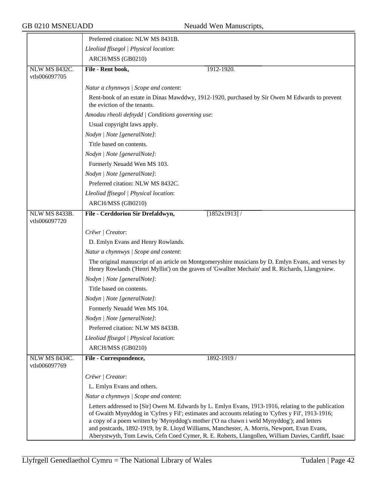|                                       | Preferred citation: NLW MS 8431B.                                                                                                                                                                                                                                                                                                                                                                                                                                                                              |
|---------------------------------------|----------------------------------------------------------------------------------------------------------------------------------------------------------------------------------------------------------------------------------------------------------------------------------------------------------------------------------------------------------------------------------------------------------------------------------------------------------------------------------------------------------------|
|                                       | Lleoliad ffisegol   Physical location:                                                                                                                                                                                                                                                                                                                                                                                                                                                                         |
|                                       | ARCH/MSS (GB0210)                                                                                                                                                                                                                                                                                                                                                                                                                                                                                              |
| <b>NLW MS 8432C.</b><br>vtls006097705 | File - Rent book,<br>1912-1920.                                                                                                                                                                                                                                                                                                                                                                                                                                                                                |
|                                       | Natur a chynnwys / Scope and content:                                                                                                                                                                                                                                                                                                                                                                                                                                                                          |
|                                       | Rent-book of an estate in Dinas Mawddwy, 1912-1920, purchased by Sir Owen M Edwards to prevent<br>the eviction of the tenants.                                                                                                                                                                                                                                                                                                                                                                                 |
|                                       | Amodau rheoli defnydd   Conditions governing use:                                                                                                                                                                                                                                                                                                                                                                                                                                                              |
|                                       | Usual copyright laws apply.                                                                                                                                                                                                                                                                                                                                                                                                                                                                                    |
|                                       | Nodyn   Note [generalNote]:                                                                                                                                                                                                                                                                                                                                                                                                                                                                                    |
|                                       | Title based on contents.                                                                                                                                                                                                                                                                                                                                                                                                                                                                                       |
|                                       | Nodyn   Note [generalNote]:                                                                                                                                                                                                                                                                                                                                                                                                                                                                                    |
|                                       | Formerly Neuadd Wen MS 103.                                                                                                                                                                                                                                                                                                                                                                                                                                                                                    |
|                                       | Nodyn   Note [generalNote]:                                                                                                                                                                                                                                                                                                                                                                                                                                                                                    |
|                                       | Preferred citation: NLW MS 8432C.                                                                                                                                                                                                                                                                                                                                                                                                                                                                              |
|                                       | Lleoliad ffisegol   Physical location:                                                                                                                                                                                                                                                                                                                                                                                                                                                                         |
|                                       | ARCH/MSS (GB0210)                                                                                                                                                                                                                                                                                                                                                                                                                                                                                              |
| <b>NLW MS 8433B.</b><br>vtls006097720 | File - Cerddorion Sir Drefaldwyn,<br>$[1852x1913]$ /                                                                                                                                                                                                                                                                                                                                                                                                                                                           |
|                                       | Crëwr   Creator:                                                                                                                                                                                                                                                                                                                                                                                                                                                                                               |
|                                       | D. Emlyn Evans and Henry Rowlands.                                                                                                                                                                                                                                                                                                                                                                                                                                                                             |
|                                       | Natur a chynnwys / Scope and content:                                                                                                                                                                                                                                                                                                                                                                                                                                                                          |
|                                       | The original manuscript of an article on Montgomeryshire musicians by D. Emlyn Evans, and verses by<br>Henry Rowlands ('Henri Myllin') on the graves of 'Gwallter Mechain' and R. Richards, Llangyniew.                                                                                                                                                                                                                                                                                                        |
|                                       | Nodyn   Note [generalNote]:                                                                                                                                                                                                                                                                                                                                                                                                                                                                                    |
|                                       | Title based on contents.                                                                                                                                                                                                                                                                                                                                                                                                                                                                                       |
|                                       | Nodyn   Note [generalNote]:                                                                                                                                                                                                                                                                                                                                                                                                                                                                                    |
|                                       | Formerly Neuadd Wen MS 104.                                                                                                                                                                                                                                                                                                                                                                                                                                                                                    |
|                                       | Nodyn   Note [generalNote]:                                                                                                                                                                                                                                                                                                                                                                                                                                                                                    |
|                                       | Preferred citation: NLW MS 8433B.                                                                                                                                                                                                                                                                                                                                                                                                                                                                              |
|                                       | Lleoliad ffisegol   Physical location:                                                                                                                                                                                                                                                                                                                                                                                                                                                                         |
|                                       | ARCH/MSS (GB0210)                                                                                                                                                                                                                                                                                                                                                                                                                                                                                              |
| NLW MS 8434C.<br>vtls006097769        | File - Correspondence,<br>1892-1919 /                                                                                                                                                                                                                                                                                                                                                                                                                                                                          |
|                                       | Crëwr   Creator:                                                                                                                                                                                                                                                                                                                                                                                                                                                                                               |
|                                       | L. Emlyn Evans and others.                                                                                                                                                                                                                                                                                                                                                                                                                                                                                     |
|                                       | Natur a chynnwys / Scope and content:                                                                                                                                                                                                                                                                                                                                                                                                                                                                          |
|                                       | Letters addressed to [Sir] Owen M. Edwards by L. Emlyn Evans, 1913-1916, relating to the publication<br>of Gwaith Mynyddog in 'Cyfres y Fil'; estimates and accounts relating to 'Cyfres y Fil', 1913-1916;<br>a copy of a poem written by 'Mynyddog's mother ('O na chawn i weld Mynyddog'); and letters<br>and postcards, 1892-1919, by R. Lloyd Williams, Manchester, A. Morris, Newport, Evan Evans,<br>Aberystwyth, Tom Lewis, Cefn Coed Cymer, R. E. Roberts, Llangollen, William Davies, Cardiff, Isaac |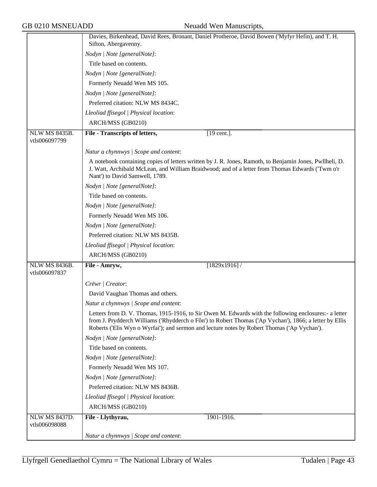|                                       | Davies, Birkenhead, David Rees, Bronant, Daniel Protheroe, David Bowen ('Myfyr Hefin), and T. H.<br>Sifton, Abergavenny.                                                                                                                                                                                       |
|---------------------------------------|----------------------------------------------------------------------------------------------------------------------------------------------------------------------------------------------------------------------------------------------------------------------------------------------------------------|
|                                       |                                                                                                                                                                                                                                                                                                                |
|                                       | Nodyn   Note [generalNote]:                                                                                                                                                                                                                                                                                    |
|                                       | Title based on contents.                                                                                                                                                                                                                                                                                       |
|                                       | Nodyn   Note [generalNote]:                                                                                                                                                                                                                                                                                    |
|                                       | Formerly Neuadd Wen MS 105.                                                                                                                                                                                                                                                                                    |
|                                       | Nodyn   Note [generalNote]:                                                                                                                                                                                                                                                                                    |
|                                       | Preferred citation: NLW MS 8434C.                                                                                                                                                                                                                                                                              |
|                                       | Lleoliad ffisegol   Physical location:                                                                                                                                                                                                                                                                         |
|                                       | ARCH/MSS (GB0210)                                                                                                                                                                                                                                                                                              |
| <b>NLW MS 8435B.</b><br>vtls006097799 | File - Transcripts of letters,<br>[19 cent.].                                                                                                                                                                                                                                                                  |
|                                       | Natur a chynnwys / Scope and content:                                                                                                                                                                                                                                                                          |
|                                       | A notebook containing copies of letters written by J. R. Jones, Ramoth, to Benjamin Jones, Pwllheli, D.<br>J. Watt, Archibald McLean, and William Braidwood; and of a letter from Thomas Edwards ('Twm o'r<br>Nant') to David Samwell, 1789.                                                                   |
|                                       | Nodyn   Note [generalNote]:                                                                                                                                                                                                                                                                                    |
|                                       | Title based on contents.                                                                                                                                                                                                                                                                                       |
|                                       | Nodyn   Note [generalNote]:                                                                                                                                                                                                                                                                                    |
|                                       | Formerly Neuadd Wen MS 106.                                                                                                                                                                                                                                                                                    |
|                                       | Nodyn   Note [generalNote]:                                                                                                                                                                                                                                                                                    |
|                                       | Preferred citation: NLW MS 8435B.                                                                                                                                                                                                                                                                              |
|                                       | Lleoliad ffisegol   Physical location:                                                                                                                                                                                                                                                                         |
|                                       | ARCH/MSS (GB0210)                                                                                                                                                                                                                                                                                              |
| <b>NLW MS 8436B.</b>                  | File - Amryw,<br>[1829x1916]                                                                                                                                                                                                                                                                                   |
| vtls006097837                         |                                                                                                                                                                                                                                                                                                                |
|                                       | Crëwr   Creator:                                                                                                                                                                                                                                                                                               |
|                                       | David Vaughan Thomas and others.                                                                                                                                                                                                                                                                               |
|                                       | Natur a chynnwys / Scope and content:                                                                                                                                                                                                                                                                          |
|                                       | Letters from D. V. Thomas, 1915-1916, to Sir Owen M. Edwards with the following enclosures:- a letter<br>from J. Prydderch Williams ('Rhydderch o Fôn') to Robert Thomas ('Ap Vychan'), 1866; a letter by Ellis<br>Roberts ('Elis Wyn o Wyrfai'); and sermon and lecture notes by Robert Thomas ('Ap Vychan'). |
|                                       | Nodyn   Note [generalNote]:                                                                                                                                                                                                                                                                                    |
|                                       | Title based on contents.                                                                                                                                                                                                                                                                                       |
|                                       | Nodyn   Note [generalNote]:                                                                                                                                                                                                                                                                                    |
|                                       | Formerly Neuadd Wen MS 107.                                                                                                                                                                                                                                                                                    |
|                                       | Nodyn   Note [generalNote]:                                                                                                                                                                                                                                                                                    |
|                                       | Preferred citation: NLW MS 8436B.                                                                                                                                                                                                                                                                              |
|                                       | Lleoliad ffisegol   Physical location:                                                                                                                                                                                                                                                                         |
|                                       | ARCH/MSS (GB0210)                                                                                                                                                                                                                                                                                              |
| <b>NLW MS 8437D.</b>                  | 1901-1916.<br>File - Llythyrau,                                                                                                                                                                                                                                                                                |
| vtls006098088                         |                                                                                                                                                                                                                                                                                                                |
|                                       | Natur a chynnwys / Scope and content:                                                                                                                                                                                                                                                                          |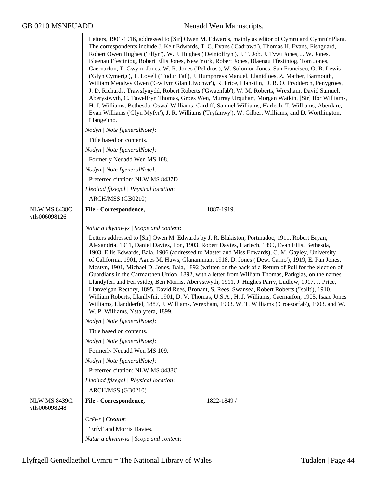|                                       | Letters, 1901-1916, addressed to [Sir] Owen M. Edwards, mainly as editor of Cymru and Cymru'r Plant.<br>The correspondents include J. Kelt Edwards, T. C. Evans ('Cadrawd'), Thomas H. Evans, Fishguard,<br>Robert Owen Hughes ('Elfyn'), W. J. Hughes ('Deiniolfryn'), J. T. Job, J. Tywi Jones, J. W. Jones,<br>Blaenau Ffestiniog, Robert Ellis Jones, New York, Robert Jones, Blaenau Ffestiniog, Tom Jones,<br>Caernarfon, T. Gwynn Jones, W. R. Jones ('Pelidros'), W. Solomon Jones, San Francisco, O. R. Lewis<br>('Glyn Cymerig'), T. Lovell ('Tudur Taf'), J. Humphreys Manuel, Llanidloes, Z. Mather, Barmouth,<br>William Meudwy Owen ('Gwilym Glan Llwchwr'), R. Price, Llansilin, D. R. O. Prydderch, Penygroes,<br>J. D. Richards, Trawsfynydd, Robert Roberts ('Gwaenfab'), W. M. Roberts, Wrexham, David Samuel,<br>Aberystwyth, C. Tawelfryn Thomas, Groes Wen, Murray Urquhart, Morgan Watkin, [Sir] Ifor Williams,<br>H. J. Williams, Bethesda, Oswal Williams, Cardiff, Samuel Williams, Harlech, T. Williams, Aberdare,<br>Evan Williams ('Glyn Myfyr'), J. R. Williams ('Tryfanwy'), W. Gilbert Williams, and D. Worthington,<br>Llangeitho. |
|---------------------------------------|---------------------------------------------------------------------------------------------------------------------------------------------------------------------------------------------------------------------------------------------------------------------------------------------------------------------------------------------------------------------------------------------------------------------------------------------------------------------------------------------------------------------------------------------------------------------------------------------------------------------------------------------------------------------------------------------------------------------------------------------------------------------------------------------------------------------------------------------------------------------------------------------------------------------------------------------------------------------------------------------------------------------------------------------------------------------------------------------------------------------------------------------------------------------|
|                                       | Nodyn   Note [generalNote]:                                                                                                                                                                                                                                                                                                                                                                                                                                                                                                                                                                                                                                                                                                                                                                                                                                                                                                                                                                                                                                                                                                                                         |
|                                       | Title based on contents.                                                                                                                                                                                                                                                                                                                                                                                                                                                                                                                                                                                                                                                                                                                                                                                                                                                                                                                                                                                                                                                                                                                                            |
|                                       | Nodyn   Note [generalNote]:                                                                                                                                                                                                                                                                                                                                                                                                                                                                                                                                                                                                                                                                                                                                                                                                                                                                                                                                                                                                                                                                                                                                         |
|                                       | Formerly Neuadd Wen MS 108.                                                                                                                                                                                                                                                                                                                                                                                                                                                                                                                                                                                                                                                                                                                                                                                                                                                                                                                                                                                                                                                                                                                                         |
|                                       | Nodyn   Note [generalNote]:                                                                                                                                                                                                                                                                                                                                                                                                                                                                                                                                                                                                                                                                                                                                                                                                                                                                                                                                                                                                                                                                                                                                         |
|                                       | Preferred citation: NLW MS 8437D.                                                                                                                                                                                                                                                                                                                                                                                                                                                                                                                                                                                                                                                                                                                                                                                                                                                                                                                                                                                                                                                                                                                                   |
|                                       | Lleoliad ffisegol   Physical location:                                                                                                                                                                                                                                                                                                                                                                                                                                                                                                                                                                                                                                                                                                                                                                                                                                                                                                                                                                                                                                                                                                                              |
|                                       | ARCH/MSS (GB0210)                                                                                                                                                                                                                                                                                                                                                                                                                                                                                                                                                                                                                                                                                                                                                                                                                                                                                                                                                                                                                                                                                                                                                   |
| NLW MS 8438C.                         | File - Correspondence,<br>1887-1919.                                                                                                                                                                                                                                                                                                                                                                                                                                                                                                                                                                                                                                                                                                                                                                                                                                                                                                                                                                                                                                                                                                                                |
| vtls006098126                         |                                                                                                                                                                                                                                                                                                                                                                                                                                                                                                                                                                                                                                                                                                                                                                                                                                                                                                                                                                                                                                                                                                                                                                     |
|                                       | Natur a chynnwys / Scope and content:                                                                                                                                                                                                                                                                                                                                                                                                                                                                                                                                                                                                                                                                                                                                                                                                                                                                                                                                                                                                                                                                                                                               |
|                                       | Letters addressed to [Sir] Owen M. Edwards by J. R. Blakiston, Portmadoc, 1911, Robert Bryan,<br>Alexandria, 1911, Daniel Davies, Ton, 1903, Robert Davies, Harlech, 1899, Evan Ellis, Bethesda,<br>1903, Ellis Edwards, Bala, 1906 (addressed to Master and Miss Edwards), C. M. Gayley, University<br>of California, 1901, Agnes M. Huws, Glanamman, 1918, D. Jones ('Dewi Carno'), 1919, E. Pan Jones,<br>Mostyn, 1901, Michael D. Jones, Bala, 1892 (written on the back of a Return of Poll for the election of<br>Guardians in the Carmarthen Union, 1892, with a letter from William Thomas, Parkglas, on the names<br>Llandyferi and Ferryside), Ben Morris, Aberystwyth, 1911, J. Hughes Parry, Ludlow, 1917, J. Price,<br>Llanveigan Rectory, 1895, David Rees, Bronant, S. Rees, Swansea, Robert Roberts ('Isallt'), 1910,<br>William Roberts, Llanllyfni, 1901, D. V. Thomas, U.S.A., H. J. Williams, Caernarfon, 1905, Isaac Jones<br>Williams, Llandderfel, 1887, J. Williams, Wrexham, 1903, W. T. Williams ('Croesorfab'), 1903, and W.                                                                                                             |
|                                       | W. P. Williams, Ystalyfera, 1899.                                                                                                                                                                                                                                                                                                                                                                                                                                                                                                                                                                                                                                                                                                                                                                                                                                                                                                                                                                                                                                                                                                                                   |
|                                       | Nodyn   Note [generalNote]:                                                                                                                                                                                                                                                                                                                                                                                                                                                                                                                                                                                                                                                                                                                                                                                                                                                                                                                                                                                                                                                                                                                                         |
|                                       | Title based on contents.                                                                                                                                                                                                                                                                                                                                                                                                                                                                                                                                                                                                                                                                                                                                                                                                                                                                                                                                                                                                                                                                                                                                            |
|                                       | Nodyn   Note [generalNote]:                                                                                                                                                                                                                                                                                                                                                                                                                                                                                                                                                                                                                                                                                                                                                                                                                                                                                                                                                                                                                                                                                                                                         |
|                                       | Formerly Neuadd Wen MS 109.                                                                                                                                                                                                                                                                                                                                                                                                                                                                                                                                                                                                                                                                                                                                                                                                                                                                                                                                                                                                                                                                                                                                         |
|                                       | Nodyn   Note [generalNote]:                                                                                                                                                                                                                                                                                                                                                                                                                                                                                                                                                                                                                                                                                                                                                                                                                                                                                                                                                                                                                                                                                                                                         |
|                                       | Preferred citation: NLW MS 8438C.                                                                                                                                                                                                                                                                                                                                                                                                                                                                                                                                                                                                                                                                                                                                                                                                                                                                                                                                                                                                                                                                                                                                   |
|                                       | Lleoliad ffisegol   Physical location:                                                                                                                                                                                                                                                                                                                                                                                                                                                                                                                                                                                                                                                                                                                                                                                                                                                                                                                                                                                                                                                                                                                              |
|                                       | ARCH/MSS (GB0210)                                                                                                                                                                                                                                                                                                                                                                                                                                                                                                                                                                                                                                                                                                                                                                                                                                                                                                                                                                                                                                                                                                                                                   |
| <b>NLW MS 8439C.</b><br>vtls006098248 | File - Correspondence,<br>1822-1849 /                                                                                                                                                                                                                                                                                                                                                                                                                                                                                                                                                                                                                                                                                                                                                                                                                                                                                                                                                                                                                                                                                                                               |
|                                       | Crëwr   Creator:                                                                                                                                                                                                                                                                                                                                                                                                                                                                                                                                                                                                                                                                                                                                                                                                                                                                                                                                                                                                                                                                                                                                                    |
|                                       | 'Erfyl' and Morris Davies.                                                                                                                                                                                                                                                                                                                                                                                                                                                                                                                                                                                                                                                                                                                                                                                                                                                                                                                                                                                                                                                                                                                                          |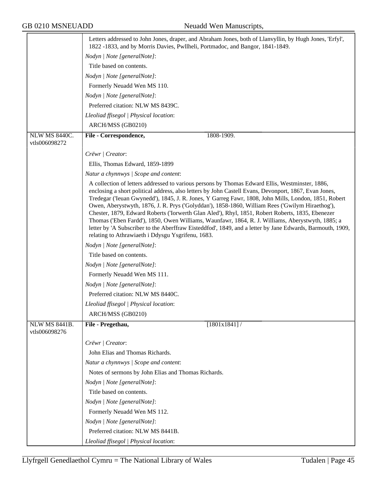|                                       | Letters addressed to John Jones, draper, and Abraham Jones, both of Llanvyllin, by Hugh Jones, 'Erfyl',<br>1822 -1833, and by Morris Davies, Pwllheli, Portmadoc, and Bangor, 1841-1849.                                                                                                                                                                                                                                                                                                                                                                                                                                                                                                                                                                                                                                     |
|---------------------------------------|------------------------------------------------------------------------------------------------------------------------------------------------------------------------------------------------------------------------------------------------------------------------------------------------------------------------------------------------------------------------------------------------------------------------------------------------------------------------------------------------------------------------------------------------------------------------------------------------------------------------------------------------------------------------------------------------------------------------------------------------------------------------------------------------------------------------------|
|                                       | Nodyn   Note [generalNote]:                                                                                                                                                                                                                                                                                                                                                                                                                                                                                                                                                                                                                                                                                                                                                                                                  |
|                                       | Title based on contents.                                                                                                                                                                                                                                                                                                                                                                                                                                                                                                                                                                                                                                                                                                                                                                                                     |
|                                       | Nodyn   Note [generalNote]:                                                                                                                                                                                                                                                                                                                                                                                                                                                                                                                                                                                                                                                                                                                                                                                                  |
|                                       | Formerly Neuadd Wen MS 110.                                                                                                                                                                                                                                                                                                                                                                                                                                                                                                                                                                                                                                                                                                                                                                                                  |
|                                       | Nodyn   Note [generalNote]:                                                                                                                                                                                                                                                                                                                                                                                                                                                                                                                                                                                                                                                                                                                                                                                                  |
|                                       | Preferred citation: NLW MS 8439C.                                                                                                                                                                                                                                                                                                                                                                                                                                                                                                                                                                                                                                                                                                                                                                                            |
|                                       | Lleoliad ffisegol   Physical location:                                                                                                                                                                                                                                                                                                                                                                                                                                                                                                                                                                                                                                                                                                                                                                                       |
|                                       | ARCH/MSS (GB0210)                                                                                                                                                                                                                                                                                                                                                                                                                                                                                                                                                                                                                                                                                                                                                                                                            |
| NLW MS 8440C.<br>vtls006098272        | File - Correspondence,<br>1808-1909.                                                                                                                                                                                                                                                                                                                                                                                                                                                                                                                                                                                                                                                                                                                                                                                         |
|                                       | Crëwr   Creator:                                                                                                                                                                                                                                                                                                                                                                                                                                                                                                                                                                                                                                                                                                                                                                                                             |
|                                       | Ellis, Thomas Edward, 1859-1899                                                                                                                                                                                                                                                                                                                                                                                                                                                                                                                                                                                                                                                                                                                                                                                              |
|                                       | Natur a chynnwys / Scope and content:                                                                                                                                                                                                                                                                                                                                                                                                                                                                                                                                                                                                                                                                                                                                                                                        |
|                                       | A collection of letters addressed to various persons by Thomas Edward Ellis, Westminster, 1886,<br>enclosing a short political address, also letters by John Castell Evans, Devonport, 1867, Evan Jones,<br>Tredegar ('Ieuan Gwynedd'), 1845, J. R. Jones, Y Garreg Fawr, 1808, John Mills, London, 1851, Robert<br>Owen, Aberystwyth, 1876, J. R. Prys ('Golyddan'), 1858-1860, William Rees ('Gwilym Hiraethog'),<br>Chester, 1879, Edward Roberts ('Iorwerth Glan Aled'), Rhyl, 1851, Robert Roberts, 1835, Ebenezer<br>Thomas ('Eben Fardd'), 1850, Owen Williams, Waunfawr, 1864, R. J. Williams, Aberystwyth, 1885; a<br>letter by 'A Subscriber to the Aberffraw Eisteddfod', 1849, and a letter by Jane Edwards, Barmouth, 1909,<br>relating to Athrawiaeth i Ddysgu Ysgrifenu, 1683.<br>Nodyn   Note [generalNote]: |
|                                       | Title based on contents.                                                                                                                                                                                                                                                                                                                                                                                                                                                                                                                                                                                                                                                                                                                                                                                                     |
|                                       | Nodyn   Note [generalNote]:                                                                                                                                                                                                                                                                                                                                                                                                                                                                                                                                                                                                                                                                                                                                                                                                  |
|                                       | Formerly Neuadd Wen MS 111.                                                                                                                                                                                                                                                                                                                                                                                                                                                                                                                                                                                                                                                                                                                                                                                                  |
|                                       | Nodyn   Note [generalNote]:                                                                                                                                                                                                                                                                                                                                                                                                                                                                                                                                                                                                                                                                                                                                                                                                  |
|                                       | Preferred citation: NLW MS 8440C.                                                                                                                                                                                                                                                                                                                                                                                                                                                                                                                                                                                                                                                                                                                                                                                            |
|                                       | Lleoliad ffisegol   Physical location:                                                                                                                                                                                                                                                                                                                                                                                                                                                                                                                                                                                                                                                                                                                                                                                       |
|                                       | ARCH/MSS (GB0210)                                                                                                                                                                                                                                                                                                                                                                                                                                                                                                                                                                                                                                                                                                                                                                                                            |
| <b>NLW MS 8441B.</b><br>vtls006098276 | File - Pregethau,<br>[1801x1841] /                                                                                                                                                                                                                                                                                                                                                                                                                                                                                                                                                                                                                                                                                                                                                                                           |
|                                       | Crëwr   Creator:                                                                                                                                                                                                                                                                                                                                                                                                                                                                                                                                                                                                                                                                                                                                                                                                             |
|                                       | John Elias and Thomas Richards.                                                                                                                                                                                                                                                                                                                                                                                                                                                                                                                                                                                                                                                                                                                                                                                              |
|                                       | Natur a chynnwys / Scope and content:                                                                                                                                                                                                                                                                                                                                                                                                                                                                                                                                                                                                                                                                                                                                                                                        |
|                                       | Notes of sermons by John Elias and Thomas Richards.                                                                                                                                                                                                                                                                                                                                                                                                                                                                                                                                                                                                                                                                                                                                                                          |
|                                       | Nodyn   Note [generalNote]:                                                                                                                                                                                                                                                                                                                                                                                                                                                                                                                                                                                                                                                                                                                                                                                                  |
|                                       | Title based on contents.                                                                                                                                                                                                                                                                                                                                                                                                                                                                                                                                                                                                                                                                                                                                                                                                     |
|                                       | Nodyn   Note [generalNote]:                                                                                                                                                                                                                                                                                                                                                                                                                                                                                                                                                                                                                                                                                                                                                                                                  |
|                                       | Formerly Neuadd Wen MS 112.                                                                                                                                                                                                                                                                                                                                                                                                                                                                                                                                                                                                                                                                                                                                                                                                  |
|                                       | Nodyn   Note [generalNote]:                                                                                                                                                                                                                                                                                                                                                                                                                                                                                                                                                                                                                                                                                                                                                                                                  |
|                                       | Preferred citation: NLW MS 8441B.                                                                                                                                                                                                                                                                                                                                                                                                                                                                                                                                                                                                                                                                                                                                                                                            |
|                                       | Lleoliad ffisegol   Physical location:                                                                                                                                                                                                                                                                                                                                                                                                                                                                                                                                                                                                                                                                                                                                                                                       |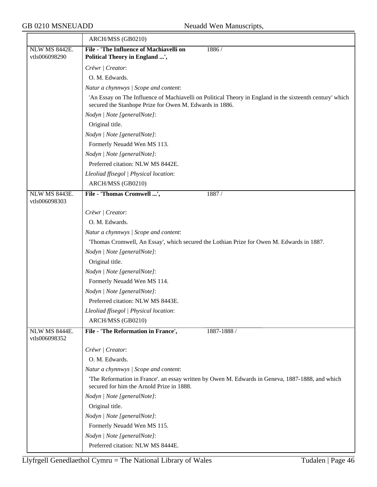|                                | ARCH/MSS (GB0210)                                                                                                                                                   |
|--------------------------------|---------------------------------------------------------------------------------------------------------------------------------------------------------------------|
| <b>NLW MS 8442E.</b>           | File - 'The Influence of Machiavelli on<br>1886/                                                                                                                    |
| vtls006098290                  | Political Theory in England ',                                                                                                                                      |
|                                | Crëwr   Creator:                                                                                                                                                    |
|                                | O. M. Edwards.                                                                                                                                                      |
|                                | Natur a chynnwys / Scope and content:                                                                                                                               |
|                                | 'An Essay on The Influence of Machiavelli on Political Theory in England in the sixteenth century' which<br>secured the Stanhope Prize for Owen M. Edwards in 1886. |
|                                | Nodyn   Note [generalNote]:                                                                                                                                         |
|                                | Original title.                                                                                                                                                     |
|                                | Nodyn   Note [generalNote]:                                                                                                                                         |
|                                | Formerly Neuadd Wen MS 113.                                                                                                                                         |
|                                | Nodyn   Note [generalNote]:                                                                                                                                         |
|                                | Preferred citation: NLW MS 8442E.                                                                                                                                   |
|                                | Lleoliad ffisegol   Physical location:                                                                                                                              |
|                                | ARCH/MSS (GB0210)                                                                                                                                                   |
| NLW MS 8443E.                  | File - 'Thomas Cromwell ',<br>1887/                                                                                                                                 |
| vtls006098303                  |                                                                                                                                                                     |
|                                | Crëwr   Creator:                                                                                                                                                    |
|                                | O. M. Edwards.                                                                                                                                                      |
|                                | Natur a chynnwys / Scope and content:                                                                                                                               |
|                                | Thomas Cromwell, An Essay', which secured the Lothian Prize for Owen M. Edwards in 1887.                                                                            |
|                                | Nodyn   Note [generalNote]:                                                                                                                                         |
|                                | Original title.                                                                                                                                                     |
|                                | Nodyn   Note [generalNote]:                                                                                                                                         |
|                                | Formerly Neuadd Wen MS 114.                                                                                                                                         |
|                                | Nodyn   Note [generalNote]:                                                                                                                                         |
|                                | Preferred citation: NLW MS 8443E.                                                                                                                                   |
|                                | Lleoliad ffisegol   Physical location:                                                                                                                              |
|                                | ARCH/MSS (GB0210)                                                                                                                                                   |
| NLW MS 8444E.<br>vtls006098352 | File - 'The Reformation in France',<br>1887-1888 /                                                                                                                  |
|                                | Crëwr   Creator:                                                                                                                                                    |
|                                | O. M. Edwards.                                                                                                                                                      |
|                                | Natur a chynnwys / Scope and content:                                                                                                                               |
|                                | The Reformation in France'. an essay written by Owen M. Edwards in Geneva, 1887-1888, and which<br>secured for him the Arnold Prize in 1888.                        |
|                                | Nodyn   Note [generalNote]:                                                                                                                                         |
|                                | Original title.                                                                                                                                                     |
|                                | Nodyn   Note [generalNote]:                                                                                                                                         |
|                                | Formerly Neuadd Wen MS 115.                                                                                                                                         |
|                                | Nodyn   Note [generalNote]:                                                                                                                                         |
|                                | Preferred citation: NLW MS 8444E.                                                                                                                                   |